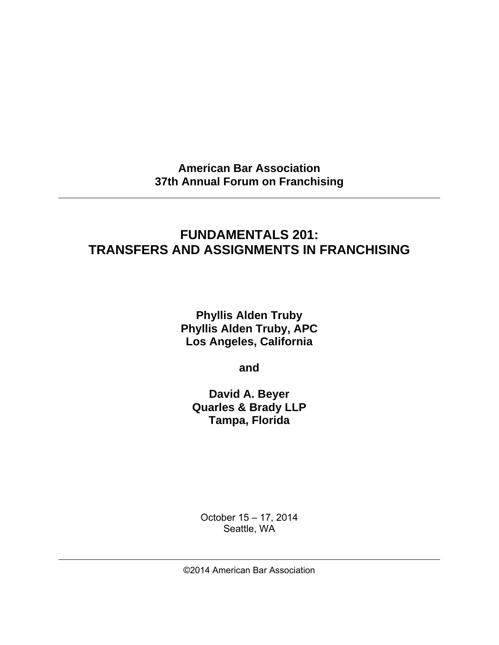**American Bar Association 37th Annual Forum on Franchising** 

# **FUNDAMENTALS 201: TRANSFERS AND ASSIGNMENTS IN FRANCHISING**

**Phyllis Alden Truby Phyllis Alden Truby, APC Los Angeles, California** 

**and** 

**David A. Beyer Quarles & Brady LLP Tampa, Florida** 

October 15 – 17, 2014 Seattle, WA

©2014 American Bar Association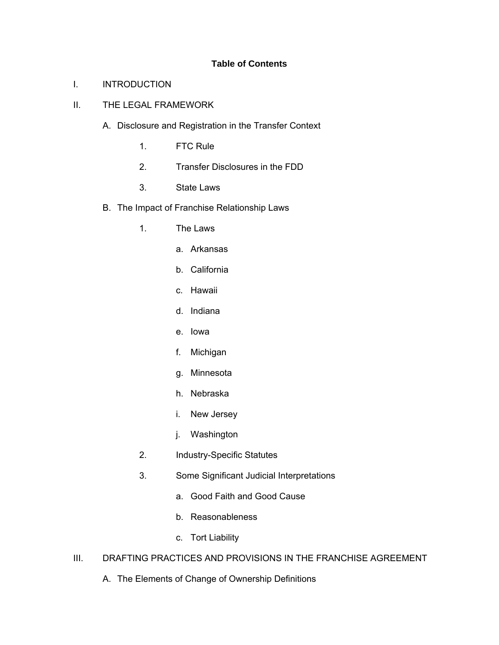# **Table of Contents**

### I. INTRODUCTION

# II. THE LEGAL FRAMEWORK

- A. Disclosure and Registration in the Transfer Context
	- 1. FTC Rule
	- 2. Transfer Disclosures in the FDD
	- 3. State Laws
- B. The Impact of Franchise Relationship Laws
	- 1. The Laws
		- a. Arkansas
		- b. California
		- c. Hawaii
		- d. Indiana
		- e. Iowa
		- f. Michigan
		- g. Minnesota
		- h. Nebraska
		- i. New Jersey
		- j. Washington
	- 2. Industry-Specific Statutes
	- 3. Some Significant Judicial Interpretations
		- a. Good Faith and Good Cause
		- b. Reasonableness
		- c. Tort Liability

# III. DRAFTING PRACTICES AND PROVISIONS IN THE FRANCHISE AGREEMENT

A. The Elements of Change of Ownership Definitions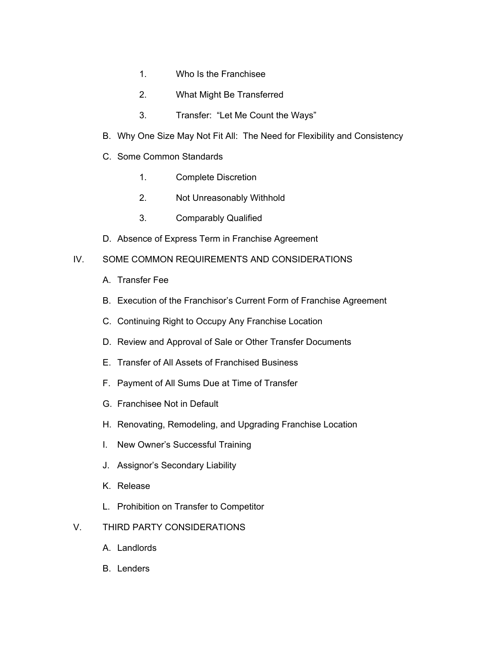- 1. Who Is the Franchisee
- 2. What Might Be Transferred
- 3. Transfer: "Let Me Count the Ways"
- B. Why One Size May Not Fit All: The Need for Flexibility and Consistency
- C. Some Common Standards
	- 1. Complete Discretion
	- 2. Not Unreasonably Withhold
	- 3. Comparably Qualified
- D. Absence of Express Term in Franchise Agreement

# IV. SOME COMMON REQUIREMENTS AND CONSIDERATIONS

- A. Transfer Fee
- B. Execution of the Franchisor's Current Form of Franchise Agreement
- C. Continuing Right to Occupy Any Franchise Location
- D. Review and Approval of Sale or Other Transfer Documents
- E. Transfer of All Assets of Franchised Business
- F. Payment of All Sums Due at Time of Transfer
- G. Franchisee Not in Default
- H. Renovating, Remodeling, and Upgrading Franchise Location
- I. New Owner's Successful Training
- J. Assignor's Secondary Liability
- K. Release
- L. Prohibition on Transfer to Competitor
- V. THIRD PARTY CONSIDERATIONS
	- A. Landlords
	- B. Lenders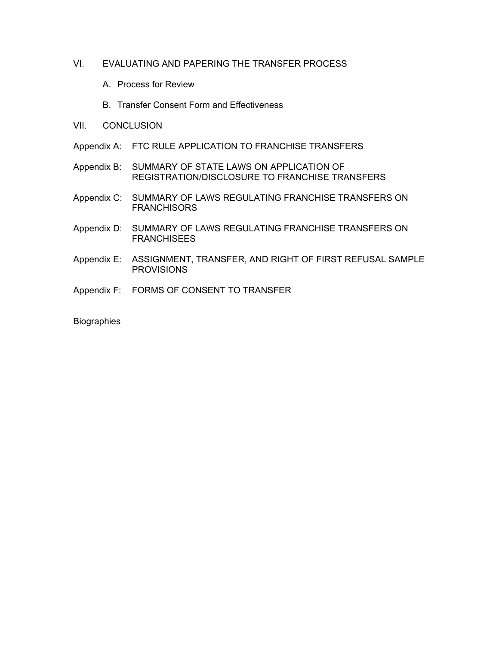# VI. EVALUATING AND PAPERING THE TRANSFER PROCESS

- A. Process for Review
- B. Transfer Consent Form and Effectiveness
- VII. CONCLUSION
- Appendix A: FTC RULE APPLICATION TO FRANCHISE TRANSFERS
- Appendix B: SUMMARY OF STATE LAWS ON APPLICATION OF REGISTRATION/DISCLOSURE TO FRANCHISE TRANSFERS
- Appendix C: SUMMARY OF LAWS REGULATING FRANCHISE TRANSFERS ON **FRANCHISORS**
- Appendix D: SUMMARY OF LAWS REGULATING FRANCHISE TRANSFERS ON **FRANCHISEES**
- Appendix E: ASSIGNMENT, TRANSFER, AND RIGHT OF FIRST REFUSAL SAMPLE **PROVISIONS**
- Appendix F: FORMS OF CONSENT TO TRANSFER

**Biographies**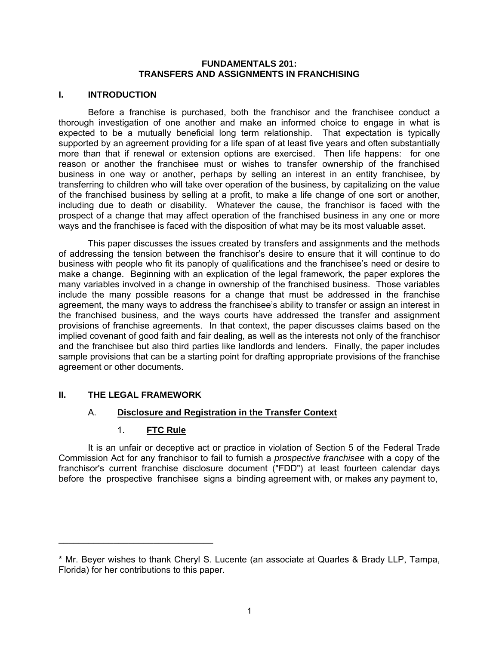#### **FUNDAMENTALS 201: TRANSFERS AND ASSIGNMENTS IN FRANCHISING**

### **I. INTRODUCTION**

Before a franchise is purchased, both the franchisor and the franchisee conduct a thorough investigation of one another and make an informed choice to engage in what is expected to be a mutually beneficial long term relationship. That expectation is typically supported by an agreement providing for a life span of at least five years and often substantially more than that if renewal or extension options are exercised. Then life happens: for one reason or another the franchisee must or wishes to transfer ownership of the franchised business in one way or another, perhaps by selling an interest in an entity franchisee, by transferring to children who will take over operation of the business, by capitalizing on the value of the franchised business by selling at a profit, to make a life change of one sort or another, including due to death or disability. Whatever the cause, the franchisor is faced with the prospect of a change that may affect operation of the franchised business in any one or more ways and the franchisee is faced with the disposition of what may be its most valuable asset.

This paper discusses the issues created by transfers and assignments and the methods of addressing the tension between the franchisor's desire to ensure that it will continue to do business with people who fit its panoply of qualifications and the franchisee's need or desire to make a change. Beginning with an explication of the legal framework, the paper explores the many variables involved in a change in ownership of the franchised business. Those variables include the many possible reasons for a change that must be addressed in the franchise agreement, the many ways to address the franchisee's ability to transfer or assign an interest in the franchised business, and the ways courts have addressed the transfer and assignment provisions of franchise agreements. In that context, the paper discusses claims based on the implied covenant of good faith and fair dealing, as well as the interests not only of the franchisor and the franchisee but also third parties like landlords and lenders. Finally, the paper includes sample provisions that can be a starting point for drafting appropriate provisions of the franchise agreement or other documents.

# **II. THE LEGAL FRAMEWORK**

\_\_\_\_\_\_\_\_\_\_\_\_\_\_\_\_\_\_\_\_\_\_\_\_\_\_\_\_\_\_\_

# A. **Disclosure and Registration in the Transfer Context**

# 1. **FTC Rule**

It is an unfair or deceptive act or practice in violation of Section 5 of the Federal Trade Commission Act for any franchisor to fail to furnish a *prospective franchisee* with a copy of the franchisor's current franchise disclosure document ("FDD") at least fourteen calendar days before the prospective franchisee signs a binding agreement with, or makes any payment to,

<sup>\*</sup> Mr. Beyer wishes to thank Cheryl S. Lucente (an associate at Quarles & Brady LLP, Tampa, Florida) for her contributions to this paper.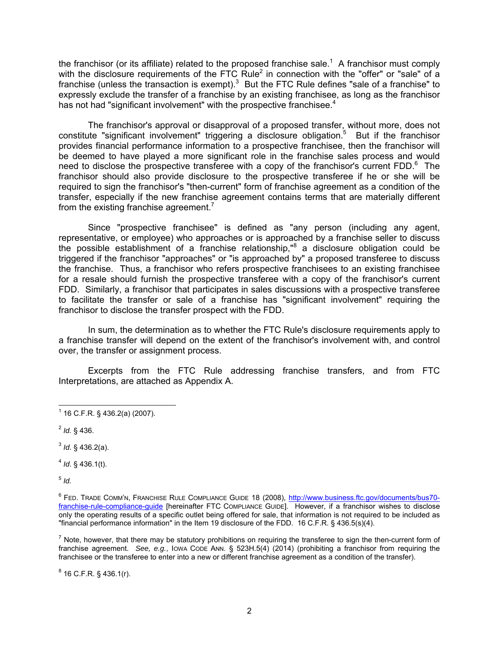the franchisor (or its affiliate) related to the proposed franchise sale.<sup>1</sup> A franchisor must comply with the disclosure requirements of the FTC Rule<sup>2</sup> in connection with the "offer" or "sale" of a franchise (unless the transaction is exempt).<sup>3</sup> But the FTC Rule defines "sale of a franchise" to expressly exclude the transfer of a franchise by an existing franchisee, as long as the franchisor has not had "significant involvement" with the prospective franchisee. $4$ 

The franchisor's approval or disapproval of a proposed transfer, without more, does not constitute "significant involvement" triggering a disclosure obligation.<sup>5</sup> But if the franchisor provides financial performance information to a prospective franchisee, then the franchisor will be deemed to have played a more significant role in the franchise sales process and would need to disclose the prospective transferee with a copy of the franchisor's current FDD. $^{6}$  The franchisor should also provide disclosure to the prospective transferee if he or she will be required to sign the franchisor's "then-current" form of franchise agreement as a condition of the transfer, especially if the new franchise agreement contains terms that are materially different from the existing franchise agreement.<sup>7</sup>

Since "prospective franchisee" is defined as "any person (including any agent, representative, or employee) who approaches or is approached by a franchise seller to discuss the possible establishment of a franchise relationship,"<sup>8</sup> a disclosure obligation could be triggered if the franchisor "approaches" or "is approached by" a proposed transferee to discuss the franchise. Thus, a franchisor who refers prospective franchisees to an existing franchisee for a resale should furnish the prospective transferee with a copy of the franchisor's current FDD. Similarly, a franchisor that participates in sales discussions with a prospective transferee to facilitate the transfer or sale of a franchise has "significant involvement" requiring the franchisor to disclose the transfer prospect with the FDD.

In sum, the determination as to whether the FTC Rule's disclosure requirements apply to a franchise transfer will depend on the extent of the franchisor's involvement with, and control over, the transfer or assignment process.

Excerpts from the FTC Rule addressing franchise transfers, and from FTC Interpretations, are attached as Appendix A.

<sup>2</sup> *Id.* § 436.

 $3$  *Id.* § 436.2(a).

<sup>4</sup> *Id*. § 436.1(t).

 $5$  *Id.* 

<sup>6</sup> FED. TRADE COMM'N, FRANCHISE RULE COMPLIANCE GUIDE 18 (2008), http://www.business.ftc.gov/documents/bus70franchise-rule-compliance-guide [hereinafter FTC COMPLIANCE GUIDE]. However, if a franchisor wishes to disclose only the operating results of a specific outlet being offered for sale, that information is not required to be included as "financial performance information" in the Item 19 disclosure of the FDD. 16 C.F.R. § 436.5(s)(4).

 $^7$  Note, however, that there may be statutory prohibitions on requiring the transferee to sign the then-current form of franchise agreement. *See, e.g.*, IOWA CODE ANN. § 523H.5(4) (2014) (prohibiting a franchisor from requiring the franchisee or the transferee to enter into a new or different franchise agreement as a condition of the transfer).

 $^8$  16 C.F.R. § 436.1(r).

 1 16 C.F.R. § 436.2(a) (2007).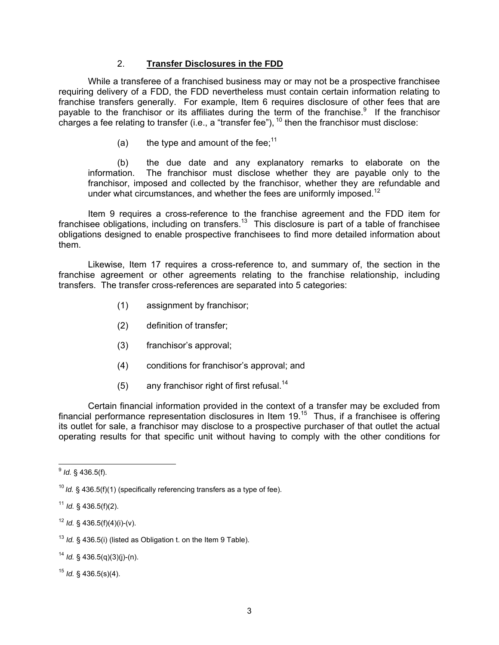## 2. **Transfer Disclosures in the FDD**

While a transferee of a franchised business may or may not be a prospective franchisee requiring delivery of a FDD, the FDD nevertheless must contain certain information relating to franchise transfers generally. For example, Item 6 requires disclosure of other fees that are payable to the franchisor or its affiliates during the term of the franchise. $9$  If the franchisor charges a fee relating to transfer (i.e., a "transfer fee"),  $^{10}$  then the franchisor must disclose:

(a) the type and amount of the fee;<sup>11</sup>

(b) the due date and any explanatory remarks to elaborate on the information. The franchisor must disclose whether they are payable only to the franchisor, imposed and collected by the franchisor, whether they are refundable and under what circumstances, and whether the fees are uniformly imposed.<sup>12</sup>

Item 9 requires a cross-reference to the franchise agreement and the FDD item for franchisee obligations, including on transfers.<sup>13</sup> This disclosure is part of a table of franchisee obligations designed to enable prospective franchisees to find more detailed information about them.

Likewise, Item 17 requires a cross-reference to, and summary of, the section in the franchise agreement or other agreements relating to the franchise relationship, including transfers. The transfer cross-references are separated into 5 categories:

- (1) assignment by franchisor;
- (2) definition of transfer;
- (3) franchisor's approval;
- (4) conditions for franchisor's approval; and
- (5) any franchisor right of first refusal.<sup>14</sup>

Certain financial information provided in the context of a transfer may be excluded from financial performance representation disclosures in Item  $19<sup>15</sup>$  Thus, if a franchisee is offering its outlet for sale, a franchisor may disclose to a prospective purchaser of that outlet the actual operating results for that specific unit without having to comply with the other conditions for

 $12$  *Id.* § 436.5(f)(4)(i)-(v).

<sup>14</sup> *Id.* § 436.5(q)(3)(j)-(n).

<sup>15</sup> *Id.* § 436.5(s)(4).

 $\overline{a}$ <sup>9</sup> *Id.* § 436.5(f).

<sup>&</sup>lt;sup>10</sup> Id. § 436.5(f)(1) (specifically referencing transfers as a type of fee).

<sup>11</sup> *Id.* § 436.5(f)(2).

<sup>13</sup> *Id.* § 436.5(i) (listed as Obligation t. on the Item 9 Table).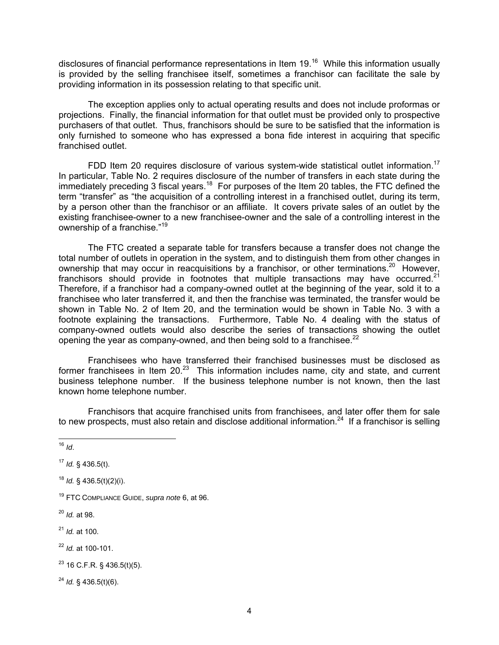disclosures of financial performance representations in Item 19.16 While this information usually is provided by the selling franchisee itself, sometimes a franchisor can facilitate the sale by providing information in its possession relating to that specific unit.

The exception applies only to actual operating results and does not include proformas or projections. Finally, the financial information for that outlet must be provided only to prospective purchasers of that outlet. Thus, franchisors should be sure to be satisfied that the information is only furnished to someone who has expressed a bona fide interest in acquiring that specific franchised outlet.

FDD Item 20 requires disclosure of various system-wide statistical outlet information.<sup>17</sup> In particular, Table No. 2 requires disclosure of the number of transfers in each state during the immediately preceding 3 fiscal years.<sup>18</sup> For purposes of the Item 20 tables, the FTC defined the term "transfer" as "the acquisition of a controlling interest in a franchised outlet, during its term, by a person other than the franchisor or an affiliate. It covers private sales of an outlet by the existing franchisee-owner to a new franchisee-owner and the sale of a controlling interest in the ownership of a franchise."<sup>19</sup>

The FTC created a separate table for transfers because a transfer does not change the total number of outlets in operation in the system, and to distinguish them from other changes in ownership that may occur in reacquisitions by a franchisor, or other terminations.<sup>20</sup> However, franchisors should provide in footnotes that multiple transactions may have occurred.<sup>21</sup> Therefore, if a franchisor had a company-owned outlet at the beginning of the year, sold it to a franchisee who later transferred it, and then the franchise was terminated, the transfer would be shown in Table No. 2 of Item 20, and the termination would be shown in Table No. 3 with a footnote explaining the transactions. Furthermore, Table No. 4 dealing with the status of company-owned outlets would also describe the series of transactions showing the outlet opening the year as company-owned, and then being sold to a franchisee.<sup>22</sup>

Franchisees who have transferred their franchised businesses must be disclosed as former franchisees in Item 20.23 This information includes name, city and state, and current business telephone number. If the business telephone number is not known, then the last known home telephone number.

Franchisors that acquire franchised units from franchisees, and later offer them for sale to new prospects, must also retain and disclose additional information.<sup>24</sup> If a franchisor is selling

<sup>24</sup> *Id.* § 436.5(t)(6).

 $\overline{a}$ <sup>16</sup> *Id*.

<sup>17</sup> *Id.* § 436.5(t).

<sup>18</sup> *Id.* § 436.5(t)(2)(i).

<sup>19</sup> FTC COMPLIANCE GUIDE, *supra note* 6, at 96.

<sup>20</sup> *Id.* at 98.

<sup>21</sup> *Id.* at 100.

<sup>22</sup> *Id.* at 100-101.

 $23$  16 C.F.R. § 436.5(t)(5).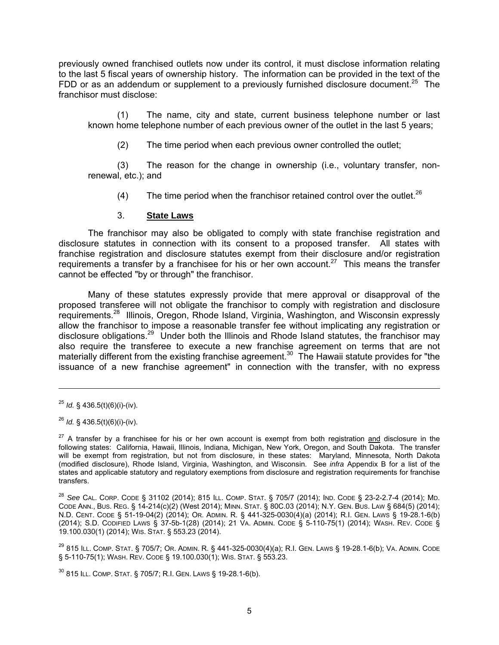previously owned franchised outlets now under its control, it must disclose information relating to the last 5 fiscal years of ownership history. The information can be provided in the text of the FDD or as an addendum or supplement to a previously furnished disclosure document.<sup>25</sup> The franchisor must disclose:

(1) The name, city and state, current business telephone number or last known home telephone number of each previous owner of the outlet in the last 5 years;

(2) The time period when each previous owner controlled the outlet;

(3) The reason for the change in ownership (i.e., voluntary transfer, nonrenewal, etc.); and

(4) The time period when the franchisor retained control over the outlet.<sup>26</sup>

### 3. **State Laws**

The franchisor may also be obligated to comply with state franchise registration and disclosure statutes in connection with its consent to a proposed transfer. All states with franchise registration and disclosure statutes exempt from their disclosure and/or registration requirements a transfer by a franchisee for his or her own account.<sup>27</sup> This means the transfer cannot be effected "by or through" the franchisor.

Many of these statutes expressly provide that mere approval or disapproval of the proposed transferee will not obligate the franchisor to comply with registration and disclosure requirements.28 Illinois, Oregon, Rhode Island, Virginia, Washington, and Wisconsin expressly allow the franchisor to impose a reasonable transfer fee without implicating any registration or disclosure obligations.29 Under both the Illinois and Rhode Island statutes, the franchisor may also require the transferee to execute a new franchise agreement on terms that are not materially different from the existing franchise agreement.<sup>30</sup> The Hawaii statute provides for "the issuance of a new franchise agreement" in connection with the transfer, with no express

-

30 815 ILL. COMP. STAT. § 705/7; R.I. GEN. LAWS § 19-28.1-6(b).

<sup>25</sup> *Id.* § 436.5(t)(6)(i)-(iv).

<sup>26</sup> *Id.* § 436.5(t)(6)(i)-(iv).

 $27$  A transfer by a franchisee for his or her own account is exempt from both registration and disclosure in the following states: California, Hawaii, Illinois, Indiana, Michigan, New York, Oregon, and South Dakota. The transfer will be exempt from registration, but not from disclosure, in these states: Maryland, Minnesota, North Dakota (modified disclosure), Rhode Island, Virginia, Washington, and Wisconsin. See *infra* Appendix B for a list of the states and applicable statutory and regulatory exemptions from disclosure and registration requirements for franchise transfers.

<sup>28</sup> *See* CAL. CORP. CODE § 31102 (2014); 815 ILL. COMP. STAT. § 705/7 (2014); IND. CODE § 23-2-2.7-4 (2014); MD. CODE ANN., BUS. REG. § 14-214(c)(2) (West 2014); MINN. STAT. § 80C.03 (2014); N.Y. GEN. BUS. LAW § 684(5) (2014); N.D. CENT. CODE § 51-19-04(2) (2014); OR. ADMIN. R. § 441-325-0030(4)(a) (2014); R.I. GEN. LAWS § 19-28.1-6(b) (2014); S.D. CODIFIED LAWS § 37-5b-1(28) (2014); 21 VA. ADMIN. CODE § 5-110-75(1) (2014); WASH. REV. CODE § 19.100.030(1) (2014); WIS. STAT. § 553.23 (2014).

<sup>29 815</sup> ILL. COMP. STAT. § 705/7; OR. ADMIN. R. § 441-325-0030(4)(a); R.I. GEN. LAWS § 19-28.1-6(b); VA. ADMIN. CODE § 5-110-75(1); WASH. REV. CODE § 19.100.030(1); WIS. STAT. § 553.23.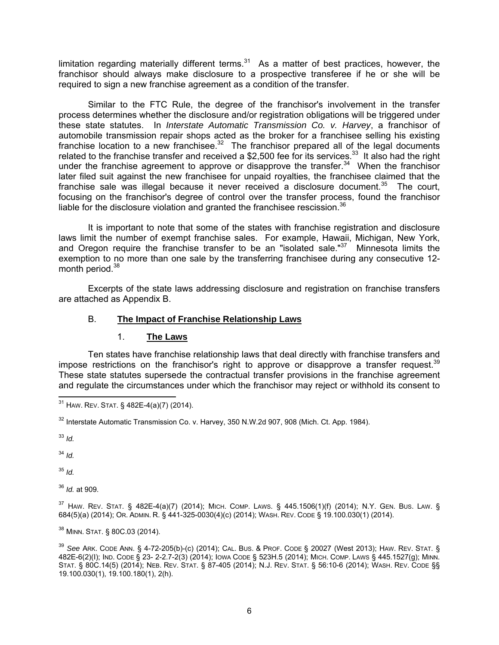limitation regarding materially different terms. $31$  As a matter of best practices, however, the franchisor should always make disclosure to a prospective transferee if he or she will be required to sign a new franchise agreement as a condition of the transfer.

Similar to the FTC Rule, the degree of the franchisor's involvement in the transfer process determines whether the disclosure and/or registration obligations will be triggered under these state statutes. In *Interstate Automatic Transmission Co. v. Harvey*, a franchisor of automobile transmission repair shops acted as the broker for a franchisee selling his existing franchise location to a new franchisee. $32$  The franchisor prepared all of the legal documents related to the franchise transfer and received a \$2,500 fee for its services.<sup>33</sup> It also had the right under the franchise agreement to approve or disapprove the transfer.<sup>34</sup> When the franchisor later filed suit against the new franchisee for unpaid royalties, the franchisee claimed that the franchise sale was illegal because it never received a disclosure document.<sup>35</sup> The court, focusing on the franchisor's degree of control over the transfer process, found the franchisor liable for the disclosure violation and granted the franchisee rescission.<sup>36</sup>

It is important to note that some of the states with franchise registration and disclosure laws limit the number of exempt franchise sales. For example, Hawaii, Michigan, New York, and Oregon require the franchise transfer to be an "isolated sale." $37$  Minnesota limits the exemption to no more than one sale by the transferring franchisee during any consecutive 12 month period.<sup>38</sup>

Excerpts of the state laws addressing disclosure and registration on franchise transfers are attached as Appendix B.

# B. **The Impact of Franchise Relationship Laws**

#### 1. **The Laws**

Ten states have franchise relationship laws that deal directly with franchise transfers and impose restrictions on the franchisor's right to approve or disapprove a transfer request.<sup>39</sup> These state statutes supersede the contractual transfer provisions in the franchise agreement and regulate the circumstances under which the franchisor may reject or withhold its consent to

<sup>33</sup> *Id.*

<sup>34</sup> *Id.*

<sup>35</sup> *Id.*

<sup>36</sup> *Id.* at 909.

37 HAW. REV. STAT. § 482E-4(a)(7) (2014); MICH. COMP. LAWS. § 445.1506(1)(f) (2014); N.Y. GEN. BUS. LAW. § 684(5)(a) (2014); OR. ADMIN. R. § 441-325-0030(4)(c) (2014); WASH. REV. CODE § 19.100.030(1) (2014).

 $\overline{a}$ <sup>38</sup> Minn. Stat. § 80C.03 (2014).

<sup>39</sup> *See* ARK. CODE ANN. § 4-72-205(b)-(c) (2014); CAL. BUS. & PROF. CODE § 20027 (West 2013); HAW. REV. STAT. § 482E-6(2)(I); IND. CODE § 23- 2-2.7-2(3) (2014); IOWA CODE § 523H.5 (2014); MICH. COMP. LAWS § 445.1527(g); MINN. STAT. § 80C.14(5) (2014); NEB. REV. STAT. § 87-405 (2014); N.J. REV. STAT. § 56:10-6 (2014); WASH. REV. CODE §§ 19.100.030(1), 19.100.180(1), 2(h).

 $\overline{a}$  $^{31}$  Haw. Rev. Stat. § 482E-4(a)(7) (2014).

 $32$  Interstate Automatic Transmission Co. v. Harvey, 350 N.W.2d 907, 908 (Mich. Ct. App. 1984).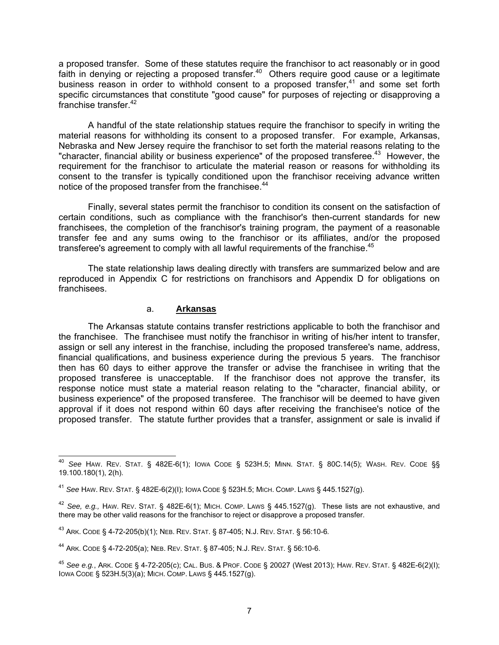a proposed transfer. Some of these statutes require the franchisor to act reasonably or in good faith in denying or rejecting a proposed transfer.<sup>40</sup> Others require good cause or a legitimate business reason in order to withhold consent to a proposed transfer, $41$  and some set forth specific circumstances that constitute "good cause" for purposes of rejecting or disapproving a franchise transfer.<sup>42</sup>

A handful of the state relationship statues require the franchisor to specify in writing the material reasons for withholding its consent to a proposed transfer. For example, Arkansas, Nebraska and New Jersey require the franchisor to set forth the material reasons relating to the "character, financial ability or business experience" of the proposed transferee.<sup>43</sup> However, the requirement for the franchisor to articulate the material reason or reasons for withholding its consent to the transfer is typically conditioned upon the franchisor receiving advance written notice of the proposed transfer from the franchisee.<sup>44</sup>

Finally, several states permit the franchisor to condition its consent on the satisfaction of certain conditions, such as compliance with the franchisor's then-current standards for new franchisees, the completion of the franchisor's training program, the payment of a reasonable transfer fee and any sums owing to the franchisor or its affiliates, and/or the proposed transferee's agreement to comply with all lawful requirements of the franchise.<sup>45</sup>

The state relationship laws dealing directly with transfers are summarized below and are reproduced in Appendix C for restrictions on franchisors and Appendix D for obligations on franchisees.

### a. **Arkansas**

The Arkansas statute contains transfer restrictions applicable to both the franchisor and the franchisee. The franchisee must notify the franchisor in writing of his/her intent to transfer, assign or sell any interest in the franchise, including the proposed transferee's name, address, financial qualifications, and business experience during the previous 5 years. The franchisor then has 60 days to either approve the transfer or advise the franchisee in writing that the proposed transferee is unacceptable. If the franchisor does not approve the transfer, its response notice must state a material reason relating to the "character, financial ability, or business experience" of the proposed transferee. The franchisor will be deemed to have given approval if it does not respond within 60 days after receiving the franchisee's notice of the proposed transfer. The statute further provides that a transfer, assignment or sale is invalid if

 $\overline{a}$ <sup>40</sup> *See* HAW. REV. STAT. § 482E-6(1); IOWA CODE § 523H.5; MINN. STAT. § 80C.14(5); WASH. REV. CODE §§ 19.100.180(1), 2(h).

<sup>41</sup> *See* HAW. REV. STAT. § 482E-6(2)(I); IOWA CODE § 523H.5; MICH. COMP. LAWS § 445.1527(g).

<sup>42</sup> *See, e.g.,* HAW. REV. STAT. § 482E-6(1); MICH. COMP. LAWS § 445.1527(g). These lists are not exhaustive, and there may be other valid reasons for the franchisor to reject or disapprove a proposed transfer.

<sup>43</sup> ARK. CODE § 4-72-205(b)(1); NEB. REV. STAT. § 87-405; N.J. REV. STAT. § 56:10-6*.* 

<sup>44</sup> ARK. CODE § 4-72-205(a); NEB. REV. STAT. § 87-405; N.J. REV. STAT. § 56:10-6.

<sup>45</sup> *See e.g.*, ARK. CODE § 4-72-205(c); CAL. BUS. & PROF. CODE § 20027 (West 2013); HAW. REV. STAT. § 482E-6(2)(I); IOWA CODE § 523H.5(3)(a); MICH. COMP. LAWS § 445.1527(g).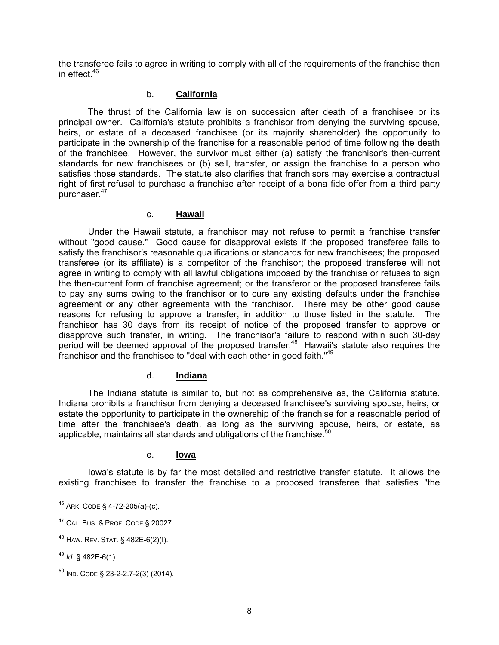the transferee fails to agree in writing to comply with all of the requirements of the franchise then in effect  $46$ 

### b. **California**

The thrust of the California law is on succession after death of a franchisee or its principal owner. California's statute prohibits a franchisor from denying the surviving spouse, heirs, or estate of a deceased franchisee (or its majority shareholder) the opportunity to participate in the ownership of the franchise for a reasonable period of time following the death of the franchisee. However, the survivor must either (a) satisfy the franchisor's then-current standards for new franchisees or (b) sell, transfer, or assign the franchise to a person who satisfies those standards. The statute also clarifies that franchisors may exercise a contractual right of first refusal to purchase a franchise after receipt of a bona fide offer from a third party purchaser.<sup>47</sup>

#### c. **Hawaii**

Under the Hawaii statute, a franchisor may not refuse to permit a franchise transfer without "good cause." Good cause for disapproval exists if the proposed transferee fails to satisfy the franchisor's reasonable qualifications or standards for new franchisees; the proposed transferee (or its affiliate) is a competitor of the franchisor; the proposed transferee will not agree in writing to comply with all lawful obligations imposed by the franchise or refuses to sign the then-current form of franchise agreement; or the transferor or the proposed transferee fails to pay any sums owing to the franchisor or to cure any existing defaults under the franchise agreement or any other agreements with the franchisor. There may be other good cause reasons for refusing to approve a transfer, in addition to those listed in the statute. The franchisor has 30 days from its receipt of notice of the proposed transfer to approve or disapprove such transfer, in writing. The franchisor's failure to respond within such 30-day period will be deemed approval of the proposed transfer.<sup>48</sup> Hawaii's statute also requires the franchisor and the franchisee to "deal with each other in good faith."49

# d. **Indiana**

The Indiana statute is similar to, but not as comprehensive as, the California statute. Indiana prohibits a franchisor from denying a deceased franchisee's surviving spouse, heirs, or estate the opportunity to participate in the ownership of the franchise for a reasonable period of time after the franchisee's death, as long as the surviving spouse, heirs, or estate, as applicable, maintains all standards and obligations of the franchise.<sup>50</sup>

#### e. **Iowa**

Iowa's statute is by far the most detailed and restrictive transfer statute. It allows the existing franchisee to transfer the franchise to a proposed transferee that satisfies "the

 $\overline{a}$  $^{46}$  Ark. CODE § 4-72-205(a)-(c).

<sup>&</sup>lt;sup>47</sup> CAL. BUS. & PROF. CODE § 20027.

<sup>48</sup> HAW. REV. STAT. § 482E-6(2)(I).

<sup>49</sup> *Id.* § 482E-6(1).

 $50$  IND. CODE § 23-2-2.7-2(3) (2014).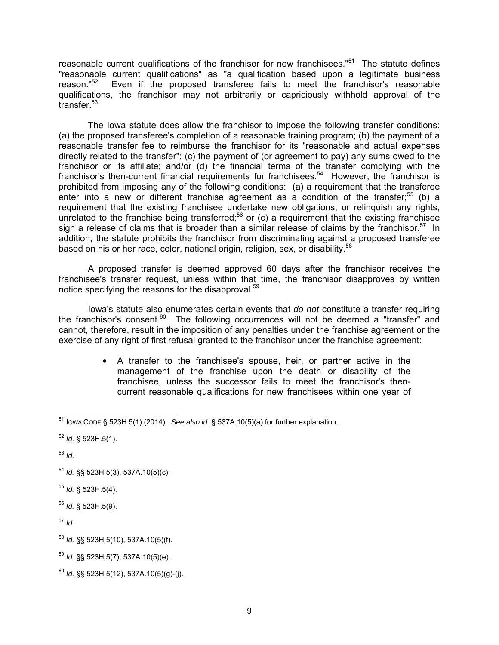reasonable current qualifications of the franchisor for new franchisees."<sup>51</sup> The statute defines "reasonable current qualifications" as "a qualification based upon a legitimate business<br>reason."<sup>52</sup> Even if the proposed transferee fails to meet the franchisor's reasonable Even if the proposed transferee fails to meet the franchisor's reasonable qualifications, the franchisor may not arbitrarily or capriciously withhold approval of the transfer.<sup>53</sup>

The Iowa statute does allow the franchisor to impose the following transfer conditions: (a) the proposed transferee's completion of a reasonable training program; (b) the payment of a reasonable transfer fee to reimburse the franchisor for its "reasonable and actual expenses directly related to the transfer"; (c) the payment of (or agreement to pay) any sums owed to the franchisor or its affiliate; and/or (d) the financial terms of the transfer complying with the franchisor's then-current financial requirements for franchisees.<sup>54</sup> However, the franchisor is prohibited from imposing any of the following conditions: (a) a requirement that the transferee enter into a new or different franchise agreement as a condition of the transfer;<sup>55</sup> (b) a requirement that the existing franchisee undertake new obligations, or relinquish any rights, unrelated to the franchise being transferred;<sup>56</sup> or (c) a requirement that the existing franchisee sign a release of claims that is broader than a similar release of claims by the franchisor.<sup>57</sup> In addition, the statute prohibits the franchisor from discriminating against a proposed transferee based on his or her race, color, national origin, religion, sex, or disability.<sup>58</sup>

A proposed transfer is deemed approved 60 days after the franchisor receives the franchisee's transfer request, unless within that time, the franchisor disapproves by written notice specifying the reasons for the disapproval.<sup>59</sup>

Iowa's statute also enumerates certain events that *do not* constitute a transfer requiring the franchisor's consent.<sup>60</sup> The following occurrences will not be deemed a "transfer" and cannot, therefore, result in the imposition of any penalties under the franchise agreement or the exercise of any right of first refusal granted to the franchisor under the franchise agreement:

> • A transfer to the franchisee's spouse, heir, or partner active in the management of the franchise upon the death or disability of the franchisee, unless the successor fails to meet the franchisor's thencurrent reasonable qualifications for new franchisees within one year of

<sup>53</sup> *Id.*

- <sup>54</sup> *Id.* §§ 523H.5(3), 537A.10(5)(c).
- <sup>55</sup> *Id.* § 523H.5(4).
- <sup>56</sup> *Id.* § 523H.5(9).

<sup>57</sup> *Id.*

<sup>58</sup> *Id.* §§ 523H.5(10), 537A.10(5)(f).

 $\overline{a}$ 51 IOWA CODE § 523H.5(1) (2014). *See also id.* § 537A.10(5)(a) for further explanation.

<sup>52</sup> *Id.* § 523H.5(1).

<sup>59</sup> *Id.* §§ 523H.5(7), 537A.10(5)(e).

<sup>60</sup> *Id.* §§ 523H.5(12), 537A.10(5)(g)-(j).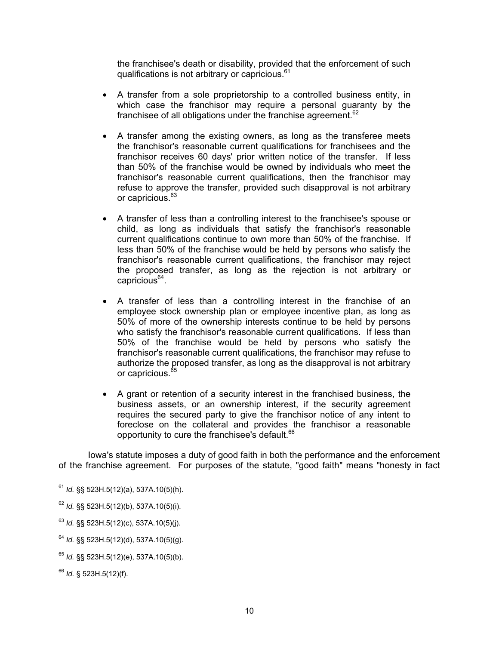the franchisee's death or disability, provided that the enforcement of such qualifications is not arbitrary or capricious.<sup>61</sup>

- A transfer from a sole proprietorship to a controlled business entity, in which case the franchisor may require a personal quaranty by the franchisee of all obligations under the franchise agreement.<sup>62</sup>
- A transfer among the existing owners, as long as the transferee meets the franchisor's reasonable current qualifications for franchisees and the franchisor receives 60 days' prior written notice of the transfer. If less than 50% of the franchise would be owned by individuals who meet the franchisor's reasonable current qualifications, then the franchisor may refuse to approve the transfer, provided such disapproval is not arbitrary or capricious.<sup>63</sup>
- A transfer of less than a controlling interest to the franchisee's spouse or child, as long as individuals that satisfy the franchisor's reasonable current qualifications continue to own more than 50% of the franchise. If less than 50% of the franchise would be held by persons who satisfy the franchisor's reasonable current qualifications, the franchisor may reject the proposed transfer, as long as the rejection is not arbitrary or  $caricious<sup>64</sup>$ .
- A transfer of less than a controlling interest in the franchise of an employee stock ownership plan or employee incentive plan, as long as 50% of more of the ownership interests continue to be held by persons who satisfy the franchisor's reasonable current qualifications. If less than 50% of the franchise would be held by persons who satisfy the franchisor's reasonable current qualifications, the franchisor may refuse to authorize the proposed transfer, as long as the disapproval is not arbitrary or capricious.<sup>65</sup>
- A grant or retention of a security interest in the franchised business, the business assets, or an ownership interest, if the security agreement requires the secured party to give the franchisor notice of any intent to foreclose on the collateral and provides the franchisor a reasonable opportunity to cure the franchisee's default.<sup>66</sup>

Iowa's statute imposes a duty of good faith in both the performance and the enforcement of the franchise agreement. For purposes of the statute, "good faith" means "honesty in fact

 $\overline{a}$ <sup>61</sup> *Id.* §§ 523H.5(12)(a), 537A.10(5)(h).

<sup>62</sup> *Id.* §§ 523H.5(12)(b), 537A.10(5)(i).

<sup>63</sup> *Id.* §§ 523H.5(12)(c), 537A.10(5)(j).

<sup>64</sup> *Id.* §§ 523H.5(12)(d), 537A.10(5)(g).

<sup>65</sup> *Id.* §§ 523H.5(12)(e), 537A.10(5)(b).

<sup>66</sup> *Id.* § 523H.5(12)(f).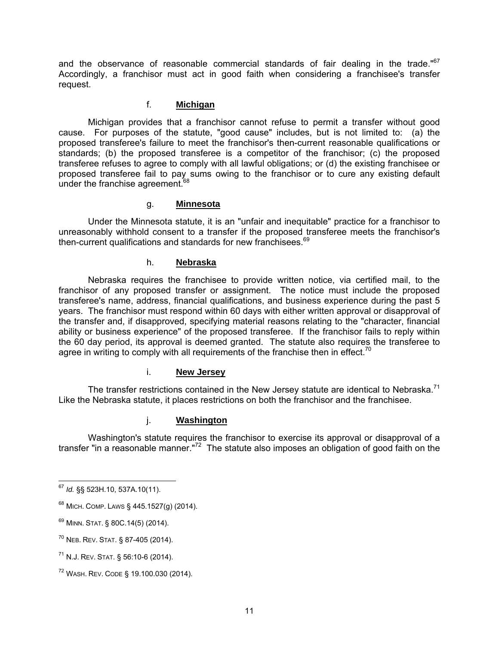and the observance of reasonable commercial standards of fair dealing in the trade."<sup>67</sup> Accordingly, a franchisor must act in good faith when considering a franchisee's transfer request.

# f. **Michigan**

Michigan provides that a franchisor cannot refuse to permit a transfer without good cause. For purposes of the statute, "good cause" includes, but is not limited to: (a) the proposed transferee's failure to meet the franchisor's then-current reasonable qualifications or standards; (b) the proposed transferee is a competitor of the franchisor; (c) the proposed transferee refuses to agree to comply with all lawful obligations; or (d) the existing franchisee or proposed transferee fail to pay sums owing to the franchisor or to cure any existing default under the franchise agreement.<sup>68</sup>

### g. **Minnesota**

Under the Minnesota statute, it is an "unfair and inequitable" practice for a franchisor to unreasonably withhold consent to a transfer if the proposed transferee meets the franchisor's then-current qualifications and standards for new franchisees.<sup>69</sup>

### h. **Nebraska**

Nebraska requires the franchisee to provide written notice, via certified mail, to the franchisor of any proposed transfer or assignment. The notice must include the proposed transferee's name, address, financial qualifications, and business experience during the past 5 years. The franchisor must respond within 60 days with either written approval or disapproval of the transfer and, if disapproved, specifying material reasons relating to the "character, financial ability or business experience" of the proposed transferee. If the franchisor fails to reply within the 60 day period, its approval is deemed granted. The statute also requires the transferee to agree in writing to comply with all requirements of the franchise then in effect.<sup>70</sup>

# i. **New Jersey**

The transfer restrictions contained in the New Jersey statute are identical to Nebraska.<sup>71</sup> Like the Nebraska statute, it places restrictions on both the franchisor and the franchisee.

# j. **Washington**

Washington's statute requires the franchisor to exercise its approval or disapproval of a transfer "in a reasonable manner."72 The statute also imposes an obligation of good faith on the

 $\overline{a}$ <sup>67</sup> *Id.* §§ 523H.10, 537A.10(11).

 $68$  Mich. COMP. Laws § 445.1527(g) (2014).

<sup>69</sup> MINN. STAT. § 80C.14(5) (2014).

<sup>70</sup> NEB. REV. STAT. § 87-405 (2014).

<sup>71</sup> N.J. REV. STAT. § 56:10-6 (2014).

<sup>72</sup> WASH. REV. CODE § 19.100.030 (2014).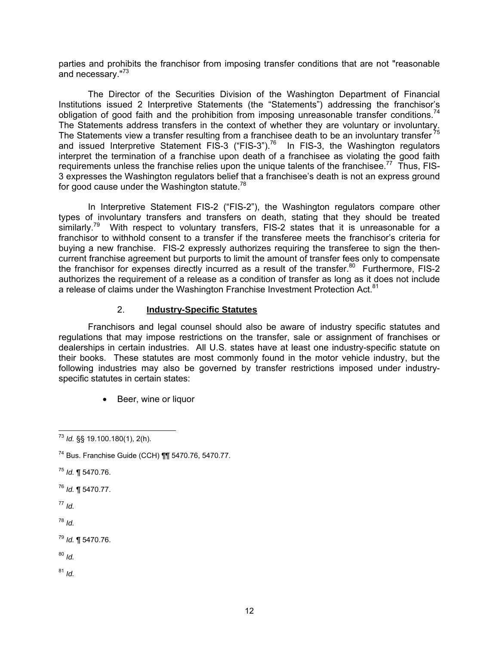parties and prohibits the franchisor from imposing transfer conditions that are not "reasonable and necessary."<sup>73</sup>

The Director of the Securities Division of the Washington Department of Financial Institutions issued 2 Interpretive Statements (the "Statements") addressing the franchisor's obligation of good faith and the prohibition from imposing unreasonable transfer conditions.<sup>74</sup> The Statements address transfers in the context of whether they are voluntary or involuntary. The Statements view a transfer resulting from a franchisee death to be an involuntary transfer<sup>75</sup> and issued Interpretive Statement FIS-3 ("FIS-3").<sup>76</sup> In FIS-3, the Washington regulators interpret the termination of a franchise upon death of a franchisee as violating the good faith requirements unless the franchise relies upon the unique talents of the franchisee.<sup>77</sup> Thus, FIS-3 expresses the Washington regulators belief that a franchisee's death is not an express ground for good cause under the Washington statute. $78$ 

In Interpretive Statement FIS-2 ("FIS-2"), the Washington regulators compare other types of involuntary transfers and transfers on death, stating that they should be treated similarly.<sup>79</sup> With respect to voluntary transfers, FIS-2 states that it is unreasonable for a franchisor to withhold consent to a transfer if the transferee meets the franchisor's criteria for buying a new franchise. FIS-2 expressly authorizes requiring the transferee to sign the thencurrent franchise agreement but purports to limit the amount of transfer fees only to compensate the franchisor for expenses directly incurred as a result of the transfer.<sup>80</sup> Furthermore, FIS-2 authorizes the requirement of a release as a condition of transfer as long as it does not include a release of claims under the Washington Franchise Investment Protection Act.<sup>81</sup>

## 2. **Industry-Specific Statutes**

Franchisors and legal counsel should also be aware of industry specific statutes and regulations that may impose restrictions on the transfer, sale or assignment of franchises or dealerships in certain industries. All U.S. states have at least one industry-specific statute on their books. These statutes are most commonly found in the motor vehicle industry, but the following industries may also be governed by transfer restrictions imposed under industryspecific statutes in certain states:

• Beer, wine or liquor

- <sup>75</sup> *Id.* ¶ 5470.76.
- <sup>76</sup> *Id.* ¶ 5470.77.
- <sup>77</sup> *Id.*

<sup>78</sup> *Id.*

<sup>79</sup> *Id.* ¶ 5470.76.

<sup>80</sup> *Id.*

 $\overline{a}$ <sup>73</sup> *Id.* §§ 19.100.180(1), 2(h).

<sup>74</sup> Bus. Franchise Guide (CCH) ¶¶ 5470.76, 5470.77.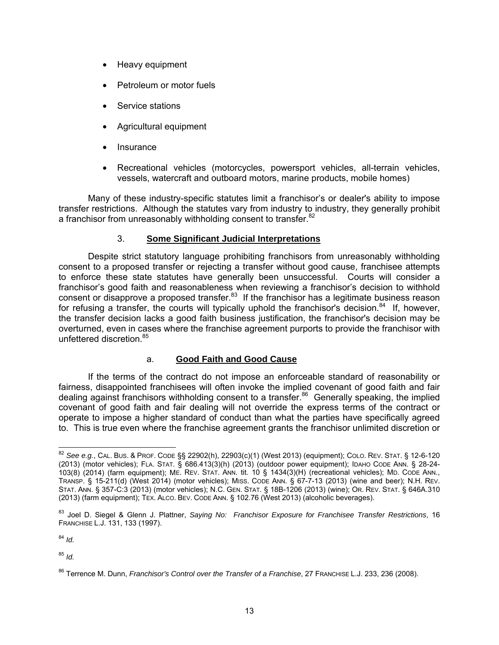- Heavy equipment
- Petroleum or motor fuels
- Service stations
- Agricultural equipment
- **Insurance**
- Recreational vehicles (motorcycles, powersport vehicles, all-terrain vehicles, vessels, watercraft and outboard motors, marine products, mobile homes)

Many of these industry-specific statutes limit a franchisor's or dealer's ability to impose transfer restrictions. Although the statutes vary from industry to industry, they generally prohibit a franchisor from unreasonably withholding consent to transfer. $82$ 

# 3. **Some Significant Judicial Interpretations**

Despite strict statutory language prohibiting franchisors from unreasonably withholding consent to a proposed transfer or rejecting a transfer without good cause, franchisee attempts to enforce these state statutes have generally been unsuccessful. Courts will consider a franchisor's good faith and reasonableness when reviewing a franchisor's decision to withhold consent or disapprove a proposed transfer.83 If the franchisor has a legitimate business reason for refusing a transfer, the courts will typically uphold the franchisor's decision.<sup>84</sup> If, however, the transfer decision lacks a good faith business justification, the franchisor's decision may be overturned, even in cases where the franchise agreement purports to provide the franchisor with unfettered discretion.85

# a. **Good Faith and Good Cause**

If the terms of the contract do not impose an enforceable standard of reasonability or fairness, disappointed franchisees will often invoke the implied covenant of good faith and fair dealing against franchisors withholding consent to a transfer.<sup>86</sup> Generally speaking, the implied covenant of good faith and fair dealing will not override the express terms of the contract or operate to impose a higher standard of conduct than what the parties have specifically agreed to. This is true even where the franchise agreement grants the franchisor unlimited discretion or

<sup>84</sup> *Id.*

 $\overline{a}$ <sup>82</sup> *See e.g.*, CAL. BUS. & PROF. CODE §§ 22902(h), 22903(c)(1) (West 2013) (equipment); COLO. REV. STAT. § 12-6-120 (2013) (motor vehicles); FLA. STAT. § 686.413(3)(h) (2013) (outdoor power equipment); IDAHO CODE ANN. § 28-24- 103(8) (2014) (farm equipment); ME. REV. STAT. ANN. tit. 10 § 1434(3)(H) (recreational vehicles); MD. CODE ANN., TRANSP. § 15-211(d) (West 2014) (motor vehicles); MISS. CODE ANN. § 67-7-13 (2013) (wine and beer); N.H. REV. STAT. ANN. § 357-C:3 (2013) (motor vehicles); N.C. GEN. STAT. § 18B-1206 (2013) (wine); OR. REV. STAT. § 646A.310 (2013) (farm equipment); TEX. ALCO. BEV. CODE ANN. § 102.76 (West 2013) (alcoholic beverages).

<sup>83</sup> Joel D. Siegel & Glenn J. Plattner, *Saying No: Franchisor Exposure for Franchisee Transfer Restrictions*, 16 FRANCHISE L.J. 131, 133 (1997).

<sup>86</sup> Terrence M. Dunn, *Franchisor's Control over the Transfer of a Franchise*, 27 FRANCHISE L.J. 233, 236 (2008).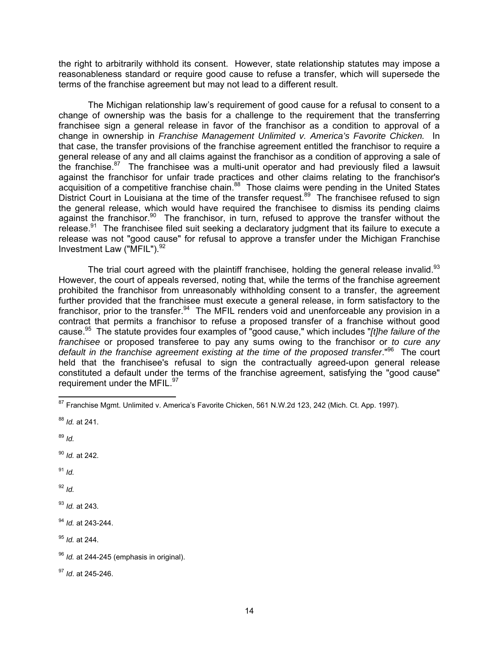the right to arbitrarily withhold its consent. However, state relationship statutes may impose a reasonableness standard or require good cause to refuse a transfer, which will supersede the terms of the franchise agreement but may not lead to a different result.

The Michigan relationship law's requirement of good cause for a refusal to consent to a change of ownership was the basis for a challenge to the requirement that the transferring franchisee sign a general release in favor of the franchisor as a condition to approval of a change in ownership in *Franchise Management Unlimited v. America's Favorite Chicken.* In that case, the transfer provisions of the franchise agreement entitled the franchisor to require a general release of any and all claims against the franchisor as a condition of approving a sale of the franchise. $87$  The franchisee was a multi-unit operator and had previously filed a lawsuit against the franchisor for unfair trade practices and other claims relating to the franchisor's acquisition of a competitive franchise chain.<sup>88</sup> Those claims were pending in the United States District Court in Louisiana at the time of the transfer request.<sup>89</sup> The franchisee refused to sign the general release, which would have required the franchisee to dismiss its pending claims against the franchisor.<sup>90</sup> The franchisor, in turn, refused to approve the transfer without the release.<sup>91</sup> The franchisee filed suit seeking a declaratory judgment that its failure to execute a release was not "good cause" for refusal to approve a transfer under the Michigan Franchise Investment Law ("MFIL").<sup>92</sup>

The trial court agreed with the plaintiff franchisee, holding the general release invalid.<sup>93</sup> However, the court of appeals reversed, noting that, while the terms of the franchise agreement prohibited the franchisor from unreasonably withholding consent to a transfer, the agreement further provided that the franchisee must execute a general release, in form satisfactory to the franchisor, prior to the transfer.  $94$  The MFIL renders void and unenforceable any provision in a contract that permits a franchisor to refuse a proposed transfer of a franchise without good cause.95 The statute provides four examples of "good cause," which includes "*[t]he failure of the franchisee* or proposed transferee to pay any sums owing to the franchisor or *to cure any default in the franchise agreement existing at the time of the proposed transfer*."96 The court held that the franchisee's refusal to sign the contractually agreed-upon general release constituted a default under the terms of the franchise agreement, satisfying the "good cause" requirement under the MFIL.<sup>97</sup>

<sup>90</sup> *Id.* at 242.

<sup>91</sup> *Id.*

 $92$  *Id.* 

<sup>93</sup> *Id.* at 243.

<sup>94</sup> *Id.* at 243-244.

<sup>95</sup> *Id.* at 244.

 $\overline{a}$ <sup>87</sup> Franchise Mgmt. Unlimited v. America's Favorite Chicken, 561 N.W.2d 123, 242 (Mich. Ct. App. 1997).

<sup>88</sup> *Id.* at 241.

<sup>89</sup> *Id.*

<sup>96</sup> *Id.* at 244-245 (emphasis in original).

<sup>97</sup> *Id*. at 245-246.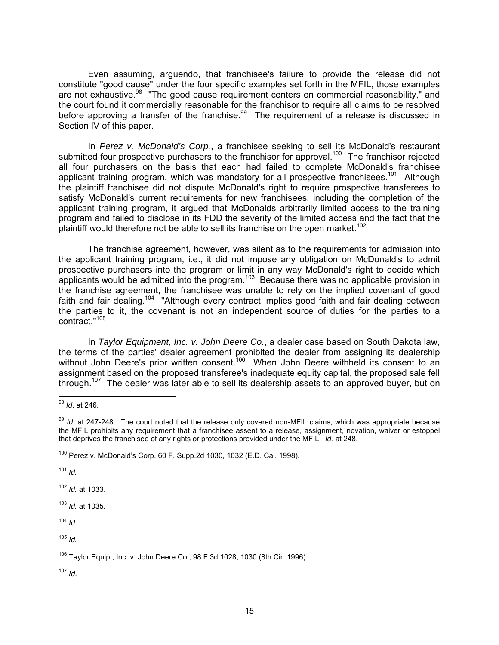Even assuming, arguendo, that franchisee's failure to provide the release did not constitute "good cause" under the four specific examples set forth in the MFIL, those examples are not exhaustive.<sup>98</sup> "The good cause requirement centers on commercial reasonability," and the court found it commercially reasonable for the franchisor to require all claims to be resolved before approving a transfer of the franchise.<sup>99</sup> The requirement of a release is discussed in Section IV of this paper.

In *Perez v. McDonald's Corp.*, a franchisee seeking to sell its McDonald's restaurant submitted four prospective purchasers to the franchisor for approval.<sup>100</sup> The franchisor rejected all four purchasers on the basis that each had failed to complete McDonald's franchisee applicant training program, which was mandatory for all prospective franchisees.<sup>101</sup> Although the plaintiff franchisee did not dispute McDonald's right to require prospective transferees to satisfy McDonald's current requirements for new franchisees, including the completion of the applicant training program, it argued that McDonalds arbitrarily limited access to the training program and failed to disclose in its FDD the severity of the limited access and the fact that the plaintiff would therefore not be able to sell its franchise on the open market.<sup>102</sup>

The franchise agreement, however, was silent as to the requirements for admission into the applicant training program, i.e., it did not impose any obligation on McDonald's to admit prospective purchasers into the program or limit in any way McDonald's right to decide which applicants would be admitted into the program.103 Because there was no applicable provision in the franchise agreement, the franchisee was unable to rely on the implied covenant of good faith and fair dealing.<sup>104</sup> "Although every contract implies good faith and fair dealing between the parties to it, the covenant is not an independent source of duties for the parties to a contract."105

In *Taylor Equipment, Inc. v. John Deere Co.*, a dealer case based on South Dakota law, the terms of the parties' dealer agreement prohibited the dealer from assigning its dealership without John Deere's prior written consent.<sup>106</sup> When John Deere withheld its consent to an assignment based on the proposed transferee's inadequate equity capital, the proposed sale fell through.<sup>107</sup> The dealer was later able to sell its dealership assets to an approved buyer, but on

<sup>101</sup> *Id.*

<sup>102</sup> *Id.* at 1033.

<sup>103</sup> *Id.* at 1035.

<sup>104</sup> *Id.*

<sup>105</sup> *Id.*

 $\overline{a}$ <sup>98</sup> *Id*. at 246.

<sup>99</sup> *Id.* at 247-248. The court noted that the release only covered non-MFIL claims, which was appropriate because the MFIL prohibits any requirement that a franchisee assent to a release, assignment, novation, waiver or estoppel that deprives the franchisee of any rights or protections provided under the MFIL. *Id.* at 248.

<sup>100</sup> Perez v. McDonald's Corp.,60 F. Supp.2d 1030, 1032 (E.D. Cal. 1998).

 $106$  Taylor Equip., Inc. v. John Deere Co., 98 F.3d 1028, 1030 (8th Cir. 1996).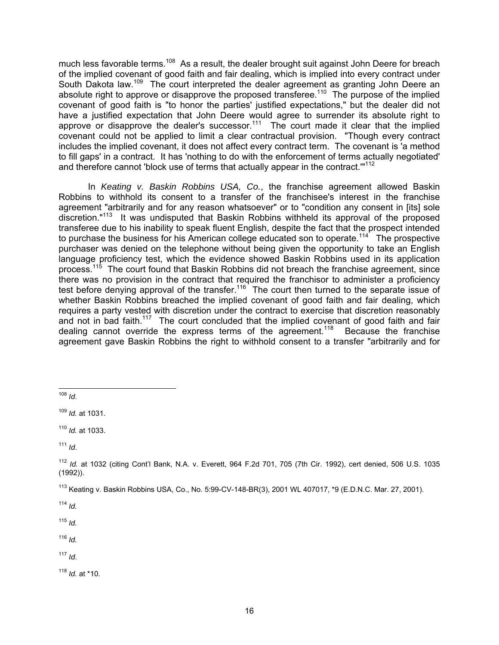much less favorable terms.<sup>108</sup> As a result, the dealer brought suit against John Deere for breach of the implied covenant of good faith and fair dealing, which is implied into every contract under South Dakota law.<sup>109</sup> The court interpreted the dealer agreement as granting John Deere an absolute right to approve or disapprove the proposed transferee.<sup>110</sup> The purpose of the implied covenant of good faith is "to honor the parties' justified expectations," but the dealer did not have a justified expectation that John Deere would agree to surrender its absolute right to approve or disapprove the dealer's successor.<sup>111</sup> The court made it clear that the implied covenant could not be applied to limit a clear contractual provision. "Though every contract includes the implied covenant, it does not affect every contract term. The covenant is 'a method to fill gaps' in a contract. It has 'nothing to do with the enforcement of terms actually negotiated' and therefore cannot 'block use of terms that actually appear in the contract."<sup>112</sup>

In *Keating v. Baskin Robbins USA, Co.*, the franchise agreement allowed Baskin Robbins to withhold its consent to a transfer of the franchisee's interest in the franchise agreement "arbitrarily and for any reason whatsoever" or to "condition any consent in [its] sole discretion."113 It was undisputed that Baskin Robbins withheld its approval of the proposed transferee due to his inability to speak fluent English, despite the fact that the prospect intended to purchase the business for his American college educated son to operate.<sup>114</sup> The prospective purchaser was denied on the telephone without being given the opportunity to take an English language proficiency test, which the evidence showed Baskin Robbins used in its application process.<sup>115</sup> The court found that Baskin Robbins did not breach the franchise agreement, since there was no provision in the contract that required the franchisor to administer a proficiency test before denying approval of the transfer.<sup>116</sup> The court then turned to the separate issue of whether Baskin Robbins breached the implied covenant of good faith and fair dealing, which requires a party vested with discretion under the contract to exercise that discretion reasonably and not in bad faith.<sup>117</sup> The court concluded that the implied covenant of good faith and fair dealing cannot override the express terms of the agreement.<sup>118</sup> Because the franchise agreement gave Baskin Robbins the right to withhold consent to a transfer "arbitrarily and for

<sup>111</sup> *Id*.

<sup>114</sup> *Id.* 

 $115$  *Id.* 

<sup>116</sup> *Id.*

 $117$  *Id.* 

<sup>118</sup> *Id.* at \*10.

 $\overline{a}$ <sup>108</sup> *Id*.

<sup>109</sup> *Id.* at 1031.

<sup>110</sup> *Id.* at 1033.

<sup>112</sup> *Id.* at 1032 (citing Cont'l Bank, N.A. v. Everett, 964 F.2d 701, 705 (7th Cir. 1992), cert denied, 506 U.S. 1035 (1992)).

<sup>113</sup> Keating v. Baskin Robbins USA, Co., No. 5:99-CV-148-BR(3), 2001 WL 407017, \*9 (E.D.N.C. Mar. 27, 2001).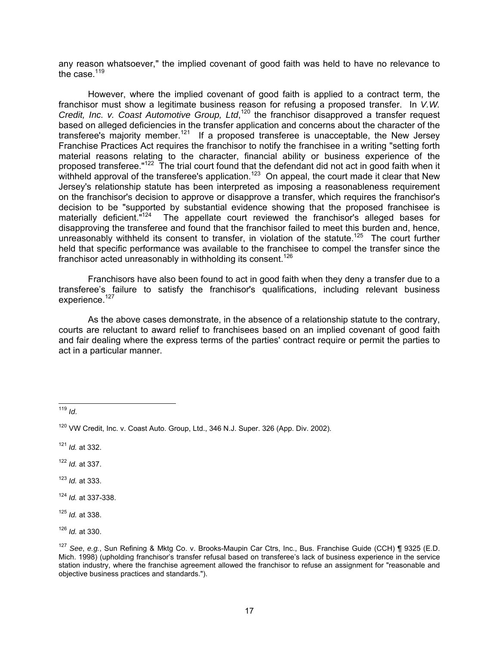any reason whatsoever," the implied covenant of good faith was held to have no relevance to the case  $119$ 

However, where the implied covenant of good faith is applied to a contract term, the franchisor must show a legitimate business reason for refusing a proposed transfer. In *V.W.*  Credit, Inc. v. Coast Automotive Group, Ltd,<sup>120</sup> the franchisor disapproved a transfer request based on alleged deficiencies in the transfer application and concerns about the character of the transferee's majority member.<sup>121</sup> If a proposed transferee is unacceptable, the New Jersey Franchise Practices Act requires the franchisor to notify the franchisee in a writing "setting forth material reasons relating to the character, financial ability or business experience of the proposed transferee."122 The trial court found that the defendant did not act in good faith when it withheld approval of the transferee's application.<sup>123</sup> On appeal, the court made it clear that New Jersey's relationship statute has been interpreted as imposing a reasonableness requirement on the franchisor's decision to approve or disapprove a transfer, which requires the franchisor's decision to be "supported by substantial evidence showing that the proposed franchisee is materially deficient."124 The appellate court reviewed the franchisor's alleged bases for disapproving the transferee and found that the franchisor failed to meet this burden and, hence, unreasonably withheld its consent to transfer, in violation of the statute.<sup>125</sup> The court further held that specific performance was available to the franchisee to compel the transfer since the franchisor acted unreasonably in withholding its consent.<sup>126</sup>

Franchisors have also been found to act in good faith when they deny a transfer due to a transferee's failure to satisfy the franchisor's qualifications, including relevant business experience. $127$ 

As the above cases demonstrate, in the absence of a relationship statute to the contrary, courts are reluctant to award relief to franchisees based on an implied covenant of good faith and fair dealing where the express terms of the parties' contract require or permit the parties to act in a particular manner.

- <sup>122</sup> *Id.* at 337.
- <sup>123</sup> *Id.* at 333.

<sup>124</sup> *Id.* at 337-338.

 $\overline{a}$ <sup>126</sup> *Id.* at 330.

 $\overline{1}$ <sup>119</sup> *Id*.

<sup>&</sup>lt;sup>120</sup> VW Credit, Inc. v. Coast Auto. Group, Ltd., 346 N.J. Super. 326 (App. Div. 2002).

<sup>121</sup> *Id.* at 332.

<sup>125</sup> *Id.* at 338.

<sup>127</sup> *See*, *e.g.*, Sun Refining & Mktg Co. v. Brooks-Maupin Car Ctrs, Inc., Bus. Franchise Guide (CCH) ¶ 9325 (E.D. Mich. 1998) (upholding franchisor's transfer refusal based on transferee's lack of business experience in the service station industry, where the franchise agreement allowed the franchisor to refuse an assignment for "reasonable and objective business practices and standards.").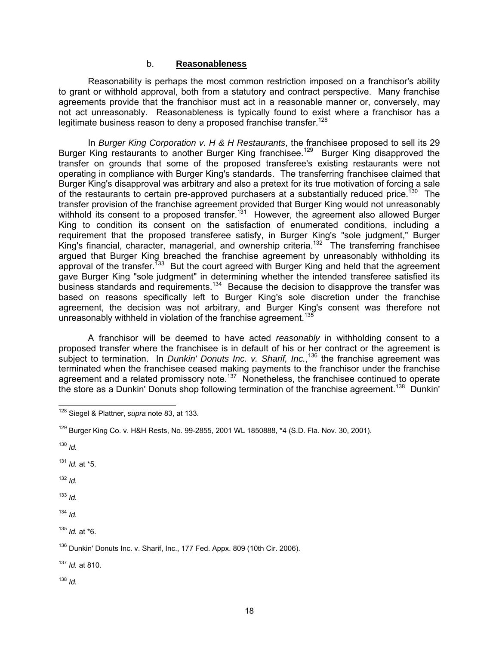#### b. **Reasonableness**

Reasonability is perhaps the most common restriction imposed on a franchisor's ability to grant or withhold approval, both from a statutory and contract perspective. Many franchise agreements provide that the franchisor must act in a reasonable manner or, conversely, may not act unreasonably. Reasonableness is typically found to exist where a franchisor has a legitimate business reason to deny a proposed franchise transfer.<sup>128</sup>

In *Burger King Corporation v. H & H Restaurants*, the franchisee proposed to sell its 29 Burger King restaurants to another Burger King franchisee.<sup>129</sup> Burger King disapproved the transfer on grounds that some of the proposed transferee's existing restaurants were not operating in compliance with Burger King's standards. The transferring franchisee claimed that Burger King's disapproval was arbitrary and also a pretext for its true motivation of forcing a sale of the restaurants to certain pre-approved purchasers at a substantially reduced price.<sup>130</sup> The transfer provision of the franchise agreement provided that Burger King would not unreasonably withhold its consent to a proposed transfer.<sup>131</sup> However, the agreement also allowed Burger King to condition its consent on the satisfaction of enumerated conditions, including a requirement that the proposed transferee satisfy, in Burger King's "sole judgment," Burger King's financial, character, managerial, and ownership criteria.<sup>132</sup> The transferring franchisee argued that Burger King breached the franchise agreement by unreasonably withholding its approval of the transfer.<sup>133</sup> But the court agreed with Burger King and held that the agreement gave Burger King "sole judgment" in determining whether the intended transferee satisfied its business standards and requirements.<sup>134</sup> Because the decision to disapprove the transfer was based on reasons specifically left to Burger King's sole discretion under the franchise agreement, the decision was not arbitrary, and Burger King's consent was therefore not unreasonably withheld in violation of the franchise agreement.<sup>13</sup>

A franchisor will be deemed to have acted *reasonably* in withholding consent to a proposed transfer where the franchisee is in default of his or her contract or the agreement is subject to termination. In *Dunkin' Donuts Inc. v. Sharif, Inc.*,<sup>136</sup> the franchise agreement was terminated when the franchisee ceased making payments to the franchisor under the franchise agreement and a related promissory note.<sup>137</sup> Nonetheless, the franchisee continued to operate the store as a Dunkin' Donuts shop following termination of the franchise agreement.<sup>138</sup> Dunkin'

<sup>130</sup> *Id.*

<sup>131</sup> *Id.* at \*5.

<sup>132</sup> *Id.* 

<sup>133</sup> *Id.*

<sup>134</sup> *Id.* 

<sup>135</sup> *Id.* at \*6.

<sup>137</sup> *Id.* at 810.

 $\overline{\phantom{a}}$ 128 Siegel & Plattner, *supra* note 83, at 133.

<sup>129</sup> Burger King Co. v. H&H Rests, No. 99-2855, 2001 WL 1850888, \*4 (S.D. Fla. Nov. 30, 2001).

<sup>&</sup>lt;sup>136</sup> Dunkin' Donuts Inc. v. Sharif, Inc., 177 Fed. Appx. 809 (10th Cir. 2006).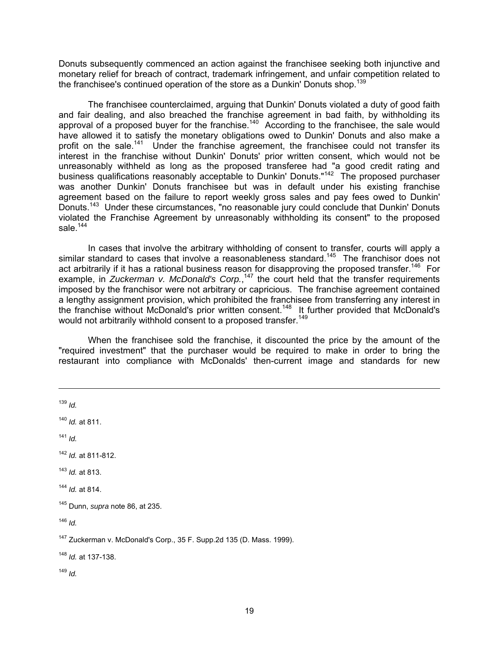Donuts subsequently commenced an action against the franchisee seeking both injunctive and monetary relief for breach of contract, trademark infringement, and unfair competition related to the franchisee's continued operation of the store as a Dunkin' Donuts shop.<sup>139</sup>

The franchisee counterclaimed, arguing that Dunkin' Donuts violated a duty of good faith and fair dealing, and also breached the franchise agreement in bad faith, by withholding its approval of a proposed buyer for the franchise.<sup>140</sup> According to the franchisee, the sale would have allowed it to satisfy the monetary obligations owed to Dunkin' Donuts and also make a profit on the sale.<sup>141</sup> Under the franchise agreement, the franchisee could not transfer its interest in the franchise without Dunkin' Donuts' prior written consent, which would not be unreasonably withheld as long as the proposed transferee had "a good credit rating and business qualifications reasonably acceptable to Dunkin' Donuts."142 The proposed purchaser was another Dunkin' Donuts franchisee but was in default under his existing franchise agreement based on the failure to report weekly gross sales and pay fees owed to Dunkin' Donuts.<sup>143</sup> Under these circumstances, "no reasonable jury could conclude that Dunkin' Donuts violated the Franchise Agreement by unreasonably withholding its consent" to the proposed sale. $144$ 

In cases that involve the arbitrary withholding of consent to transfer, courts will apply a similar standard to cases that involve a reasonableness standard.<sup>145</sup> The franchisor does not act arbitrarily if it has a rational business reason for disapproving the proposed transfer.<sup>146</sup> For example, in *Zuckerman v. McDonald's Corp.*,<sup>147</sup> the court held that the transfer requirements imposed by the franchisor were not arbitrary or capricious. The franchise agreement contained a lengthy assignment provision, which prohibited the franchisee from transferring any interest in the franchise without McDonald's prior written consent.<sup>148</sup> It further provided that McDonald's would not arbitrarily withhold consent to a proposed transfer.<sup>149</sup>

When the franchisee sold the franchise, it discounted the price by the amount of the "required investment" that the purchaser would be required to make in order to bring the restaurant into compliance with McDonalds' then-current image and standards for new

<sup>139</sup> *Id.* <sup>140</sup> *Id.* at 811. <sup>141</sup> *Id.* <sup>142</sup> *Id.* at 811-812. <sup>143</sup> *Id.* at 813. <sup>144</sup> *Id.* at 814. 145 Dunn, *supra* note 86, at 235.  $146$  *Id.* 147 Zuckerman v. McDonald's Corp., 35 F. Supp.2d 135 (D. Mass. 1999). <sup>148</sup> *Id.* at 137-138.

<sup>149</sup> *Id.*

-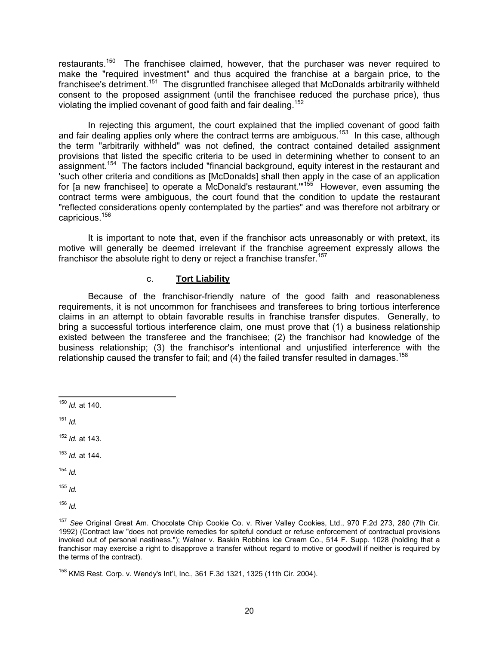restaurants.<sup>150</sup> The franchisee claimed, however, that the purchaser was never required to make the "required investment" and thus acquired the franchise at a bargain price, to the franchisee's detriment.<sup>151</sup> The disgruntled franchisee alleged that McDonalds arbitrarily withheld consent to the proposed assignment (until the franchisee reduced the purchase price), thus violating the implied covenant of good faith and fair dealing.152

In rejecting this argument, the court explained that the implied covenant of good faith and fair dealing applies only where the contract terms are ambiguous.<sup>153</sup> In this case, although the term "arbitrarily withheld" was not defined, the contract contained detailed assignment provisions that listed the specific criteria to be used in determining whether to consent to an assignment.<sup>154</sup> The factors included "financial background, equity interest in the restaurant and 'such other criteria and conditions as [McDonalds] shall then apply in the case of an application for [a new franchisee] to operate a McDonald's restaurant."<sup>155</sup> However, even assuming the contract terms were ambiguous, the court found that the condition to update the restaurant "reflected considerations openly contemplated by the parties" and was therefore not arbitrary or capricious.156

It is important to note that, even if the franchisor acts unreasonably or with pretext, its motive will generally be deemed irrelevant if the franchise agreement expressly allows the franchisor the absolute right to deny or reject a franchise transfer.<sup>157</sup>

### c. **Tort Liability**

Because of the franchisor-friendly nature of the good faith and reasonableness requirements, it is not uncommon for franchisees and transferees to bring tortious interference claims in an attempt to obtain favorable results in franchise transfer disputes. Generally, to bring a successful tortious interference claim, one must prove that (1) a business relationship existed between the transferee and the franchisee; (2) the franchisor had knowledge of the business relationship; (3) the franchisor's intentional and unjustified interference with the relationship caused the transfer to fail; and  $(4)$  the failed transfer resulted in damages.<sup>158</sup>

<sup>151</sup> *Id.*

<sup>152</sup> *Id.* at 143.

<sup>153</sup> *Id.* at 144.

<sup>154</sup> *Id.*

<sup>155</sup> *Id.* 

 $\overline{1}$ <sup>150</sup> *Id.* at 140.

<sup>157</sup> *See* Original Great Am. Chocolate Chip Cookie Co. v. River Valley Cookies, Ltd., 970 F.2d 273, 280 (7th Cir. 1992) (Contract law "does not provide remedies for spiteful conduct or refuse enforcement of contractual provisions invoked out of personal nastiness."); Walner v. Baskin Robbins Ice Cream Co., 514 F. Supp. 1028 (holding that a franchisor may exercise a right to disapprove a transfer without regard to motive or goodwill if neither is required by the terms of the contract).

<sup>&</sup>lt;sup>158</sup> KMS Rest. Corp. v. Wendy's Int'l, Inc., 361 F.3d 1321, 1325 (11th Cir. 2004).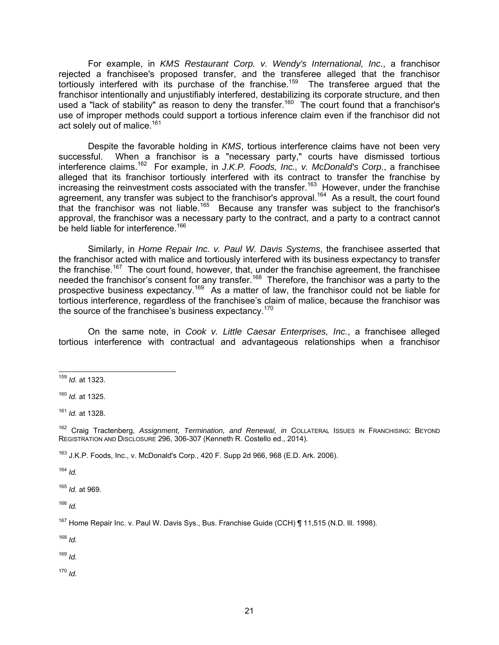For example, in *KMS Restaurant Corp. v. Wendy's International, Inc.*, a franchisor rejected a franchisee's proposed transfer, and the transferee alleged that the franchisor tortiously interfered with its purchase of the franchise.<sup>159</sup> The transferee argued that the franchisor intentionally and unjustifiably interfered, destabilizing its corporate structure, and then used a "lack of stability" as reason to deny the transfer.<sup>160</sup> The court found that a franchisor's use of improper methods could support a tortious inference claim even if the franchisor did not act solely out of malice.<sup>161</sup>

Despite the favorable holding in *KMS*, tortious interference claims have not been very successful. When a franchisor is a "necessary party," courts have dismissed tortious interference claims.162 For example, in *J.K.P. Foods, Inc., v. McDonald's Corp.*, a franchisee alleged that its franchisor tortiously interfered with its contract to transfer the franchise by increasing the reinvestment costs associated with the transfer.<sup>163</sup> However, under the franchise agreement, any transfer was subject to the franchisor's approval.<sup>164</sup> As a result, the court found that the franchisor was not liable.<sup>165</sup> Because any transfer was subject to the franchisor's approval, the franchisor was a necessary party to the contract, and a party to a contract cannot be held liable for interference.<sup>166</sup>

Similarly, in *Home Repair Inc. v. Paul W. Davis Systems*, the franchisee asserted that the franchisor acted with malice and tortiously interfered with its business expectancy to transfer the franchise.<sup>167</sup> The court found, however, that, under the franchise agreement, the franchisee needed the franchisor's consent for any transfer.<sup>168</sup> Therefore, the franchisor was a party to the prospective business expectancy.169 As a matter of law, the franchisor could not be liable for tortious interference, regardless of the franchisee's claim of malice, because the franchisor was the source of the franchisee's business expectancy.<sup>170</sup>

On the same note, in *Cook v. Little Caesar Enterprises, Inc.*, a franchisee alleged tortious interference with contractual and advantageous relationships when a franchisor

<sup>164</sup> *Id.*

<sup>165</sup> *Id.* at 969.

<sup>166</sup> *Id.*

<sup>168</sup> *Id.*

<sup>169</sup> *Id.*

 $\overline{1}$ <sup>159</sup> *Id.* at 1323.

<sup>160</sup> *Id.* at 1325.

<sup>161</sup> *Id.* at 1328.

<sup>162</sup> Craig Tractenberg, *Assignment, Termination, and Renewal, in* COLLATERAL ISSUES IN FRANCHISING: BEYOND REGISTRATION AND DISCLOSURE 296, 306-307 (Kenneth R. Costello ed., 2014).

 $163$  J.K.P. Foods, Inc., v. McDonald's Corp., 420 F. Supp 2d 966, 968 (E.D. Ark. 2006).

<sup>&</sup>lt;sup>167</sup> Home Repair Inc. v. Paul W. Davis Sys., Bus. Franchise Guide (CCH) ¶ 11,515 (N.D. III. 1998).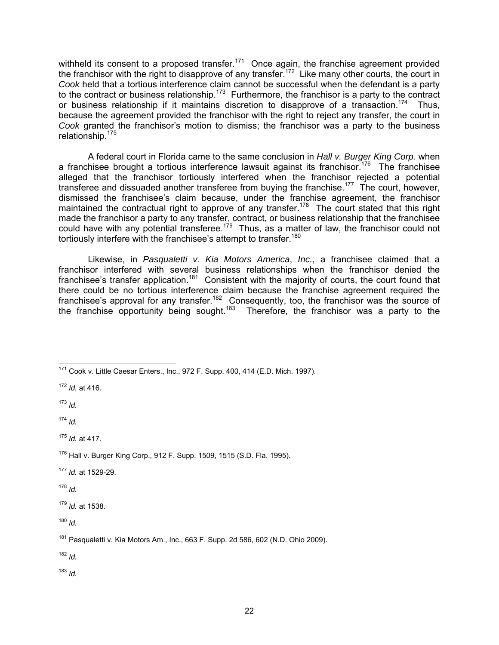withheld its consent to a proposed transfer.<sup>171</sup> Once again, the franchise agreement provided the franchisor with the right to disapprove of any transfer.<sup>172</sup> Like many other courts, the court in *Cook* held that a tortious interference claim cannot be successful when the defendant is a party to the contract or business relationship.<sup>173</sup> Furthermore, the franchisor is a party to the contract or business relationship if it maintains discretion to disapprove of a transaction.<sup>174</sup> Thus, because the agreement provided the franchisor with the right to reject any transfer, the court in *Cook* granted the franchisor's motion to dismiss; the franchisor was a party to the business relationship.175

A federal court in Florida came to the same conclusion in *Hall v. Burger King Corp.* when a franchisee brought a tortious interference lawsuit against its franchisor.<sup>176</sup> The franchisee alleged that the franchisor tortiously interfered when the franchisor rejected a potential transferee and dissuaded another transferee from buying the franchise.<sup>177</sup> The court, however, dismissed the franchisee's claim because, under the franchise agreement, the franchisor maintained the contractual right to approve of any transfer.<sup>178</sup> The court stated that this right made the franchisor a party to any transfer, contract, or business relationship that the franchisee could have with any potential transferee.179 Thus, as a matter of law, the franchisor could not tortiously interfere with the franchisee's attempt to transfer.<sup>180</sup>

Likewise, in *Pasqualetti v. Kia Motors America*, *Inc.*, a franchisee claimed that a franchisor interfered with several business relationships when the franchisor denied the franchisee's transfer application.181 Consistent with the majority of courts, the court found that there could be no tortious interference claim because the franchise agreement required the franchisee's approval for any transfer.<sup>182</sup> Consequently, too, the franchisor was the source of the franchise opportunity being sought.<sup>183</sup> Therefore, the franchisor was a party to the

<sup>172</sup> *Id.* at 416.

 $173$  *Id.* 

 $174$  *Id.* 

<sup>175</sup> *Id.* at 417.

<sup>177</sup> *Id.* at 1529-29.

 $178$  *Id.* 

 $180$  *Id.* 

<sup>182</sup> *Id.*

 $\overline{\phantom{a}}$  $171$  Cook v. Little Caesar Enters., Inc., 972 F. Supp. 400, 414 (E.D. Mich. 1997).

 $176$  Hall v. Burger King Corp., 912 F. Supp. 1509, 1515 (S.D. Fla. 1995).

<sup>179</sup> *Id.* at 1538.

<sup>181</sup> Pasqualetti v. Kia Motors Am., Inc., 663 F. Supp. 2d 586, 602 (N.D. Ohio 2009).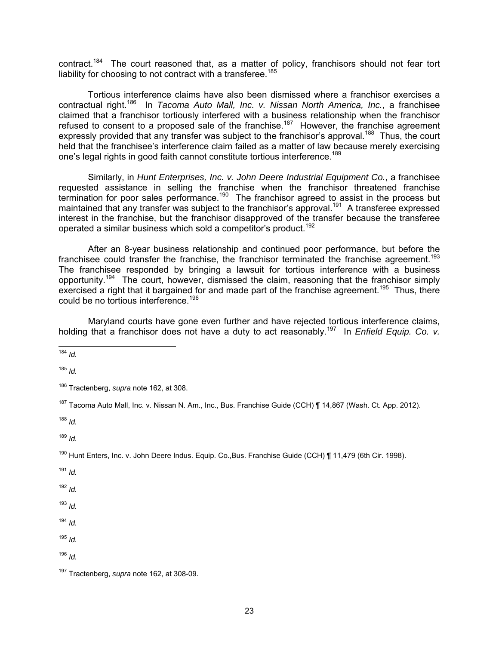contract.<sup>184</sup> The court reasoned that, as a matter of policy, franchisors should not fear tort liability for choosing to not contract with a transferee.<sup>185</sup>

Tortious interference claims have also been dismissed where a franchisor exercises a contractual right.186 In *Tacoma Auto Mall, Inc. v. Nissan North America, Inc.*, a franchisee claimed that a franchisor tortiously interfered with a business relationship when the franchisor refused to consent to a proposed sale of the franchise.187 However, the franchise agreement expressly provided that any transfer was subject to the franchisor's approval.<sup>188</sup> Thus, the court held that the franchisee's interference claim failed as a matter of law because merely exercising one's legal rights in good faith cannot constitute tortious interference.<sup>189</sup>

Similarly, in *Hunt Enterprises, Inc. v. John Deere Industrial Equipment Co.*, a franchisee requested assistance in selling the franchise when the franchisor threatened franchise termination for poor sales performance.<sup>190</sup> The franchisor agreed to assist in the process but maintained that any transfer was subject to the franchisor's approval.<sup>191</sup> A transferee expressed interest in the franchise, but the franchisor disapproved of the transfer because the transferee operated a similar business which sold a competitor's product.<sup>192</sup>

After an 8-year business relationship and continued poor performance, but before the franchisee could transfer the franchise, the franchisor terminated the franchise agreement.<sup>193</sup> The franchisee responded by bringing a lawsuit for tortious interference with a business opportunity.194 The court, however, dismissed the claim, reasoning that the franchisor simply exercised a right that it bargained for and made part of the franchise agreement.<sup>195</sup> Thus, there could be no tortious interference.<sup>196</sup>

Maryland courts have gone even further and have rejected tortious interference claims, holding that a franchisor does not have a duty to act reasonably.<sup>197</sup> In *Enfield Equip.* Co. v.

 $\overline{1}$ <sup>184</sup> *Id.*

<sup>185</sup> *Id.*

186 Tractenberg, *supra* note 162, at 308.

<sup>187</sup> Tacoma Auto Mall, Inc. v. Nissan N. Am., Inc., Bus. Franchise Guide (CCH) ¶ 14,867 (Wash. Ct. App. 2012).

<sup>188</sup> *Id.*

<sup>189</sup> *Id.*

190 Hunt Enters, Inc. v. John Deere Indus. Equip. Co.,Bus. Franchise Guide (CCH) ¶ 11,479 (6th Cir. 1998).

<sup>191</sup> *Id.*

<sup>192</sup> *Id.*

 $193$  *Id.* 

- <sup>194</sup> *Id.*
- <sup>195</sup> *Id.*

<sup>197</sup> Tractenberg, *supra* note 162, at 308-09.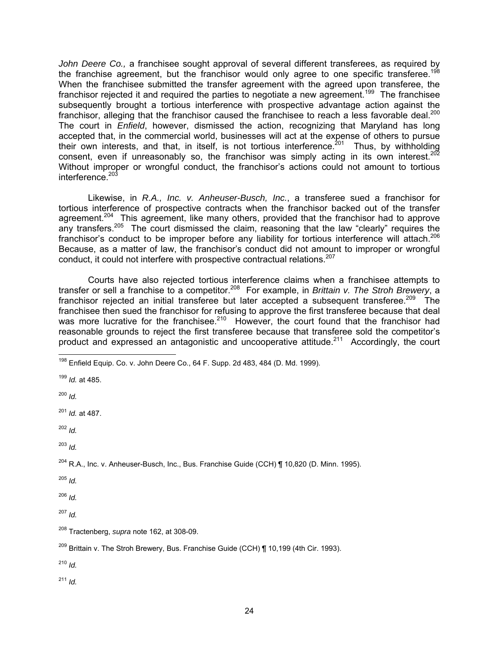*John Deere Co.,* a franchisee sought approval of several different transferees, as required by the franchise agreement, but the franchisor would only agree to one specific transferee.<sup>198</sup> When the franchisee submitted the transfer agreement with the agreed upon transferee, the franchisor rejected it and required the parties to negotiate a new agreement.<sup>199</sup> The franchisee subsequently brought a tortious interference with prospective advantage action against the franchisor, alleging that the franchisor caused the franchisee to reach a less favorable deal.<sup>200</sup> The court in *Enfield*, however, dismissed the action, recognizing that Maryland has long accepted that, in the commercial world, businesses will act at the expense of others to pursue their own interests, and that, in itself, is not tortious interference.<sup>201</sup> Thus, by withholding consent, even if unreasonably so, the franchisor was simply acting in its own interest.<sup>202</sup> Without improper or wrongful conduct, the franchisor's actions could not amount to tortious interference.<sup>203</sup>

Likewise, in *R.A., Inc. v. Anheuser-Busch, Inc.*, a transferee sued a franchisor for tortious interference of prospective contracts when the franchisor backed out of the transfer agreement.<sup>204</sup> This agreement, like many others, provided that the franchisor had to approve any transfers.<sup>205</sup> The court dismissed the claim, reasoning that the law "clearly" requires the franchisor's conduct to be improper before any liability for tortious interference will attach.<sup>206</sup> Because, as a matter of law, the franchisor's conduct did not amount to improper or wrongful conduct, it could not interfere with prospective contractual relations.<sup>207</sup>

Courts have also rejected tortious interference claims when a franchisee attempts to transfer or sell a franchise to a competitor.208 For example, in *Brittain v. The Stroh Brewery*, a franchisor rejected an initial transferee but later accepted a subsequent transferee.<sup>209</sup> The franchisee then sued the franchisor for refusing to approve the first transferee because that deal was more lucrative for the franchisee.<sup>210</sup> However, the court found that the franchisor had reasonable grounds to reject the first transferee because that transferee sold the competitor's product and expressed an antagonistic and uncooperative attitude.<sup>211</sup> Accordingly, the court

 $\overline{1}$ 

<sup>203</sup> *Id.*

 $^{204}$  R.A., Inc. v. Anheuser-Busch, Inc., Bus. Franchise Guide (CCH) ¶ 10,820 (D. Minn. 1995).

<sup>205</sup> *Id.*

<sup>206</sup> *Id.*

<sup>207</sup> *Id.*

<sup>210</sup> *Id.*

 $198$  Enfield Equip. Co. v. John Deere Co., 64 F. Supp. 2d 483, 484 (D. Md. 1999).

<sup>199</sup> *Id.* at 485.

<sup>200</sup> *Id.*

<sup>201</sup> *Id.* at 487.

<sup>202</sup> *Id.*

<sup>208</sup> Tractenberg, *supra* note 162, at 308-09.

 $^{209}$  Brittain v. The Stroh Brewery, Bus. Franchise Guide (CCH) ¶ 10,199 (4th Cir. 1993).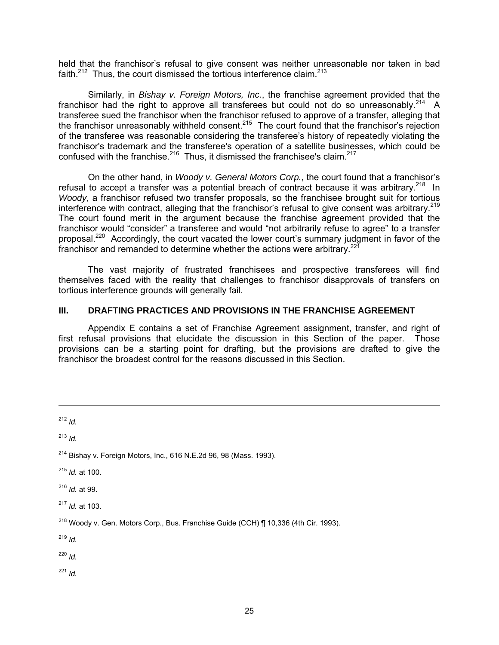held that the franchisor's refusal to give consent was neither unreasonable nor taken in bad faith. $212$  Thus, the court dismissed the tortious interference claim. $213$ 

Similarly, in *Bishay v. Foreign Motors, Inc.*, the franchise agreement provided that the franchisor had the right to approve all transferees but could not do so unreasonably.<sup>214</sup> A transferee sued the franchisor when the franchisor refused to approve of a transfer, alleging that the franchisor unreasonably withheld consent.<sup>215</sup> The court found that the franchisor's rejection of the transferee was reasonable considering the transferee's history of repeatedly violating the franchisor's trademark and the transferee's operation of a satellite businesses, which could be confused with the franchise.<sup>216</sup> Thus, it dismissed the franchisee's claim.<sup>217</sup>

On the other hand, in *Woody v. General Motors Corp.*, the court found that a franchisor's refusal to accept a transfer was a potential breach of contract because it was arbitrary.<sup>218</sup> In *Woody*, a franchisor refused two transfer proposals, so the franchisee brought suit for tortious interference with contract, alleging that the franchisor's refusal to give consent was arbitrary.<sup>219</sup> The court found merit in the argument because the franchise agreement provided that the franchisor would "consider" a transferee and would "not arbitrarily refuse to agree" to a transfer proposal.220 Accordingly, the court vacated the lower court's summary judgment in favor of the franchisor and remanded to determine whether the actions were arbitrary.<sup>221</sup>

The vast majority of frustrated franchisees and prospective transferees will find themselves faced with the reality that challenges to franchisor disapprovals of transfers on tortious interference grounds will generally fail.

# **III. DRAFTING PRACTICES AND PROVISIONS IN THE FRANCHISE AGREEMENT**

Appendix E contains a set of Franchise Agreement assignment, transfer, and right of first refusal provisions that elucidate the discussion in this Section of the paper. Those provisions can be a starting point for drafting, but the provisions are drafted to give the franchisor the broadest control for the reasons discussed in this Section.

<sup>212</sup> *Id.*

-

<sup>213</sup> *Id.*

<sup>215</sup> *Id.* at 100.

<sup>216</sup> *Id.* at 99.

<sup>217</sup> *Id.* at 103.

<sup>219</sup> *Id.*

<sup>220</sup> *Id.*

 $214$  Bishay v. Foreign Motors, Inc., 616 N.E.2d 96, 98 (Mass. 1993).

<sup>&</sup>lt;sup>218</sup> Woody v. Gen. Motors Corp., Bus. Franchise Guide (CCH)  $\P$  10,336 (4th Cir. 1993).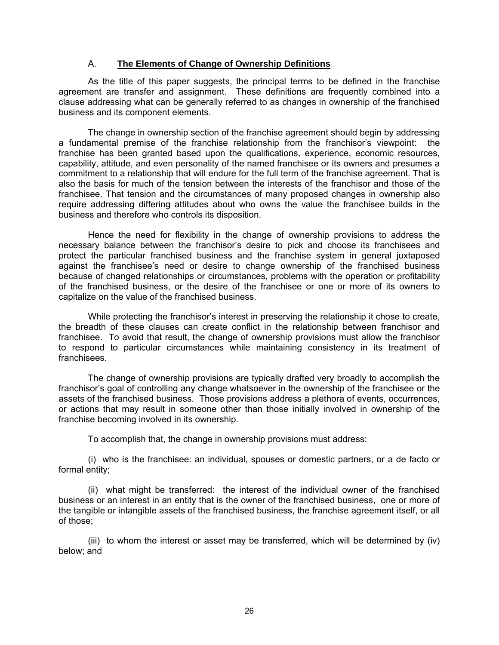### A. **The Elements of Change of Ownership Definitions**

As the title of this paper suggests, the principal terms to be defined in the franchise agreement are transfer and assignment. These definitions are frequently combined into a clause addressing what can be generally referred to as changes in ownership of the franchised business and its component elements.

The change in ownership section of the franchise agreement should begin by addressing a fundamental premise of the franchise relationship from the franchisor's viewpoint: the franchise has been granted based upon the qualifications, experience, economic resources, capability, attitude, and even personality of the named franchisee or its owners and presumes a commitment to a relationship that will endure for the full term of the franchise agreement. That is also the basis for much of the tension between the interests of the franchisor and those of the franchisee. That tension and the circumstances of many proposed changes in ownership also require addressing differing attitudes about who owns the value the franchisee builds in the business and therefore who controls its disposition.

Hence the need for flexibility in the change of ownership provisions to address the necessary balance between the franchisor's desire to pick and choose its franchisees and protect the particular franchised business and the franchise system in general juxtaposed against the franchisee's need or desire to change ownership of the franchised business because of changed relationships or circumstances, problems with the operation or profitability of the franchised business, or the desire of the franchisee or one or more of its owners to capitalize on the value of the franchised business.

While protecting the franchisor's interest in preserving the relationship it chose to create, the breadth of these clauses can create conflict in the relationship between franchisor and franchisee. To avoid that result, the change of ownership provisions must allow the franchisor to respond to particular circumstances while maintaining consistency in its treatment of franchisees.

The change of ownership provisions are typically drafted very broadly to accomplish the franchisor's goal of controlling any change whatsoever in the ownership of the franchisee or the assets of the franchised business. Those provisions address a plethora of events, occurrences, or actions that may result in someone other than those initially involved in ownership of the franchise becoming involved in its ownership.

To accomplish that, the change in ownership provisions must address:

(i) who is the franchisee: an individual, spouses or domestic partners, or a de facto or formal entity;

(ii) what might be transferred: the interest of the individual owner of the franchised business or an interest in an entity that is the owner of the franchised business, one or more of the tangible or intangible assets of the franchised business, the franchise agreement itself, or all of those;

(iii) to whom the interest or asset may be transferred, which will be determined by (iv) below; and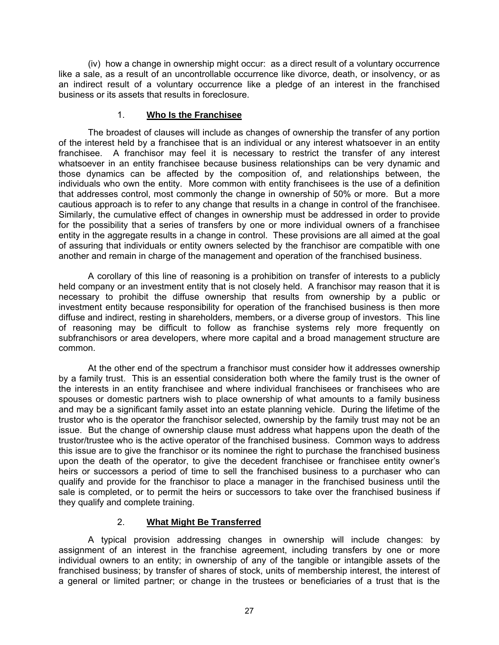(iv) how a change in ownership might occur: as a direct result of a voluntary occurrence like a sale, as a result of an uncontrollable occurrence like divorce, death, or insolvency, or as an indirect result of a voluntary occurrence like a pledge of an interest in the franchised business or its assets that results in foreclosure.

### 1. **Who Is the Franchisee**

The broadest of clauses will include as changes of ownership the transfer of any portion of the interest held by a franchisee that is an individual or any interest whatsoever in an entity franchisee. A franchisor may feel it is necessary to restrict the transfer of any interest whatsoever in an entity franchisee because business relationships can be very dynamic and those dynamics can be affected by the composition of, and relationships between, the individuals who own the entity. More common with entity franchisees is the use of a definition that addresses control, most commonly the change in ownership of 50% or more. But a more cautious approach is to refer to any change that results in a change in control of the franchisee. Similarly, the cumulative effect of changes in ownership must be addressed in order to provide for the possibility that a series of transfers by one or more individual owners of a franchisee entity in the aggregate results in a change in control. These provisions are all aimed at the goal of assuring that individuals or entity owners selected by the franchisor are compatible with one another and remain in charge of the management and operation of the franchised business.

A corollary of this line of reasoning is a prohibition on transfer of interests to a publicly held company or an investment entity that is not closely held. A franchisor may reason that it is necessary to prohibit the diffuse ownership that results from ownership by a public or investment entity because responsibility for operation of the franchised business is then more diffuse and indirect, resting in shareholders, members, or a diverse group of investors. This line of reasoning may be difficult to follow as franchise systems rely more frequently on subfranchisors or area developers, where more capital and a broad management structure are common.

At the other end of the spectrum a franchisor must consider how it addresses ownership by a family trust. This is an essential consideration both where the family trust is the owner of the interests in an entity franchisee and where individual franchisees or franchisees who are spouses or domestic partners wish to place ownership of what amounts to a family business and may be a significant family asset into an estate planning vehicle. During the lifetime of the trustor who is the operator the franchisor selected, ownership by the family trust may not be an issue. But the change of ownership clause must address what happens upon the death of the trustor/trustee who is the active operator of the franchised business. Common ways to address this issue are to give the franchisor or its nominee the right to purchase the franchised business upon the death of the operator, to give the decedent franchisee or franchisee entity owner's heirs or successors a period of time to sell the franchised business to a purchaser who can qualify and provide for the franchisor to place a manager in the franchised business until the sale is completed, or to permit the heirs or successors to take over the franchised business if they qualify and complete training.

# 2. **What Might Be Transferred**

A typical provision addressing changes in ownership will include changes: by assignment of an interest in the franchise agreement, including transfers by one or more individual owners to an entity; in ownership of any of the tangible or intangible assets of the franchised business; by transfer of shares of stock, units of membership interest, the interest of a general or limited partner; or change in the trustees or beneficiaries of a trust that is the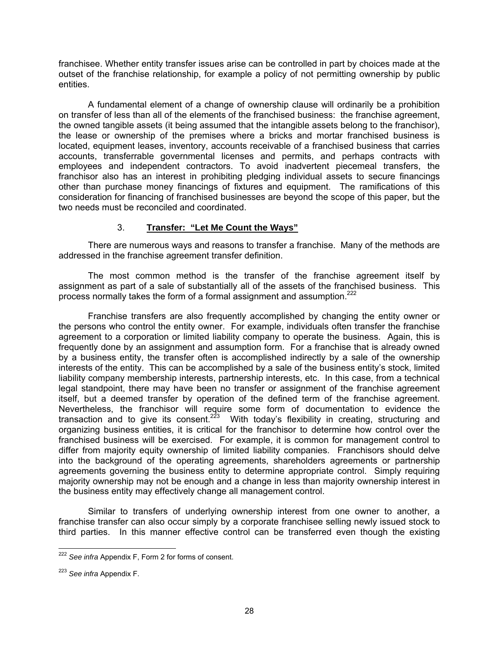franchisee. Whether entity transfer issues arise can be controlled in part by choices made at the outset of the franchise relationship, for example a policy of not permitting ownership by public entities.

A fundamental element of a change of ownership clause will ordinarily be a prohibition on transfer of less than all of the elements of the franchised business: the franchise agreement, the owned tangible assets (it being assumed that the intangible assets belong to the franchisor), the lease or ownership of the premises where a bricks and mortar franchised business is located, equipment leases, inventory, accounts receivable of a franchised business that carries accounts, transferrable governmental licenses and permits, and perhaps contracts with employees and independent contractors. To avoid inadvertent piecemeal transfers, the franchisor also has an interest in prohibiting pledging individual assets to secure financings other than purchase money financings of fixtures and equipment. The ramifications of this consideration for financing of franchised businesses are beyond the scope of this paper, but the two needs must be reconciled and coordinated.

# 3. **Transfer: "Let Me Count the Ways"**

There are numerous ways and reasons to transfer a franchise. Many of the methods are addressed in the franchise agreement transfer definition.

The most common method is the transfer of the franchise agreement itself by assignment as part of a sale of substantially all of the assets of the franchised business. This process normally takes the form of a formal assignment and assumption.<sup>222</sup>

Franchise transfers are also frequently accomplished by changing the entity owner or the persons who control the entity owner. For example, individuals often transfer the franchise agreement to a corporation or limited liability company to operate the business. Again, this is frequently done by an assignment and assumption form. For a franchise that is already owned by a business entity, the transfer often is accomplished indirectly by a sale of the ownership interests of the entity. This can be accomplished by a sale of the business entity's stock, limited liability company membership interests, partnership interests, etc. In this case, from a technical legal standpoint, there may have been no transfer or assignment of the franchise agreement itself, but a deemed transfer by operation of the defined term of the franchise agreement. Nevertheless, the franchisor will require some form of documentation to evidence the transaction and to give its consent.<sup>223</sup> With today's flexibility in creating, structuring and organizing business entities, it is critical for the franchisor to determine how control over the franchised business will be exercised. For example, it is common for management control to differ from majority equity ownership of limited liability companies. Franchisors should delve into the background of the operating agreements, shareholders agreements or partnership agreements governing the business entity to determine appropriate control. Simply requiring majority ownership may not be enough and a change in less than majority ownership interest in the business entity may effectively change all management control.

Similar to transfers of underlying ownership interest from one owner to another, a franchise transfer can also occur simply by a corporate franchisee selling newly issued stock to third parties. In this manner effective control can be transferred even though the existing

 $\overline{a}$ <sup>222</sup> *See infra* Appendix F, Form 2 for forms of consent.

<sup>223</sup> *See infra* Appendix F.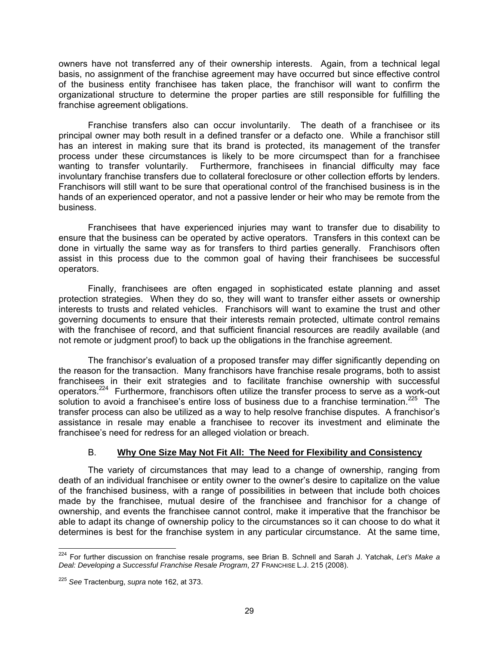owners have not transferred any of their ownership interests. Again, from a technical legal basis, no assignment of the franchise agreement may have occurred but since effective control of the business entity franchisee has taken place, the franchisor will want to confirm the organizational structure to determine the proper parties are still responsible for fulfilling the franchise agreement obligations.

Franchise transfers also can occur involuntarily. The death of a franchisee or its principal owner may both result in a defined transfer or a defacto one. While a franchisor still has an interest in making sure that its brand is protected, its management of the transfer process under these circumstances is likely to be more circumspect than for a franchisee wanting to transfer voluntarily. Furthermore, franchisees in financial difficulty may face involuntary franchise transfers due to collateral foreclosure or other collection efforts by lenders. Franchisors will still want to be sure that operational control of the franchised business is in the hands of an experienced operator, and not a passive lender or heir who may be remote from the business.

Franchisees that have experienced injuries may want to transfer due to disability to ensure that the business can be operated by active operators. Transfers in this context can be done in virtually the same way as for transfers to third parties generally. Franchisors often assist in this process due to the common goal of having their franchisees be successful operators.

Finally, franchisees are often engaged in sophisticated estate planning and asset protection strategies. When they do so, they will want to transfer either assets or ownership interests to trusts and related vehicles. Franchisors will want to examine the trust and other governing documents to ensure that their interests remain protected, ultimate control remains with the franchisee of record, and that sufficient financial resources are readily available (and not remote or judgment proof) to back up the obligations in the franchise agreement.

The franchisor's evaluation of a proposed transfer may differ significantly depending on the reason for the transaction. Many franchisors have franchise resale programs, both to assist franchisees in their exit strategies and to facilitate franchise ownership with successful operators.224 Furthermore, franchisors often utilize the transfer process to serve as a work-out solution to avoid a franchisee's entire loss of business due to a franchise termination.<sup>225</sup> The transfer process can also be utilized as a way to help resolve franchise disputes. A franchisor's assistance in resale may enable a franchisee to recover its investment and eliminate the franchisee's need for redress for an alleged violation or breach.

# B. **Why One Size May Not Fit All: The Need for Flexibility and Consistency**

The variety of circumstances that may lead to a change of ownership, ranging from death of an individual franchisee or entity owner to the owner's desire to capitalize on the value of the franchised business, with a range of possibilities in between that include both choices made by the franchisee, mutual desire of the franchisee and franchisor for a change of ownership, and events the franchisee cannot control, make it imperative that the franchisor be able to adapt its change of ownership policy to the circumstances so it can choose to do what it determines is best for the franchise system in any particular circumstance. At the same time,

 $\overline{a}$ 224 For further discussion on franchise resale programs, see Brian B. Schnell and Sarah J. Yatchak, *Let's Make a Deal: Developing a Successful Franchise Resale Program*, 27 FRANCHISE L.J. 215 (2008).

<sup>225</sup> *See* Tractenburg, *supra* note 162, at 373.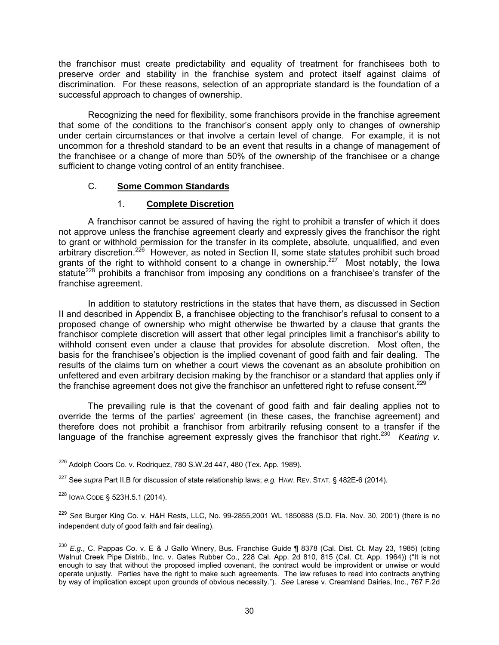the franchisor must create predictability and equality of treatment for franchisees both to preserve order and stability in the franchise system and protect itself against claims of discrimination. For these reasons, selection of an appropriate standard is the foundation of a successful approach to changes of ownership.

Recognizing the need for flexibility, some franchisors provide in the franchise agreement that some of the conditions to the franchisor's consent apply only to changes of ownership under certain circumstances or that involve a certain level of change. For example, it is not uncommon for a threshold standard to be an event that results in a change of management of the franchisee or a change of more than 50% of the ownership of the franchisee or a change sufficient to change voting control of an entity franchisee.

# C. **Some Common Standards**

# 1. **Complete Discretion**

A franchisor cannot be assured of having the right to prohibit a transfer of which it does not approve unless the franchise agreement clearly and expressly gives the franchisor the right to grant or withhold permission for the transfer in its complete, absolute, unqualified, and even arbitrary discretion.<sup>226</sup> However, as noted in Section II, some state statutes prohibit such broad grants of the right to withhold consent to a change in ownership.<sup>227</sup> Most notably, the Iowa statute<sup>228</sup> prohibits a franchisor from imposing any conditions on a franchisee's transfer of the franchise agreement.

In addition to statutory restrictions in the states that have them, as discussed in Section II and described in Appendix B, a franchisee objecting to the franchisor's refusal to consent to a proposed change of ownership who might otherwise be thwarted by a clause that grants the franchisor complete discretion will assert that other legal principles limit a franchisor's ability to withhold consent even under a clause that provides for absolute discretion. Most often, the basis for the franchisee's objection is the implied covenant of good faith and fair dealing. The results of the claims turn on whether a court views the covenant as an absolute prohibition on unfettered and even arbitrary decision making by the franchisor or a standard that applies only if the franchise agreement does not give the franchisor an unfettered right to refuse consent.<sup>229</sup>

The prevailing rule is that the covenant of good faith and fair dealing applies not to override the terms of the parties' agreement (in these cases, the franchise agreement) and therefore does not prohibit a franchisor from arbitrarily refusing consent to a transfer if the language of the franchise agreement expressly gives the franchisor that right.<sup>230</sup> *Keating v.* 

 $\overline{a}$  $^{226}$  Adolph Coors Co. v. Rodriquez, 780 S.W.2d 447, 480 (Tex. App. 1989).

<sup>227</sup> See *supra* Part II.B for discussion of state relationship laws; *e.g.* HAW. REV. STAT. § 482E-6 (2014).

<sup>228</sup> IOWA CODE § 523H.5.1 (2014).

<sup>229</sup> *See* Burger King Co. v. H&H Rests, LLC, No. 99-2855,2001 WL 1850888 (S.D. Fla. Nov. 30, 2001) (there is no independent duty of good faith and fair dealing).

<sup>230</sup> *E.g.*, C. Pappas Co. v. E & J Gallo Winery, Bus. Franchise Guide ¶ 8378 (Cal. Dist. Ct. May 23, 1985) (citing Walnut Creek Pipe Distrib., Inc. v. Gates Rubber Co., 228 Cal. App. 2d 810, 815 (Cal. Ct. App. 1964)) ("It is not enough to say that without the proposed implied covenant, the contract would be improvident or unwise or would operate unjustly. Parties have the right to make such agreements. The law refuses to read into contracts anything by way of implication except upon grounds of obvious necessity."). *See* Larese v. Creamland Dairies, Inc., 767 F.2d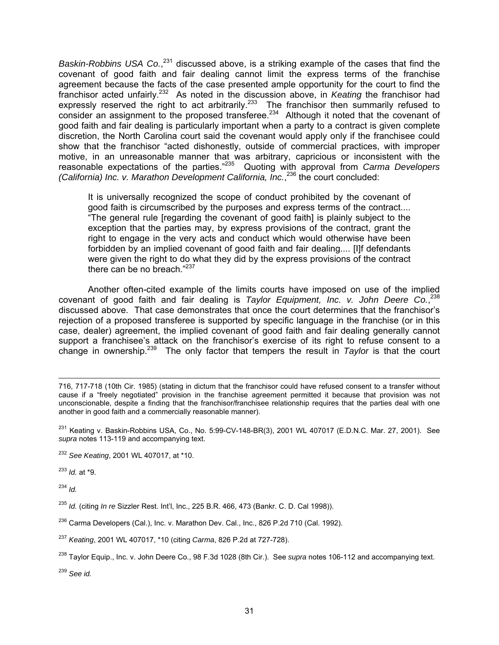Baskin-Robbins USA Co.,<sup>231</sup> discussed above, is a striking example of the cases that find the covenant of good faith and fair dealing cannot limit the express terms of the franchise agreement because the facts of the case presented ample opportunity for the court to find the franchisor acted unfairly.232 As noted in the discussion above, in *Keating* the franchisor had expressly reserved the right to act arbitrarily.<sup>233</sup> The franchisor then summarily refused to consider an assignment to the proposed transferee.<sup>234</sup> Although it noted that the covenant of good faith and fair dealing is particularly important when a party to a contract is given complete discretion, the North Carolina court said the covenant would apply only if the franchisee could show that the franchisor "acted dishonestly, outside of commercial practices, with improper motive, in an unreasonable manner that was arbitrary, capricious or inconsistent with the reasonable expectations of the parties."235 Quoting with approval from *Carma Developers (California) Inc. v. Marathon Development California, Inc.*, 236 the court concluded:

It is universally recognized the scope of conduct prohibited by the covenant of good faith is circumscribed by the purposes and express terms of the contract.... "The general rule [regarding the covenant of good faith] is plainly subject to the exception that the parties may, by express provisions of the contract, grant the right to engage in the very acts and conduct which would otherwise have been forbidden by an implied covenant of good faith and fair dealing.... [I]f defendants were given the right to do what they did by the express provisions of the contract there can be no breach."<sup>237</sup>

Another often-cited example of the limits courts have imposed on use of the implied covenant of good faith and fair dealing is *Taylor Equipment, Inc. v. John Deere Co.*, 238 discussed above. That case demonstrates that once the court determines that the franchisor's rejection of a proposed transferee is supported by specific language in the franchise (or in this case, dealer) agreement, the implied covenant of good faith and fair dealing generally cannot support a franchisee's attack on the franchisor's exercise of its right to refuse consent to a change in ownership.239 The only factor that tempers the result in *Taylor* is that the court

<sup>232</sup> *See Keating*, 2001 WL 407017, at \*10.

<sup>233</sup> *Id.* at \*9.

<sup>234</sup> *Id.*

<sup>235</sup> *Id.* (citing *In re* Sizzler Rest. Int'l, Inc., 225 B.R. 466, 473 (Bankr. C. D. Cal 1998)).

- <sup>236</sup> Carma Developers (Cal.), Inc. v. Marathon Dev. Cal., Inc., 826 P.2d 710 (Cal. 1992).
- <sup>237</sup> *Keating*, 2001 WL 407017, \*10 (citing *Carma*, 826 P.2d at 727-728).
- 238 Taylor Equip., Inc. v. John Deere Co., 98 F.3d 1028 (8th Cir.). See *supra* notes 106-112 and accompanying text.

<sup>239</sup> *See id.*

<sup>-</sup>716, 717-718 (10th Cir. 1985) (stating in dictum that the franchisor could have refused consent to a transfer without cause if a "freely negotiated" provision in the franchise agreement permitted it because that provision was not unconscionable, despite a finding that the franchisor/franchisee relationship requires that the parties deal with one another in good faith and a commercially reasonable manner).

<sup>&</sup>lt;sup>231</sup> Keating v. Baskin-Robbins USA, Co., No. 5:99-CV-148-BR(3), 2001 WL 407017 (E.D.N.C. Mar. 27, 2001). See *supra* notes 113-119 and accompanying text.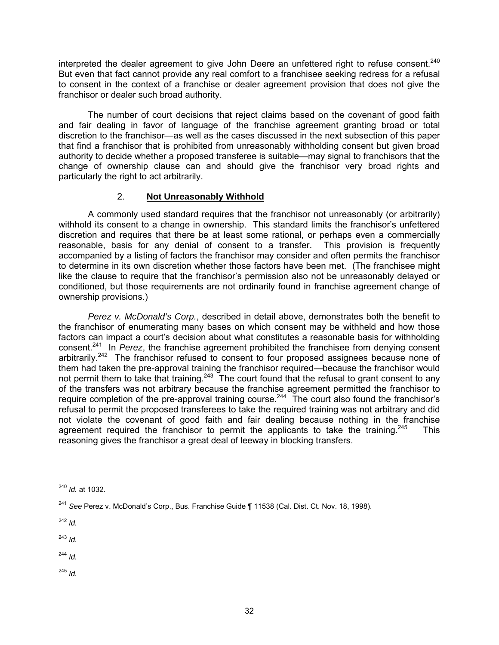interpreted the dealer agreement to give John Deere an unfettered right to refuse consent.<sup>240</sup> But even that fact cannot provide any real comfort to a franchisee seeking redress for a refusal to consent in the context of a franchise or dealer agreement provision that does not give the franchisor or dealer such broad authority.

The number of court decisions that reject claims based on the covenant of good faith and fair dealing in favor of language of the franchise agreement granting broad or total discretion to the franchisor—as well as the cases discussed in the next subsection of this paper that find a franchisor that is prohibited from unreasonably withholding consent but given broad authority to decide whether a proposed transferee is suitable—may signal to franchisors that the change of ownership clause can and should give the franchisor very broad rights and particularly the right to act arbitrarily.

# 2. **Not Unreasonably Withhold**

A commonly used standard requires that the franchisor not unreasonably (or arbitrarily) withhold its consent to a change in ownership. This standard limits the franchisor's unfettered discretion and requires that there be at least some rational, or perhaps even a commercially reasonable, basis for any denial of consent to a transfer. This provision is frequently reasonable, basis for any denial of consent to a transfer. accompanied by a listing of factors the franchisor may consider and often permits the franchisor to determine in its own discretion whether those factors have been met. (The franchisee might like the clause to require that the franchisor's permission also not be unreasonably delayed or conditioned, but those requirements are not ordinarily found in franchise agreement change of ownership provisions.)

*Perez v. McDonald's Corp.*, described in detail above, demonstrates both the benefit to the franchisor of enumerating many bases on which consent may be withheld and how those factors can impact a court's decision about what constitutes a reasonable basis for withholding consent.241 In *Perez*, the franchise agreement prohibited the franchisee from denying consent arbitrarily.<sup>242</sup> The franchisor refused to consent to four proposed assignees because none of them had taken the pre-approval training the franchisor required—because the franchisor would not permit them to take that training.<sup>243</sup> The court found that the refusal to grant consent to any of the transfers was not arbitrary because the franchise agreement permitted the franchisor to require completion of the pre-approval training course.<sup>244</sup> The court also found the franchisor's refusal to permit the proposed transferees to take the required training was not arbitrary and did not violate the covenant of good faith and fair dealing because nothing in the franchise agreement required the franchisor to permit the applicants to take the training.<sup>245</sup> This reasoning gives the franchisor a great deal of leeway in blocking transfers.

<sup>242</sup> *Id.*

<sup>243</sup> *Id.* 

<sup>244</sup> *Id.*

 $\overline{a}$ <sup>240</sup> *Id.* at 1032.

<sup>241</sup> *See* Perez v. McDonald's Corp., Bus. Franchise Guide ¶ 11538 (Cal. Dist. Ct. Nov. 18, 1998).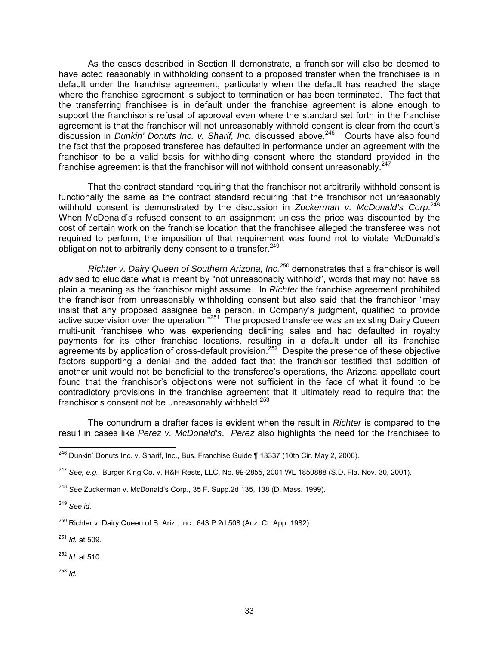As the cases described in Section II demonstrate, a franchisor will also be deemed to have acted reasonably in withholding consent to a proposed transfer when the franchisee is in default under the franchise agreement, particularly when the default has reached the stage where the franchise agreement is subject to termination or has been terminated. The fact that the transferring franchisee is in default under the franchise agreement is alone enough to support the franchisor's refusal of approval even where the standard set forth in the franchise agreement is that the franchisor will not unreasonably withhold consent is clear from the court's discussion in *Dunkin' Donuts Inc. v. Sharif, Inc.* discussed above.<sup>246</sup> Courts have also found the fact that the proposed transferee has defaulted in performance under an agreement with the franchisor to be a valid basis for withholding consent where the standard provided in the franchise agreement is that the franchisor will not withhold consent unreasonably.<sup>247</sup>

That the contract standard requiring that the franchisor not arbitrarily withhold consent is functionally the same as the contract standard requiring that the franchisor not unreasonably withhold consent is demonstrated by the discussion in *Zuckerman v. McDonald's Corp*. 248 When McDonald's refused consent to an assignment unless the price was discounted by the cost of certain work on the franchise location that the franchisee alleged the transferee was not required to perform, the imposition of that requirement was found not to violate McDonald's obligation not to arbitrarily deny consent to a transfer.  $249$ 

*Richter v. Dairy Queen of Southern Arizona, Inc.*250 demonstrates that a franchisor is well advised to elucidate what is meant by "not unreasonably withhold", words that may not have as plain a meaning as the franchisor might assume. In *Richter* the franchise agreement prohibited the franchisor from unreasonably withholding consent but also said that the franchisor "may insist that any proposed assignee be a person, in Company's judgment, qualified to provide active supervision over the operation."<sup>251</sup> The proposed transferee was an existing Dairy Queen multi-unit franchisee who was experiencing declining sales and had defaulted in royalty payments for its other franchise locations, resulting in a default under all its franchise agreements by application of cross-default provision.<sup>252</sup> Despite the presence of these objective factors supporting a denial and the added fact that the franchisor testified that addition of another unit would not be beneficial to the transferee's operations, the Arizona appellate court found that the franchisor's objections were not sufficient in the face of what it found to be contradictory provisions in the franchise agreement that it ultimately read to require that the franchisor's consent not be unreasonably withheld.<sup>253</sup>

The conundrum a drafter faces is evident when the result in *Richter* is compared to the result in cases like *Perez v. McDonald's*. *Perez* also highlights the need for the franchisee to

<sup>252</sup> *Id.* at 510.

<sup>253</sup> *Id.*

 $\overline{a}$  $^{246}$  Dunkin' Donuts Inc. v. Sharif, Inc., Bus. Franchise Guide ¶ 13337 (10th Cir. May 2, 2006).

<sup>247</sup> *See, e.g.,* Burger King Co. v. H&H Rests, LLC, No. 99-2855, 2001 WL 1850888 (S.D. Fla. Nov. 30, 2001).

<sup>248</sup> *See* Zuckerman v. McDonald's Corp., 35 F. Supp.2d 135, 138 (D. Mass. 1999).

<sup>249</sup> *See id.*

 $250$  Richter v. Dairy Queen of S. Ariz., Inc., 643 P.2d 508 (Ariz. Ct. App. 1982).

<sup>251</sup> *Id.* at 509.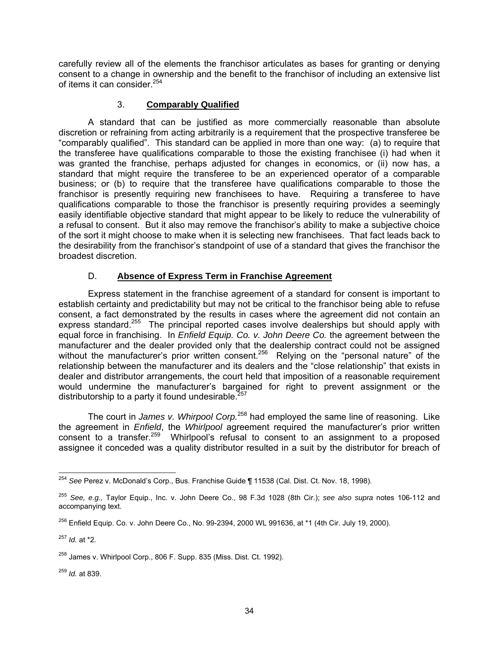carefully review all of the elements the franchisor articulates as bases for granting or denying consent to a change in ownership and the benefit to the franchisor of including an extensive list of items it can consider.<sup>254</sup>

# 3. **Comparably Qualified**

A standard that can be justified as more commercially reasonable than absolute discretion or refraining from acting arbitrarily is a requirement that the prospective transferee be "comparably qualified". This standard can be applied in more than one way: (a) to require that the transferee have qualifications comparable to those the existing franchisee (i) had when it was granted the franchise, perhaps adjusted for changes in economics, or (ii) now has, a standard that might require the transferee to be an experienced operator of a comparable business; or (b) to require that the transferee have qualifications comparable to those the franchisor is presently requiring new franchisees to have. Requiring a transferee to have qualifications comparable to those the franchisor is presently requiring provides a seemingly easily identifiable objective standard that might appear to be likely to reduce the vulnerability of a refusal to consent. But it also may remove the franchisor's ability to make a subjective choice of the sort it might choose to make when it is selecting new franchisees. That fact leads back to the desirability from the franchisor's standpoint of use of a standard that gives the franchisor the broadest discretion.

# D. **Absence of Express Term in Franchise Agreement**

Express statement in the franchise agreement of a standard for consent is important to establish certainty and predictability but may not be critical to the franchisor being able to refuse consent, a fact demonstrated by the results in cases where the agreement did not contain an express standard.<sup>255</sup> The principal reported cases involve dealerships but should apply with equal force in franchising. In *Enfield Equip. Co. v. John Deere Co.* the agreement between the manufacturer and the dealer provided only that the dealership contract could not be assigned without the manufacturer's prior written consent.<sup>256</sup> Relying on the "personal nature" of the relationship between the manufacturer and its dealers and the "close relationship" that exists in dealer and distributor arrangements, the court held that imposition of a reasonable requirement would undermine the manufacturer's bargained for right to prevent assignment or the distributorship to a party it found undesirable.  $257$ 

The court in *James v. Whirpool Corp.*<sup>258</sup> had employed the same line of reasoning. Like the agreement in *Enfield*, the *Whirlpool* agreement required the manufacturer's prior written consent to a transfer.<sup>259</sup> Whirlpool's refusal to consent to an assignment to a proposed assignee it conceded was a quality distributor resulted in a suit by the distributor for breach of

<sup>259</sup> *Id.* at 839.

 $\overline{a}$ <sup>254</sup> *See* Perez v. McDonald's Corp., Bus. Franchise Guide ¶ 11538 (Cal. Dist. Ct. Nov. 18, 1998).

<sup>255</sup> *See, e.g.,* Taylor Equip., Inc. v. John Deere Co., 98 F.3d 1028 (8th Cir.); *see also supra* notes 106-112 and accompanying text.

 $^{256}$  Enfield Equip. Co. v. John Deere Co., No. 99-2394, 2000 WL 991636, at  $*1$  (4th Cir. July 19, 2000).

<sup>257</sup> *Id.* at \*2.

 $^{258}$  James v. Whirlpool Corp., 806 F. Supp. 835 (Miss. Dist. Ct. 1992).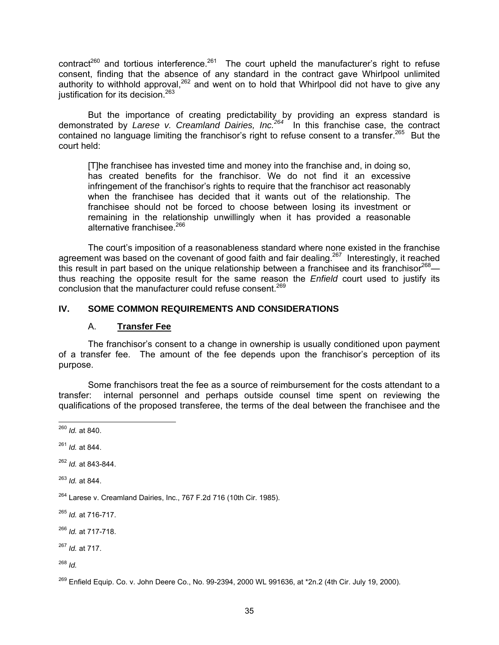contract<sup>260</sup> and tortious interference.<sup>261</sup> The court upheld the manufacturer's right to refuse consent, finding that the absence of any standard in the contract gave Whirlpool unlimited authority to withhold approval,<sup>262</sup> and went on to hold that Whirlpool did not have to give any justification for its decision.<sup>263</sup>

But the importance of creating predictability by providing an express standard is demonstrated by *Larese v. Creamland Dairies, Inc.264* In this franchise case, the contract contained no language limiting the franchisor's right to refuse consent to a transfer.<sup>265</sup> But the court held:

[T]he franchisee has invested time and money into the franchise and, in doing so, has created benefits for the franchisor. We do not find it an excessive infringement of the franchisor's rights to require that the franchisor act reasonably when the franchisee has decided that it wants out of the relationship. The franchisee should not be forced to choose between losing its investment or remaining in the relationship unwillingly when it has provided a reasonable alternative franchisee.<sup>266</sup>

The court's imposition of a reasonableness standard where none existed in the franchise agreement was based on the covenant of good faith and fair dealing.<sup>267</sup> Interestingly, it reached this result in part based on the unique relationship between a franchisee and its franchisor $268$  thus reaching the opposite result for the same reason the *Enfield* court used to justify its conclusion that the manufacturer could refuse consent.<sup>269</sup>

# **IV. SOME COMMON REQUIREMENTS AND CONSIDERATIONS**

### A. **Transfer Fee**

The franchisor's consent to a change in ownership is usually conditioned upon payment of a transfer fee. The amount of the fee depends upon the franchisor's perception of its purpose.

Some franchisors treat the fee as a source of reimbursement for the costs attendant to a transfer: internal personnel and perhaps outside counsel time spent on reviewing the qualifications of the proposed transferee, the terms of the deal between the franchisee and the

 $\overline{a}$ <sup>260</sup> *Id.* at 840.

<sup>261</sup> *Id.* at 844.

<sup>262</sup> *Id.* at 843-844.

<sup>263</sup> *Id.* at 844.

 $264$  Larese v. Creamland Dairies, Inc., 767 F.2d 716 (10th Cir. 1985).

<sup>265</sup> *Id.* at 716-717.

<sup>266</sup> *Id.* at 717-718.

<sup>267</sup> *Id.* at 717.

<sup>268</sup> *Id.*

 $^{269}$  Enfield Equip. Co. v. John Deere Co., No. 99-2394, 2000 WL 991636, at  $2n.2$  (4th Cir. July 19, 2000).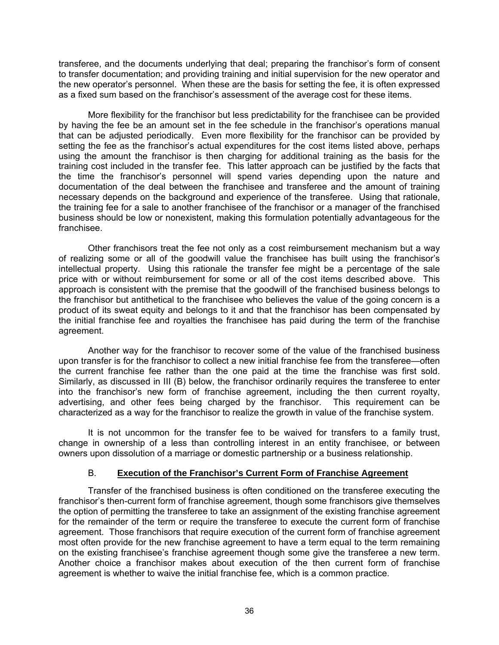transferee, and the documents underlying that deal; preparing the franchisor's form of consent to transfer documentation; and providing training and initial supervision for the new operator and the new operator's personnel. When these are the basis for setting the fee, it is often expressed as a fixed sum based on the franchisor's assessment of the average cost for these items.

More flexibility for the franchisor but less predictability for the franchisee can be provided by having the fee be an amount set in the fee schedule in the franchisor's operations manual that can be adjusted periodically. Even more flexibility for the franchisor can be provided by setting the fee as the franchisor's actual expenditures for the cost items listed above, perhaps using the amount the franchisor is then charging for additional training as the basis for the training cost included in the transfer fee. This latter approach can be justified by the facts that the time the franchisor's personnel will spend varies depending upon the nature and documentation of the deal between the franchisee and transferee and the amount of training necessary depends on the background and experience of the transferee. Using that rationale, the training fee for a sale to another franchisee of the franchisor or a manager of the franchised business should be low or nonexistent, making this formulation potentially advantageous for the franchisee.

Other franchisors treat the fee not only as a cost reimbursement mechanism but a way of realizing some or all of the goodwill value the franchisee has built using the franchisor's intellectual property. Using this rationale the transfer fee might be a percentage of the sale price with or without reimbursement for some or all of the cost items described above. This approach is consistent with the premise that the goodwill of the franchised business belongs to the franchisor but antithetical to the franchisee who believes the value of the going concern is a product of its sweat equity and belongs to it and that the franchisor has been compensated by the initial franchise fee and royalties the franchisee has paid during the term of the franchise agreement.

Another way for the franchisor to recover some of the value of the franchised business upon transfer is for the franchisor to collect a new initial franchise fee from the transferee—often the current franchise fee rather than the one paid at the time the franchise was first sold. Similarly, as discussed in III (B) below, the franchisor ordinarily requires the transferee to enter into the franchisor's new form of franchise agreement, including the then current royalty, advertising, and other fees being charged by the franchisor. This requirement can be characterized as a way for the franchisor to realize the growth in value of the franchise system.

It is not uncommon for the transfer fee to be waived for transfers to a family trust, change in ownership of a less than controlling interest in an entity franchisee, or between owners upon dissolution of a marriage or domestic partnership or a business relationship.

# B. **Execution of the Franchisor's Current Form of Franchise Agreement**

Transfer of the franchised business is often conditioned on the transferee executing the franchisor's then-current form of franchise agreement, though some franchisors give themselves the option of permitting the transferee to take an assignment of the existing franchise agreement for the remainder of the term or require the transferee to execute the current form of franchise agreement. Those franchisors that require execution of the current form of franchise agreement most often provide for the new franchise agreement to have a term equal to the term remaining on the existing franchisee's franchise agreement though some give the transferee a new term. Another choice a franchisor makes about execution of the then current form of franchise agreement is whether to waive the initial franchise fee, which is a common practice.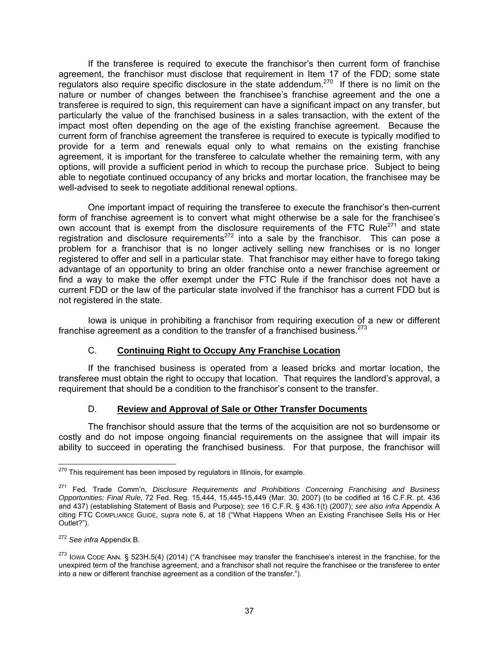If the transferee is required to execute the franchisor's then current form of franchise agreement, the franchisor must disclose that requirement in Item 17 of the FDD; some state regulators also require specific disclosure in the state addendum.<sup>270</sup> If there is no limit on the nature or number of changes between the franchisee's franchise agreement and the one a transferee is required to sign, this requirement can have a significant impact on any transfer, but particularly the value of the franchised business in a sales transaction, with the extent of the impact most often depending on the age of the existing franchise agreement. Because the current form of franchise agreement the transferee is required to execute is typically modified to provide for a term and renewals equal only to what remains on the existing franchise agreement, it is important for the transferee to calculate whether the remaining term, with any options, will provide a sufficient period in which to recoup the purchase price. Subject to being able to negotiate continued occupancy of any bricks and mortar location, the franchisee may be well-advised to seek to negotiate additional renewal options.

One important impact of requiring the transferee to execute the franchisor's then-current form of franchise agreement is to convert what might otherwise be a sale for the franchisee's own account that is exempt from the disclosure requirements of the FTC Rule $^{271}$  and state registration and disclosure requirements<sup>272</sup> into a sale by the franchisor. This can pose a problem for a franchisor that is no longer actively selling new franchises or is no longer registered to offer and sell in a particular state. That franchisor may either have to forego taking advantage of an opportunity to bring an older franchise onto a newer franchise agreement or find a way to make the offer exempt under the FTC Rule if the franchisor does not have a current FDD or the law of the particular state involved if the franchisor has a current FDD but is not registered in the state.

Iowa is unique in prohibiting a franchisor from requiring execution of a new or different franchise agreement as a condition to the transfer of a franchised business.  $273$ 

# C. **Continuing Right to Occupy Any Franchise Location**

If the franchised business is operated from a leased bricks and mortar location, the transferee must obtain the right to occupy that location. That requires the landlord's approval, a requirement that should be a condition to the franchisor's consent to the transfer.

# D. **Review and Approval of Sale or Other Transfer Documents**

The franchisor should assure that the terms of the acquisition are not so burdensome or costly and do not impose ongoing financial requirements on the assignee that will impair its ability to succeed in operating the franchised business. For that purpose, the franchisor will

 $\overline{a}$ <sup>270</sup> This requirement has been imposed by regulators in Illinois, for example.

<sup>271</sup> Fed. Trade Comm'n, *Disclosure Requirements and Prohibitions Concerning Franchising and Business Opportunities; Final Rule*, 72 Fed. Reg. 15,444, 15,445-15,449 (Mar. 30, 2007) (to be codified at 16 C.F.R. pt. 436 and 437) (establishing Statement of Basis and Purpose); *see* 16 C.F.R. § 436.1(t) (2007); *see also infra* Appendix A citing FTC COMPLIANCE GUIDE, *supra* note 6, at 18 ("What Happens When an Existing Franchisee Sells His or Her Outlet?").

<sup>272</sup> *See infra* Appendix B.

<sup>&</sup>lt;sup>273</sup> Iowa Cope Ann. § 523H.5(4) (2014) ("A franchisee may transfer the franchisee's interest in the franchise, for the unexpired term of the franchise agreement, and a franchisor shall not require the franchisee or the transferee to enter into a new or different franchise agreement as a condition of the transfer.").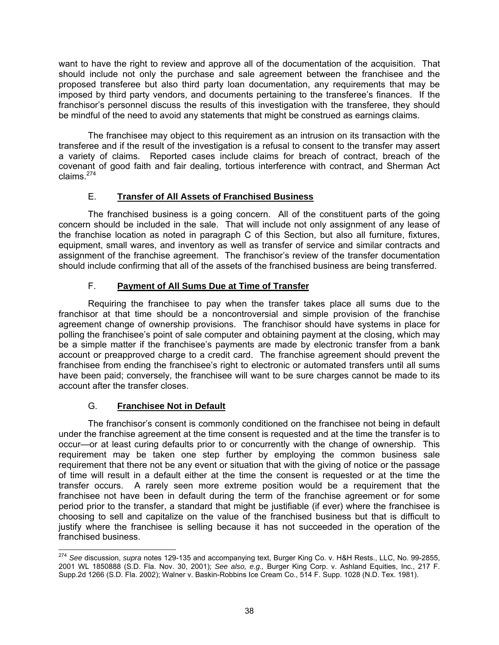want to have the right to review and approve all of the documentation of the acquisition. That should include not only the purchase and sale agreement between the franchisee and the proposed transferee but also third party loan documentation, any requirements that may be imposed by third party vendors, and documents pertaining to the transferee's finances. If the franchisor's personnel discuss the results of this investigation with the transferee, they should be mindful of the need to avoid any statements that might be construed as earnings claims.

The franchisee may object to this requirement as an intrusion on its transaction with the transferee and if the result of the investigation is a refusal to consent to the transfer may assert a variety of claims. Reported cases include claims for breach of contract, breach of the covenant of good faith and fair dealing, tortious interference with contract, and Sherman Act claims.274

# E. **Transfer of All Assets of Franchised Business**

The franchised business is a going concern. All of the constituent parts of the going concern should be included in the sale. That will include not only assignment of any lease of the franchise location as noted in paragraph C of this Section, but also all furniture, fixtures, equipment, small wares, and inventory as well as transfer of service and similar contracts and assignment of the franchise agreement. The franchisor's review of the transfer documentation should include confirming that all of the assets of the franchised business are being transferred.

# F. **Payment of All Sums Due at Time of Transfer**

Requiring the franchisee to pay when the transfer takes place all sums due to the franchisor at that time should be a noncontroversial and simple provision of the franchise agreement change of ownership provisions. The franchisor should have systems in place for polling the franchisee's point of sale computer and obtaining payment at the closing, which may be a simple matter if the franchisee's payments are made by electronic transfer from a bank account or preapproved charge to a credit card. The franchise agreement should prevent the franchisee from ending the franchisee's right to electronic or automated transfers until all sums have been paid; conversely, the franchisee will want to be sure charges cannot be made to its account after the transfer closes.

# G. **Franchisee Not in Default**

The franchisor's consent is commonly conditioned on the franchisee not being in default under the franchise agreement at the time consent is requested and at the time the transfer is to occur—or at least curing defaults prior to or concurrently with the change of ownership. This requirement may be taken one step further by employing the common business sale requirement that there not be any event or situation that with the giving of notice or the passage of time will result in a default either at the time the consent is requested or at the time the transfer occurs. A rarely seen more extreme position would be a requirement that the franchisee not have been in default during the term of the franchise agreement or for some period prior to the transfer, a standard that might be justifiable (if ever) where the franchisee is choosing to sell and capitalize on the value of the franchised business but that is difficult to justify where the franchisee is selling because it has not succeeded in the operation of the franchised business.

 $\overline{a}$ <sup>274</sup> *See* discussion, *supra* notes 129-135 and accompanying text, Burger King Co. v. H&H Rests., LLC, No. 99-2855, 2001 WL 1850888 (S.D. Fla. Nov. 30, 2001); *See also, e.g.,* Burger King Corp. v. Ashland Equities, Inc., 217 F. Supp.2d 1266 (S.D. Fla. 2002); Walner v. Baskin-Robbins Ice Cream Co., 514 F. Supp. 1028 (N.D. Tex. 1981).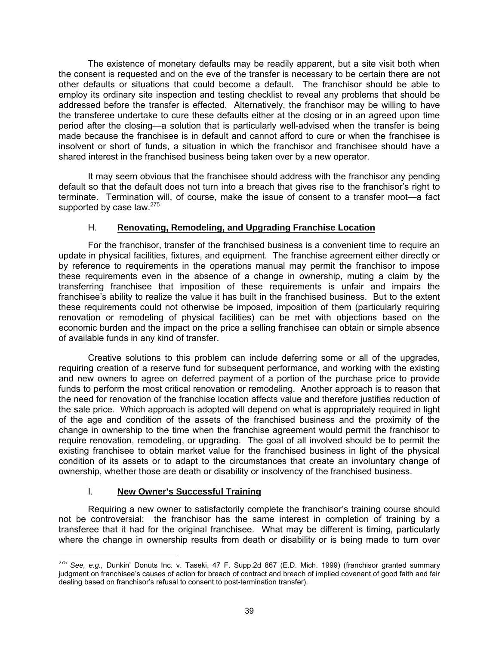The existence of monetary defaults may be readily apparent, but a site visit both when the consent is requested and on the eve of the transfer is necessary to be certain there are not other defaults or situations that could become a default. The franchisor should be able to employ its ordinary site inspection and testing checklist to reveal any problems that should be addressed before the transfer is effected. Alternatively, the franchisor may be willing to have the transferee undertake to cure these defaults either at the closing or in an agreed upon time period after the closing—a solution that is particularly well-advised when the transfer is being made because the franchisee is in default and cannot afford to cure or when the franchisee is insolvent or short of funds, a situation in which the franchisor and franchisee should have a shared interest in the franchised business being taken over by a new operator.

It may seem obvious that the franchisee should address with the franchisor any pending default so that the default does not turn into a breach that gives rise to the franchisor's right to terminate. Termination will, of course, make the issue of consent to a transfer moot—a fact supported by case law.<sup>275</sup>

# H. **Renovating, Remodeling, and Upgrading Franchise Location**

For the franchisor, transfer of the franchised business is a convenient time to require an update in physical facilities, fixtures, and equipment. The franchise agreement either directly or by reference to requirements in the operations manual may permit the franchisor to impose these requirements even in the absence of a change in ownership, muting a claim by the transferring franchisee that imposition of these requirements is unfair and impairs the franchisee's ability to realize the value it has built in the franchised business. But to the extent these requirements could not otherwise be imposed, imposition of them (particularly requiring renovation or remodeling of physical facilities) can be met with objections based on the economic burden and the impact on the price a selling franchisee can obtain or simple absence of available funds in any kind of transfer.

Creative solutions to this problem can include deferring some or all of the upgrades, requiring creation of a reserve fund for subsequent performance, and working with the existing and new owners to agree on deferred payment of a portion of the purchase price to provide funds to perform the most critical renovation or remodeling. Another approach is to reason that the need for renovation of the franchise location affects value and therefore justifies reduction of the sale price. Which approach is adopted will depend on what is appropriately required in light of the age and condition of the assets of the franchised business and the proximity of the change in ownership to the time when the franchise agreement would permit the franchisor to require renovation, remodeling, or upgrading. The goal of all involved should be to permit the existing franchisee to obtain market value for the franchised business in light of the physical condition of its assets or to adapt to the circumstances that create an involuntary change of ownership, whether those are death or disability or insolvency of the franchised business.

# I. **New Owner's Successful Training**

Requiring a new owner to satisfactorily complete the franchisor's training course should not be controversial: the franchisor has the same interest in completion of training by a transferee that it had for the original franchisee. What may be different is timing, particularly where the change in ownership results from death or disability or is being made to turn over

 $\overline{a}$ <sup>275</sup> *See, e.g.,* Dunkin' Donuts Inc. v. Taseki, 47 F. Supp.2d 867 (E.D. Mich. 1999) (franchisor granted summary judgment on franchisee's causes of action for breach of contract and breach of implied covenant of good faith and fair dealing based on franchisor's refusal to consent to post-termination transfer).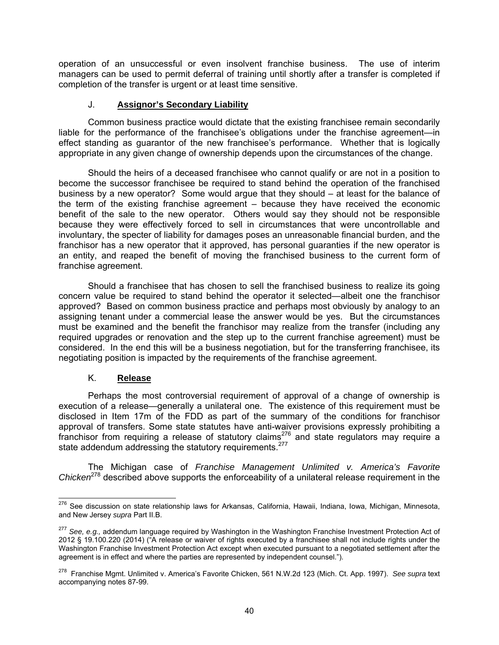operation of an unsuccessful or even insolvent franchise business. The use of interim managers can be used to permit deferral of training until shortly after a transfer is completed if completion of the transfer is urgent or at least time sensitive.

# J. **Assignor's Secondary Liability**

Common business practice would dictate that the existing franchisee remain secondarily liable for the performance of the franchisee's obligations under the franchise agreement—in effect standing as guarantor of the new franchisee's performance. Whether that is logically appropriate in any given change of ownership depends upon the circumstances of the change.

Should the heirs of a deceased franchisee who cannot qualify or are not in a position to become the successor franchisee be required to stand behind the operation of the franchised business by a new operator? Some would argue that they should – at least for the balance of the term of the existing franchise agreement – because they have received the economic benefit of the sale to the new operator. Others would say they should not be responsible because they were effectively forced to sell in circumstances that were uncontrollable and involuntary, the specter of liability for damages poses an unreasonable financial burden, and the franchisor has a new operator that it approved, has personal guaranties if the new operator is an entity, and reaped the benefit of moving the franchised business to the current form of franchise agreement.

Should a franchisee that has chosen to sell the franchised business to realize its going concern value be required to stand behind the operator it selected—albeit one the franchisor approved? Based on common business practice and perhaps most obviously by analogy to an assigning tenant under a commercial lease the answer would be yes. But the circumstances must be examined and the benefit the franchisor may realize from the transfer (including any required upgrades or renovation and the step up to the current franchise agreement) must be considered. In the end this will be a business negotiation, but for the transferring franchisee, its negotiating position is impacted by the requirements of the franchise agreement.

# K. **Release**

Perhaps the most controversial requirement of approval of a change of ownership is execution of a release—generally a unilateral one. The existence of this requirement must be disclosed in Item 17m of the FDD as part of the summary of the conditions for franchisor approval of transfers. Some state statutes have anti-waiver provisions expressly prohibiting a franchisor from requiring a release of statutory claims<sup>276</sup> and state regulators may require a state addendum addressing the statutory requirements.<sup>277</sup>

The Michigan case of *Franchise Management Unlimited v. America's Favorite Chicken*<sup>278</sup> described above supports the enforceability of a unilateral release requirement in the

 $\overline{a}$ <sup>276</sup> See discussion on state relationship laws for Arkansas, California, Hawaii, Indiana, Iowa, Michigan, Minnesota, and New Jersey *supra* Part II.B.

<sup>277</sup> *See, e.g.,* addendum language required by Washington in the Washington Franchise Investment Protection Act of 2012 § 19.100.220 (2014) ("A release or waiver of rights executed by a franchisee shall not include rights under the Washington Franchise Investment Protection Act except when executed pursuant to a negotiated settlement after the agreement is in effect and where the parties are represented by independent counsel.").

<sup>278</sup> Franchise Mgmt. Unlimited v. America's Favorite Chicken, 561 N.W.2d 123 (Mich. Ct. App. 1997). *See supra* text accompanying notes 87-99.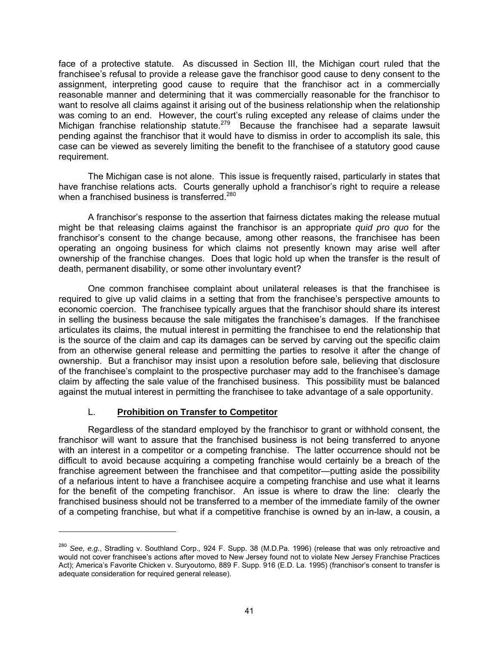face of a protective statute. As discussed in Section III, the Michigan court ruled that the franchisee's refusal to provide a release gave the franchisor good cause to deny consent to the assignment, interpreting good cause to require that the franchisor act in a commercially reasonable manner and determining that it was commercially reasonable for the franchisor to want to resolve all claims against it arising out of the business relationship when the relationship was coming to an end. However, the court's ruling excepted any release of claims under the Michigan franchise relationship statute.<sup>279</sup> Because the franchisee had a separate lawsuit pending against the franchisor that it would have to dismiss in order to accomplish its sale, this case can be viewed as severely limiting the benefit to the franchisee of a statutory good cause requirement.

The Michigan case is not alone. This issue is frequently raised, particularly in states that have franchise relations acts. Courts generally uphold a franchisor's right to require a release when a franchised business is transferred.<sup>280</sup>

A franchisor's response to the assertion that fairness dictates making the release mutual might be that releasing claims against the franchisor is an appropriate *quid pro quo* for the franchisor's consent to the change because, among other reasons, the franchisee has been operating an ongoing business for which claims not presently known may arise well after ownership of the franchise changes. Does that logic hold up when the transfer is the result of death, permanent disability, or some other involuntary event?

One common franchisee complaint about unilateral releases is that the franchisee is required to give up valid claims in a setting that from the franchisee's perspective amounts to economic coercion. The franchisee typically argues that the franchisor should share its interest in selling the business because the sale mitigates the franchisee's damages. If the franchisee articulates its claims, the mutual interest in permitting the franchisee to end the relationship that is the source of the claim and cap its damages can be served by carving out the specific claim from an otherwise general release and permitting the parties to resolve it after the change of ownership. But a franchisor may insist upon a resolution before sale, believing that disclosure of the franchisee's complaint to the prospective purchaser may add to the franchisee's damage claim by affecting the sale value of the franchised business. This possibility must be balanced against the mutual interest in permitting the franchisee to take advantage of a sale opportunity.

# L. **Prohibition on Transfer to Competitor**

-

Regardless of the standard employed by the franchisor to grant or withhold consent, the franchisor will want to assure that the franchised business is not being transferred to anyone with an interest in a competitor or a competing franchise. The latter occurrence should not be difficult to avoid because acquiring a competing franchise would certainly be a breach of the franchise agreement between the franchisee and that competitor—putting aside the possibility of a nefarious intent to have a franchisee acquire a competing franchise and use what it learns for the benefit of the competing franchisor. An issue is where to draw the line: clearly the franchised business should not be transferred to a member of the immediate family of the owner of a competing franchise, but what if a competitive franchise is owned by an in-law, a cousin, a

<sup>280</sup> *See, e.g.*, Stradling v. Southland Corp.*,* 924 F. Supp. 38 (M.D.Pa. 1996) (release that was only retroactive and would not cover franchisee's actions after moved to New Jersey found not to violate New Jersey Franchise Practices Act); America's Favorite Chicken v. Suryoutomo, 889 F. Supp. 916 (E.D. La. 1995) (franchisor's consent to transfer is adequate consideration for required general release).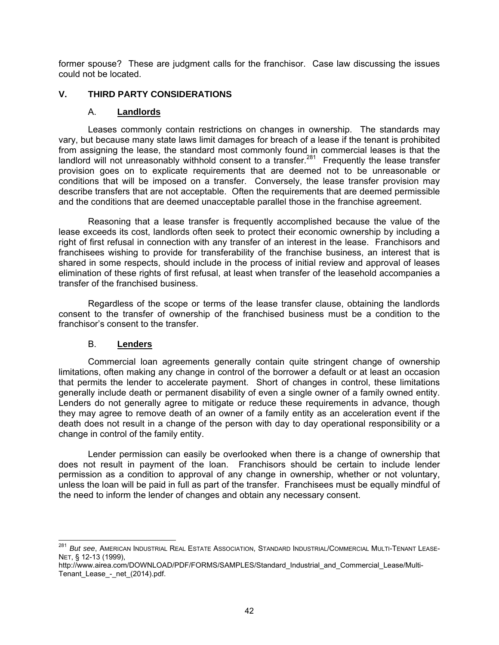former spouse? These are judgment calls for the franchisor. Case law discussing the issues could not be located.

# **V. THIRD PARTY CONSIDERATIONS**

# A. **Landlords**

Leases commonly contain restrictions on changes in ownership. The standards may vary, but because many state laws limit damages for breach of a lease if the tenant is prohibited from assigning the lease, the standard most commonly found in commercial leases is that the landlord will not unreasonably withhold consent to a transfer.<sup>281</sup> Frequently the lease transfer provision goes on to explicate requirements that are deemed not to be unreasonable or conditions that will be imposed on a transfer. Conversely, the lease transfer provision may describe transfers that are not acceptable. Often the requirements that are deemed permissible and the conditions that are deemed unacceptable parallel those in the franchise agreement.

Reasoning that a lease transfer is frequently accomplished because the value of the lease exceeds its cost, landlords often seek to protect their economic ownership by including a right of first refusal in connection with any transfer of an interest in the lease. Franchisors and franchisees wishing to provide for transferability of the franchise business, an interest that is shared in some respects, should include in the process of initial review and approval of leases elimination of these rights of first refusal, at least when transfer of the leasehold accompanies a transfer of the franchised business.

Regardless of the scope or terms of the lease transfer clause, obtaining the landlords consent to the transfer of ownership of the franchised business must be a condition to the franchisor's consent to the transfer.

# B. **Lenders**

Commercial loan agreements generally contain quite stringent change of ownership limitations, often making any change in control of the borrower a default or at least an occasion that permits the lender to accelerate payment. Short of changes in control, these limitations generally include death or permanent disability of even a single owner of a family owned entity. Lenders do not generally agree to mitigate or reduce these requirements in advance, though they may agree to remove death of an owner of a family entity as an acceleration event if the death does not result in a change of the person with day to day operational responsibility or a change in control of the family entity.

Lender permission can easily be overlooked when there is a change of ownership that does not result in payment of the loan. Franchisors should be certain to include lender permission as a condition to approval of any change in ownership, whether or not voluntary, unless the loan will be paid in full as part of the transfer. Franchisees must be equally mindful of the need to inform the lender of changes and obtain any necessary consent.

 $\overline{a}$ <sup>281</sup> *But see*, American Industrial Real Estate Association, Standard Industrial/Commercial Multi-Tenant Lease-NET, § 12-13 (1999),

http://www.airea.com/DOWNLOAD/PDF/FORMS/SAMPLES/Standard\_Industrial\_and\_Commercial\_Lease/Multi-Tenant\_Lease\_-\_net\_(2014).pdf.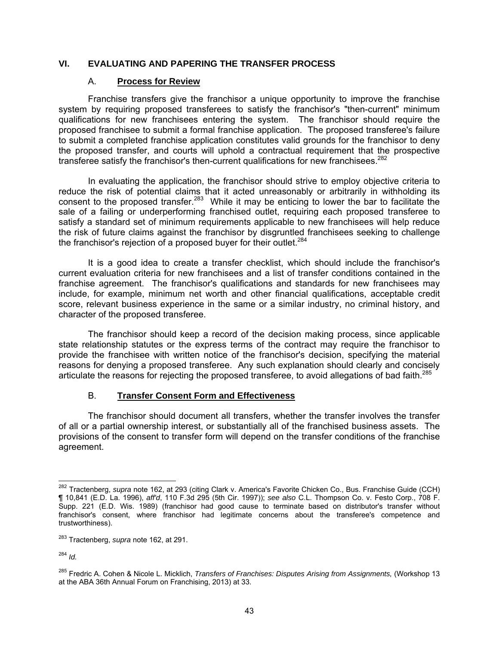# **VI. EVALUATING AND PAPERING THE TRANSFER PROCESS**

## A. **Process for Review**

Franchise transfers give the franchisor a unique opportunity to improve the franchise system by requiring proposed transferees to satisfy the franchisor's "then-current" minimum qualifications for new franchisees entering the system. The franchisor should require the proposed franchisee to submit a formal franchise application. The proposed transferee's failure to submit a completed franchise application constitutes valid grounds for the franchisor to deny the proposed transfer, and courts will uphold a contractual requirement that the prospective transferee satisfy the franchisor's then-current qualifications for new franchisees. $282$ 

In evaluating the application, the franchisor should strive to employ objective criteria to reduce the risk of potential claims that it acted unreasonably or arbitrarily in withholding its consent to the proposed transfer.<sup>283</sup> While it may be enticing to lower the bar to facilitate the sale of a failing or underperforming franchised outlet, requiring each proposed transferee to satisfy a standard set of minimum requirements applicable to new franchisees will help reduce the risk of future claims against the franchisor by disgruntled franchisees seeking to challenge the franchisor's rejection of a proposed buyer for their outlet.<sup>284</sup>

It is a good idea to create a transfer checklist, which should include the franchisor's current evaluation criteria for new franchisees and a list of transfer conditions contained in the franchise agreement. The franchisor's qualifications and standards for new franchisees may include, for example, minimum net worth and other financial qualifications, acceptable credit score, relevant business experience in the same or a similar industry, no criminal history, and character of the proposed transferee.

The franchisor should keep a record of the decision making process, since applicable state relationship statutes or the express terms of the contract may require the franchisor to provide the franchisee with written notice of the franchisor's decision, specifying the material reasons for denying a proposed transferee. Any such explanation should clearly and concisely articulate the reasons for rejecting the proposed transferee, to avoid allegations of bad faith.<sup>285</sup>

# B. **Transfer Consent Form and Effectiveness**

The franchisor should document all transfers, whether the transfer involves the transfer of all or a partial ownership interest, or substantially all of the franchised business assets. The provisions of the consent to transfer form will depend on the transfer conditions of the franchise agreement.

 $\overline{a}$ 282 Tractenberg, *supra* note 162, at 293 (citing Clark v. America's Favorite Chicken Co., Bus. Franchise Guide (CCH) ¶ 10,841 (E.D. La. 1996), *aff'd*, 110 F.3d 295 (5th Cir. 1997)); *see also* C.L. Thompson Co. v. Festo Corp., 708 F. Supp. 221 (E.D. Wis. 1989) (franchisor had good cause to terminate based on distributor's transfer without franchisor's consent, where franchisor had legitimate concerns about the transferee's competence and trustworthiness).

<sup>283</sup> Tractenberg, *supra* note 162, at 291.

<sup>284</sup> *Id.*

<sup>285</sup> Fredric A. Cohen & Nicole L. Micklich, *Transfers of Franchises: Disputes Arising from Assignments,* (Workshop 13 at the ABA 36th Annual Forum on Franchising, 2013) at 33.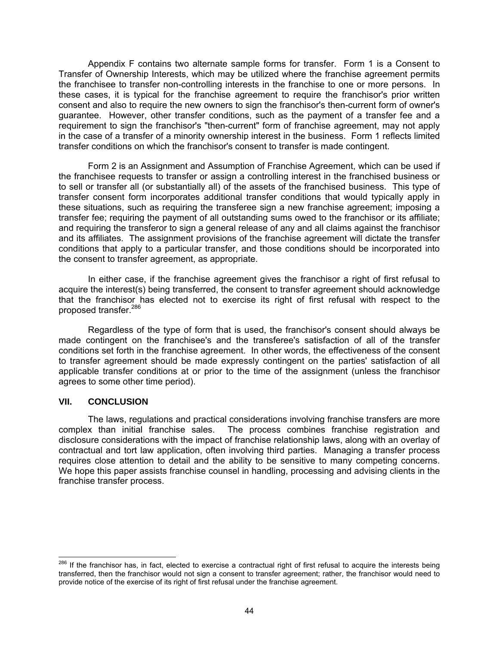Appendix F contains two alternate sample forms for transfer. Form 1 is a Consent to Transfer of Ownership Interests, which may be utilized where the franchise agreement permits the franchisee to transfer non-controlling interests in the franchise to one or more persons. In these cases, it is typical for the franchise agreement to require the franchisor's prior written consent and also to require the new owners to sign the franchisor's then-current form of owner's guarantee. However, other transfer conditions, such as the payment of a transfer fee and a requirement to sign the franchisor's "then-current" form of franchise agreement, may not apply in the case of a transfer of a minority ownership interest in the business. Form 1 reflects limited transfer conditions on which the franchisor's consent to transfer is made contingent.

Form 2 is an Assignment and Assumption of Franchise Agreement, which can be used if the franchisee requests to transfer or assign a controlling interest in the franchised business or to sell or transfer all (or substantially all) of the assets of the franchised business. This type of transfer consent form incorporates additional transfer conditions that would typically apply in these situations, such as requiring the transferee sign a new franchise agreement; imposing a transfer fee; requiring the payment of all outstanding sums owed to the franchisor or its affiliate; and requiring the transferor to sign a general release of any and all claims against the franchisor and its affiliates. The assignment provisions of the franchise agreement will dictate the transfer conditions that apply to a particular transfer, and those conditions should be incorporated into the consent to transfer agreement, as appropriate.

In either case, if the franchise agreement gives the franchisor a right of first refusal to acquire the interest(s) being transferred, the consent to transfer agreement should acknowledge that the franchisor has elected not to exercise its right of first refusal with respect to the proposed transfer.286

Regardless of the type of form that is used, the franchisor's consent should always be made contingent on the franchisee's and the transferee's satisfaction of all of the transfer conditions set forth in the franchise agreement. In other words, the effectiveness of the consent to transfer agreement should be made expressly contingent on the parties' satisfaction of all applicable transfer conditions at or prior to the time of the assignment (unless the franchisor agrees to some other time period).

### **VII. CONCLUSION**

 $\overline{a}$ 

The laws, regulations and practical considerations involving franchise transfers are more complex than initial franchise sales. The process combines franchise registration and disclosure considerations with the impact of franchise relationship laws, along with an overlay of contractual and tort law application, often involving third parties. Managing a transfer process requires close attention to detail and the ability to be sensitive to many competing concerns. We hope this paper assists franchise counsel in handling, processing and advising clients in the franchise transfer process.

<sup>&</sup>lt;sup>286</sup> If the franchisor has, in fact, elected to exercise a contractual right of first refusal to acquire the interests being transferred, then the franchisor would not sign a consent to transfer agreement; rather, the franchisor would need to provide notice of the exercise of its right of first refusal under the franchise agreement.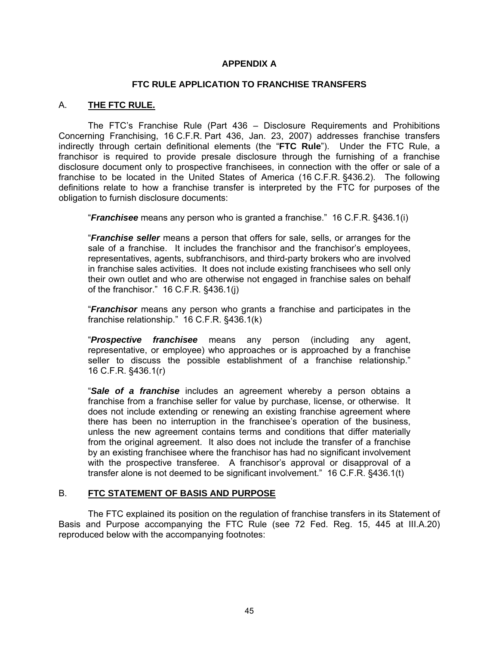# **APPENDIX A**

## **FTC RULE APPLICATION TO FRANCHISE TRANSFERS**

## A. **THE FTC RULE.**

The FTC's Franchise Rule (Part 436 – Disclosure Requirements and Prohibitions Concerning Franchising, 16 C.F.R. Part 436, Jan. 23, 2007) addresses franchise transfers indirectly through certain definitional elements (the "**FTC Rule**"). Under the FTC Rule, a franchisor is required to provide presale disclosure through the furnishing of a franchise disclosure document only to prospective franchisees, in connection with the offer or sale of a franchise to be located in the United States of America (16 C.F.R. §436.2). The following definitions relate to how a franchise transfer is interpreted by the FTC for purposes of the obligation to furnish disclosure documents:

"*Franchisee* means any person who is granted a franchise." 16 C.F.R. §436.1(i)

"*Franchise seller* means a person that offers for sale, sells, or arranges for the sale of a franchise. It includes the franchisor and the franchisor's employees, representatives, agents, subfranchisors, and third-party brokers who are involved in franchise sales activities. It does not include existing franchisees who sell only their own outlet and who are otherwise not engaged in franchise sales on behalf of the franchisor." 16 C.F.R. §436.1(j)

"*Franchisor* means any person who grants a franchise and participates in the franchise relationship." 16 C.F.R. §436.1(k)

"*Prospective franchisee* means any person (including any agent, representative, or employee) who approaches or is approached by a franchise seller to discuss the possible establishment of a franchise relationship." 16 C.F.R. §436.1(r)

"*Sale of a franchise* includes an agreement whereby a person obtains a franchise from a franchise seller for value by purchase, license, or otherwise. It does not include extending or renewing an existing franchise agreement where there has been no interruption in the franchisee's operation of the business, unless the new agreement contains terms and conditions that differ materially from the original agreement. It also does not include the transfer of a franchise by an existing franchisee where the franchisor has had no significant involvement with the prospective transferee. A franchisor's approval or disapproval of a transfer alone is not deemed to be significant involvement." 16 C.F.R. §436.1(t)

# B. **FTC STATEMENT OF BASIS AND PURPOSE**

The FTC explained its position on the regulation of franchise transfers in its Statement of Basis and Purpose accompanying the FTC Rule (see 72 Fed. Reg. 15, 445 at III.A.20) reproduced below with the accompanying footnotes: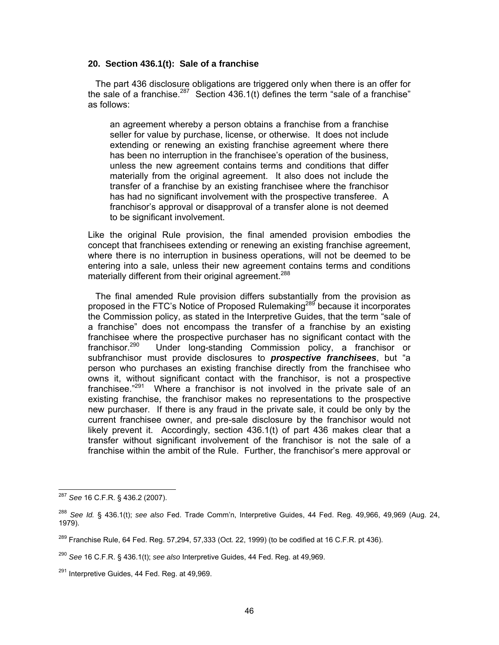#### **20. Section 436.1(t): Sale of a franchise**

 The part 436 disclosure obligations are triggered only when there is an offer for the sale of a franchise.<sup>287</sup> Section 436.1(t) defines the term "sale of a franchise" as follows:

an agreement whereby a person obtains a franchise from a franchise seller for value by purchase, license, or otherwise. It does not include extending or renewing an existing franchise agreement where there has been no interruption in the franchisee's operation of the business, unless the new agreement contains terms and conditions that differ materially from the original agreement. It also does not include the transfer of a franchise by an existing franchisee where the franchisor has had no significant involvement with the prospective transferee. A franchisor's approval or disapproval of a transfer alone is not deemed to be significant involvement.

Like the original Rule provision, the final amended provision embodies the concept that franchisees extending or renewing an existing franchise agreement, where there is no interruption in business operations, will not be deemed to be entering into a sale, unless their new agreement contains terms and conditions materially different from their original agreement.<sup>288</sup>

 The final amended Rule provision differs substantially from the provision as proposed in the FTC's Notice of Proposed Rulemaking<sup>289</sup> because it incorporates the Commission policy, as stated in the Interpretive Guides, that the term "sale of a franchise" does not encompass the transfer of a franchise by an existing franchisee where the prospective purchaser has no significant contact with the franchisor.<sup>290</sup> Under long-standing Commission policy, a franchisor or Under long-standing Commission policy, a franchisor or subfranchisor must provide disclosures to *prospective franchisees*, but "a person who purchases an existing franchise directly from the franchisee who owns it, without significant contact with the franchisor, is not a prospective franchisee."<sup>291</sup> Where a franchisor is not involved in the private sale of an existing franchise, the franchisor makes no representations to the prospective new purchaser. If there is any fraud in the private sale, it could be only by the current franchisee owner, and pre-sale disclosure by the franchisor would not likely prevent it. Accordingly, section 436.1(t) of part 436 makes clear that a transfer without significant involvement of the franchisor is not the sale of a franchise within the ambit of the Rule. Further, the franchisor's mere approval or

 $\overline{a}$ <sup>287</sup> *See* 16 C.F.R. § 436.2 (2007).

<sup>288</sup> *See Id.* § 436.1(t); *see also* Fed. Trade Comm'n, Interpretive Guides, 44 Fed. Reg. 49,966, 49,969 (Aug. 24, 1979).

 $289$  Franchise Rule, 64 Fed. Reg. 57,294, 57,333 (Oct. 22, 1999) (to be codified at 16 C.F.R. pt 436).

<sup>290</sup> *See* 16 C.F.R. § 436.1(t); *see also* Interpretive Guides, 44 Fed. Reg. at 49,969.

 $291$  Interpretive Guides, 44 Fed. Reg. at 49,969.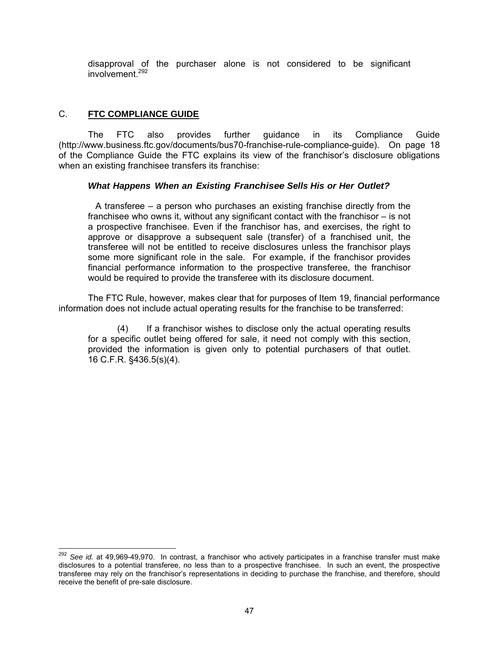disapproval of the purchaser alone is not considered to be significant involvement<sup>292</sup>

# C. **FTC COMPLIANCE GUIDE**

The FTC also provides further guidance in its Compliance Guide (http://www.business.ftc.gov/documents/bus70-franchise-rule-compliance-guide). On page 18 of the Compliance Guide the FTC explains its view of the franchisor's disclosure obligations when an existing franchisee transfers its franchise:

# *What Happens When an Existing Franchisee Sells His or Her Outlet?*

 A transferee – a person who purchases an existing franchise directly from the franchisee who owns it, without any significant contact with the franchisor – is not a prospective franchisee. Even if the franchisor has, and exercises, the right to approve or disapprove a subsequent sale (transfer) of a franchised unit, the transferee will not be entitled to receive disclosures unless the franchisor plays some more significant role in the sale. For example, if the franchisor provides financial performance information to the prospective transferee, the franchisor would be required to provide the transferee with its disclosure document.

The FTC Rule, however, makes clear that for purposes of Item 19, financial performance information does not include actual operating results for the franchise to be transferred:

(4) If a franchisor wishes to disclose only the actual operating results for a specific outlet being offered for sale, it need not comply with this section, provided the information is given only to potential purchasers of that outlet. 16 C.F.R. §436.5(s)(4).

 $\overline{a}$ <sup>292</sup> See *id.* at 49,969-49,970. In contrast, a franchisor who actively participates in a franchise transfer must make disclosures to a potential transferee, no less than to a prospective franchisee. In such an event, the prospective transferee may rely on the franchisor's representations in deciding to purchase the franchise, and therefore, should receive the benefit of pre-sale disclosure.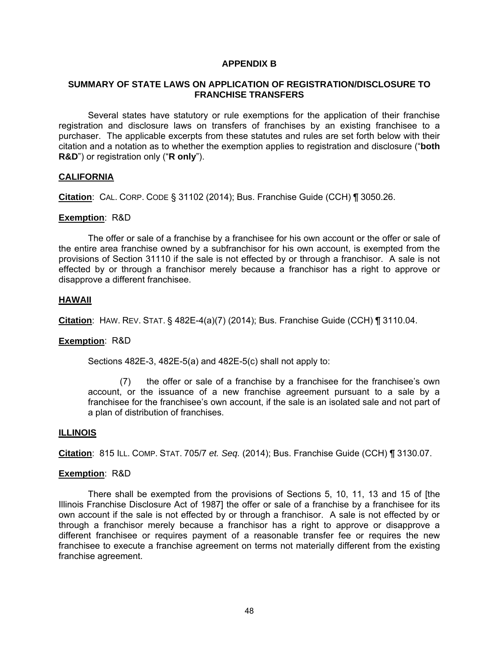### **APPENDIX B**

## **SUMMARY OF STATE LAWS ON APPLICATION OF REGISTRATION/DISCLOSURE TO FRANCHISE TRANSFERS**

Several states have statutory or rule exemptions for the application of their franchise registration and disclosure laws on transfers of franchises by an existing franchisee to a purchaser. The applicable excerpts from these statutes and rules are set forth below with their citation and a notation as to whether the exemption applies to registration and disclosure ("**both R&D**") or registration only ("**R only**").

### **CALIFORNIA**

**Citation**: CAL. CORP. CODE § 31102 (2014); Bus. Franchise Guide (CCH) ¶ 3050.26.

#### **Exemption**: R&D

The offer or sale of a franchise by a franchisee for his own account or the offer or sale of the entire area franchise owned by a subfranchisor for his own account, is exempted from the provisions of Section 31110 if the sale is not effected by or through a franchisor. A sale is not effected by or through a franchisor merely because a franchisor has a right to approve or disapprove a different franchisee.

### **HAWAII**

**Citation**: HAW. REV. STAT. § 482E-4(a)(7) (2014); Bus. Franchise Guide (CCH) ¶ 3110.04.

### **Exemption**: R&D

Sections 482E-3, 482E-5(a) and 482E-5(c) shall not apply to:

 (7) the offer or sale of a franchise by a franchisee for the franchisee's own account, or the issuance of a new franchise agreement pursuant to a sale by a franchisee for the franchisee's own account, if the sale is an isolated sale and not part of a plan of distribution of franchises.

#### **ILLINOIS**

**Citation**: 815 ILL. COMP. STAT. 705/7 *et. Seq.* (2014); Bus. Franchise Guide (CCH) ¶ 3130.07.

#### **Exemption**: R&D

There shall be exempted from the provisions of Sections 5, 10, 11, 13 and 15 of [the Illinois Franchise Disclosure Act of 1987] the offer or sale of a franchise by a franchisee for its own account if the sale is not effected by or through a franchisor. A sale is not effected by or through a franchisor merely because a franchisor has a right to approve or disapprove a different franchisee or requires payment of a reasonable transfer fee or requires the new franchisee to execute a franchise agreement on terms not materially different from the existing franchise agreement.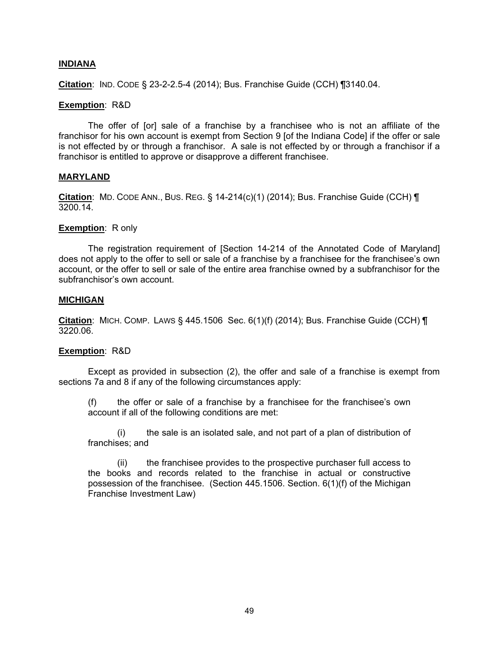### **INDIANA**

**Citation**: IND. CODE § 23-2-2.5-4 (2014); Bus. Franchise Guide (CCH) ¶3140.04.

#### **Exemption**: R&D

The offer of [or] sale of a franchise by a franchisee who is not an affiliate of the franchisor for his own account is exempt from Section 9 [of the Indiana Code] if the offer or sale is not effected by or through a franchisor. A sale is not effected by or through a franchisor if a franchisor is entitled to approve or disapprove a different franchisee.

#### **MARYLAND**

**Citation**: MD. CODE ANN., BUS. REG. § 14-214(c)(1) (2014); Bus. Franchise Guide (CCH) ¶ 3200.14.

#### **Exemption:** R only

The registration requirement of [Section 14-214 of the Annotated Code of Maryland] does not apply to the offer to sell or sale of a franchise by a franchisee for the franchisee's own account, or the offer to sell or sale of the entire area franchise owned by a subfranchisor for the subfranchisor's own account.

#### **MICHIGAN**

**Citation**: MICH. COMP. LAWS § 445.1506 Sec. 6(1)(f) (2014); Bus. Franchise Guide (CCH) ¶ 3220.06.

#### **Exemption**: R&D

Except as provided in subsection (2), the offer and sale of a franchise is exempt from sections 7a and 8 if any of the following circumstances apply:

(f) the offer or sale of a franchise by a franchisee for the franchisee's own account if all of the following conditions are met:

(i) the sale is an isolated sale, and not part of a plan of distribution of franchises; and

(ii) the franchisee provides to the prospective purchaser full access to the books and records related to the franchise in actual or constructive possession of the franchisee. (Section 445.1506. Section. 6(1)(f) of the Michigan Franchise Investment Law)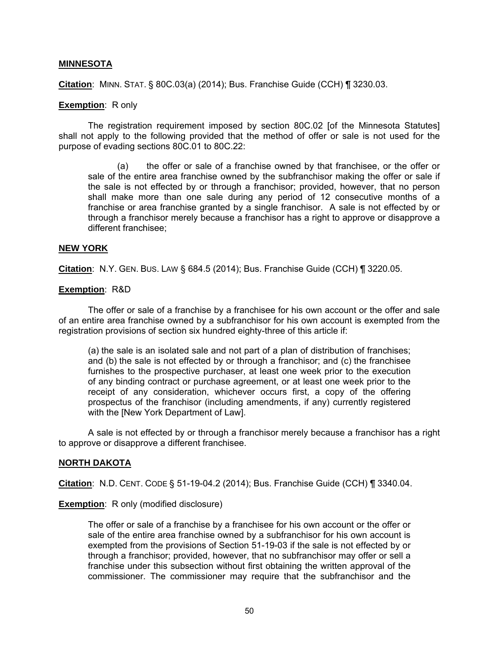### **MINNESOTA**

**Citation**: MINN. STAT. § 80C.03(a) (2014); Bus. Franchise Guide (CCH) ¶ 3230.03.

#### **Exemption**: R only

The registration requirement imposed by section 80C.02 [of the Minnesota Statutes] shall not apply to the following provided that the method of offer or sale is not used for the purpose of evading sections 80C.01 to 80C.22:

(a) the offer or sale of a franchise owned by that franchisee, or the offer or sale of the entire area franchise owned by the subfranchisor making the offer or sale if the sale is not effected by or through a franchisor; provided, however, that no person shall make more than one sale during any period of 12 consecutive months of a franchise or area franchise granted by a single franchisor. A sale is not effected by or through a franchisor merely because a franchisor has a right to approve or disapprove a different franchisee;

#### **NEW YORK**

**Citation**: N.Y. GEN. BUS. LAW § 684.5 (2014); Bus. Franchise Guide (CCH) ¶ 3220.05.

#### **Exemption**: R&D

The offer or sale of a franchise by a franchisee for his own account or the offer and sale of an entire area franchise owned by a subfranchisor for his own account is exempted from the registration provisions of section six hundred eighty-three of this article if:

(a) the sale is an isolated sale and not part of a plan of distribution of franchises; and (b) the sale is not effected by or through a franchisor; and (c) the franchisee furnishes to the prospective purchaser, at least one week prior to the execution of any binding contract or purchase agreement, or at least one week prior to the receipt of any consideration, whichever occurs first, a copy of the offering prospectus of the franchisor (including amendments, if any) currently registered with the [New York Department of Law].

A sale is not effected by or through a franchisor merely because a franchisor has a right to approve or disapprove a different franchisee.

### **NORTH DAKOTA**

**Citation**: N.D. CENT. CODE § 51-19-04.2 (2014); Bus. Franchise Guide (CCH) ¶ 3340.04.

#### **Exemption:** R only (modified disclosure)

The offer or sale of a franchise by a franchisee for his own account or the offer or sale of the entire area franchise owned by a subfranchisor for his own account is exempted from the provisions of Section 51-19-03 if the sale is not effected by or through a franchisor; provided, however, that no subfranchisor may offer or sell a franchise under this subsection without first obtaining the written approval of the commissioner. The commissioner may require that the subfranchisor and the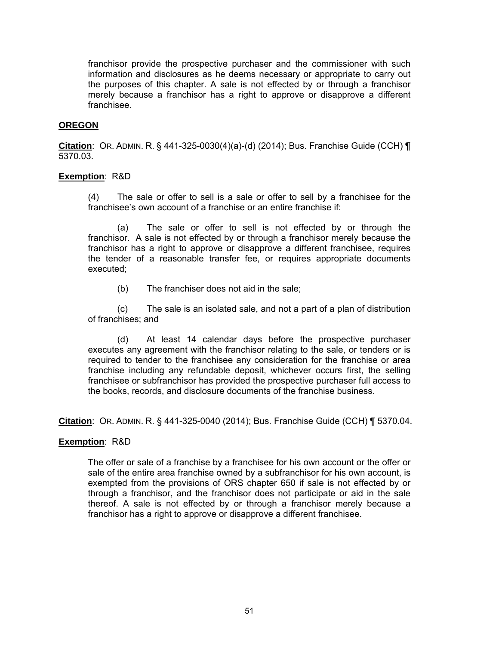franchisor provide the prospective purchaser and the commissioner with such information and disclosures as he deems necessary or appropriate to carry out the purposes of this chapter. A sale is not effected by or through a franchisor merely because a franchisor has a right to approve or disapprove a different franchisee.

## **OREGON**

**Citation**: OR. ADMIN. R. § 441-325-0030(4)(a)-(d) (2014); Bus. Franchise Guide (CCH) ¶ 5370.03.

## **Exemption**: R&D

(4) The sale or offer to sell is a sale or offer to sell by a franchisee for the franchisee's own account of a franchise or an entire franchise if:

 (a) The sale or offer to sell is not effected by or through the franchisor. A sale is not effected by or through a franchisor merely because the franchisor has a right to approve or disapprove a different franchisee, requires the tender of a reasonable transfer fee, or requires appropriate documents executed;

(b) The franchiser does not aid in the sale;

 (c) The sale is an isolated sale, and not a part of a plan of distribution of franchises; and

 (d) At least 14 calendar days before the prospective purchaser executes any agreement with the franchisor relating to the sale, or tenders or is required to tender to the franchisee any consideration for the franchise or area franchise including any refundable deposit, whichever occurs first, the selling franchisee or subfranchisor has provided the prospective purchaser full access to the books, records, and disclosure documents of the franchise business.

**Citation**: OR. ADMIN. R. § 441-325-0040 (2014); Bus. Franchise Guide (CCH) ¶ 5370.04.

# **Exemption**: R&D

The offer or sale of a franchise by a franchisee for his own account or the offer or sale of the entire area franchise owned by a subfranchisor for his own account, is exempted from the provisions of ORS chapter 650 if sale is not effected by or through a franchisor, and the franchisor does not participate or aid in the sale thereof. A sale is not effected by or through a franchisor merely because a franchisor has a right to approve or disapprove a different franchisee.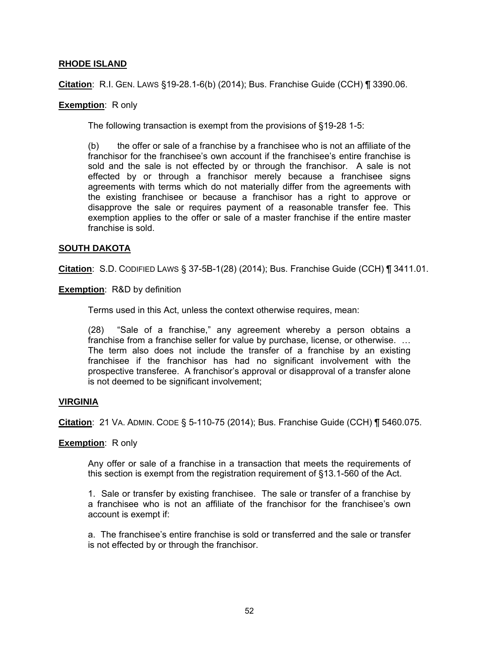## **RHODE ISLAND**

**Citation**: R.I. GEN. LAWS §19-28.1-6(b) (2014); Bus. Franchise Guide (CCH) ¶ 3390.06.

### **Exemption**: R only

The following transaction is exempt from the provisions of §19-28 1-5:

(b) the offer or sale of a franchise by a franchisee who is not an affiliate of the franchisor for the franchisee's own account if the franchisee's entire franchise is sold and the sale is not effected by or through the franchisor. A sale is not effected by or through a franchisor merely because a franchisee signs agreements with terms which do not materially differ from the agreements with the existing franchisee or because a franchisor has a right to approve or disapprove the sale or requires payment of a reasonable transfer fee. This exemption applies to the offer or sale of a master franchise if the entire master franchise is sold.

### **SOUTH DAKOTA**

**Citation**: S.D. CODIFIED LAWS § 37-5B-1(28) (2014); Bus. Franchise Guide (CCH) ¶ 3411.01.

**Exemption**: R&D by definition

Terms used in this Act, unless the context otherwise requires, mean:

(28) "Sale of a franchise," any agreement whereby a person obtains a franchise from a franchise seller for value by purchase, license, or otherwise. … The term also does not include the transfer of a franchise by an existing franchisee if the franchisor has had no significant involvement with the prospective transferee. A franchisor's approval or disapproval of a transfer alone is not deemed to be significant involvement;

### **VIRGINIA**

**Citation**: 21 VA. ADMIN. CODE § 5-110-75 (2014); Bus. Franchise Guide (CCH) ¶ 5460.075.

### **Exemption**: R only

Any offer or sale of a franchise in a transaction that meets the requirements of this section is exempt from the registration requirement of §13.1-560 of the Act.

1. Sale or transfer by existing franchisee. The sale or transfer of a franchise by a franchisee who is not an affiliate of the franchisor for the franchisee's own account is exempt if:

a. The franchisee's entire franchise is sold or transferred and the sale or transfer is not effected by or through the franchisor.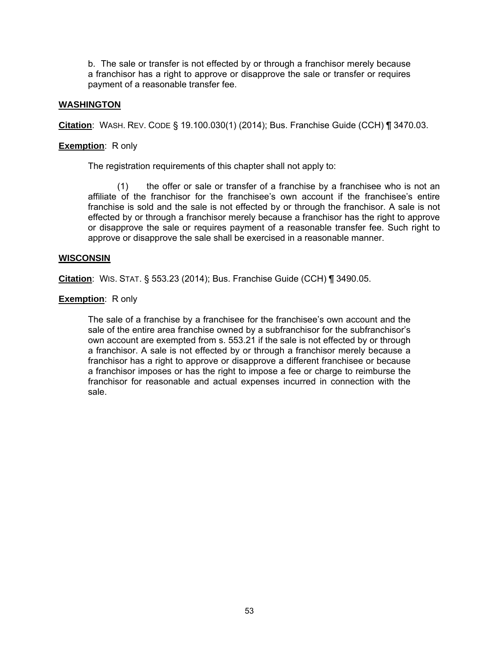b. The sale or transfer is not effected by or through a franchisor merely because a franchisor has a right to approve or disapprove the sale or transfer or requires payment of a reasonable transfer fee.

## **WASHINGTON**

**Citation**: WASH. REV. CODE § 19.100.030(1) (2014); Bus. Franchise Guide (CCH) ¶ 3470.03.

**Exemption**: R only

The registration requirements of this chapter shall not apply to:

(1) the offer or sale or transfer of a franchise by a franchisee who is not an affiliate of the franchisor for the franchisee's own account if the franchisee's entire franchise is sold and the sale is not effected by or through the franchisor. A sale is not effected by or through a franchisor merely because a franchisor has the right to approve or disapprove the sale or requires payment of a reasonable transfer fee. Such right to approve or disapprove the sale shall be exercised in a reasonable manner.

### **WISCONSIN**

**Citation**: WIS. STAT. § 553.23 (2014); Bus. Franchise Guide (CCH) ¶ 3490.05.

### **Exemption:** R only

The sale of a franchise by a franchisee for the franchisee's own account and the sale of the entire area franchise owned by a subfranchisor for the subfranchisor's own account are exempted from s. 553.21 if the sale is not effected by or through a franchisor. A sale is not effected by or through a franchisor merely because a franchisor has a right to approve or disapprove a different franchisee or because a franchisor imposes or has the right to impose a fee or charge to reimburse the franchisor for reasonable and actual expenses incurred in connection with the sale.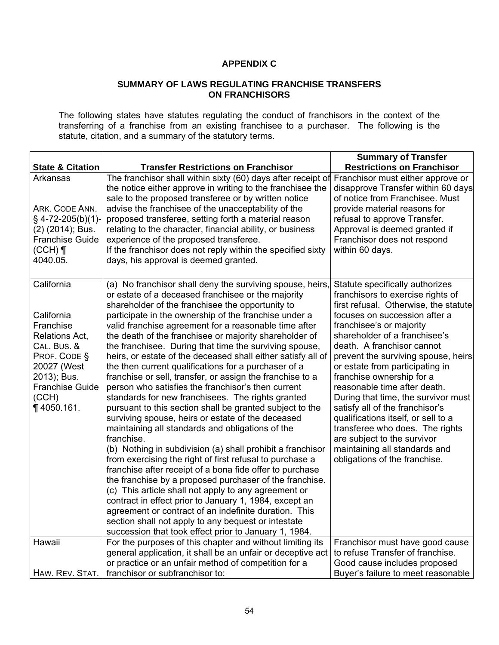# **APPENDIX C**

### **SUMMARY OF LAWS REGULATING FRANCHISE TRANSFERS ON FRANCHISORS**

The following states have statutes regulating the conduct of franchisors in the context of the transferring of a franchise from an existing franchisee to a purchaser. The following is the statute, citation, and a summary of the statutory terms.

|                                                                                                                                                                           |                                                                                                                                                                                                                                                                                                                                                                                                                                                                                                                                                                                                                                                                                                                                                                                                                                                                                                                                                                                                                                                                                                                                                                                                                                                                                                                                                                                                                                          | <b>Summary of Transfer</b>                                                                                                                                                                                                                                                                                                                                                                                                                                                                                                                                                                                                            |  |  |  |
|---------------------------------------------------------------------------------------------------------------------------------------------------------------------------|------------------------------------------------------------------------------------------------------------------------------------------------------------------------------------------------------------------------------------------------------------------------------------------------------------------------------------------------------------------------------------------------------------------------------------------------------------------------------------------------------------------------------------------------------------------------------------------------------------------------------------------------------------------------------------------------------------------------------------------------------------------------------------------------------------------------------------------------------------------------------------------------------------------------------------------------------------------------------------------------------------------------------------------------------------------------------------------------------------------------------------------------------------------------------------------------------------------------------------------------------------------------------------------------------------------------------------------------------------------------------------------------------------------------------------------|---------------------------------------------------------------------------------------------------------------------------------------------------------------------------------------------------------------------------------------------------------------------------------------------------------------------------------------------------------------------------------------------------------------------------------------------------------------------------------------------------------------------------------------------------------------------------------------------------------------------------------------|--|--|--|
| <b>State &amp; Citation</b>                                                                                                                                               | <b>Transfer Restrictions on Franchisor</b>                                                                                                                                                                                                                                                                                                                                                                                                                                                                                                                                                                                                                                                                                                                                                                                                                                                                                                                                                                                                                                                                                                                                                                                                                                                                                                                                                                                               | <b>Restrictions on Franchisor</b>                                                                                                                                                                                                                                                                                                                                                                                                                                                                                                                                                                                                     |  |  |  |
| Arkansas<br>ARK. CODE ANN.<br>§ 4-72-205(b)(1)-<br>(2) (2014); Bus.<br><b>Franchise Guide</b><br>$(CCH)$ ¶<br>4040.05.                                                    | The franchisor shall within sixty (60) days after receipt of<br>the notice either approve in writing to the franchisee the<br>sale to the proposed transferee or by written notice<br>advise the franchisee of the unacceptability of the<br>proposed transferee, setting forth a material reason<br>relating to the character, financial ability, or business<br>experience of the proposed transferee.<br>If the franchisor does not reply within the specified sixty<br>days, his approval is deemed granted.                                                                                                                                                                                                                                                                                                                                                                                                                                                                                                                                                                                                                                                                                                                                                                                                                                                                                                                         | Franchisor must either approve or<br>disapprove Transfer within 60 days<br>of notice from Franchisee. Must<br>provide material reasons for<br>refusal to approve Transfer.<br>Approval is deemed granted if<br>Franchisor does not respond<br>within 60 days.                                                                                                                                                                                                                                                                                                                                                                         |  |  |  |
| California<br>California<br>Franchise<br>Relations Act,<br>CAL. BUS. &<br>PROF. CODE §<br>20027 (West<br>2013); Bus.<br><b>Franchise Guide</b><br>(CCH)<br>$\P$ 4050.161. | (a) No franchisor shall deny the surviving spouse, heirs,<br>or estate of a deceased franchisee or the majority<br>shareholder of the franchisee the opportunity to<br>participate in the ownership of the franchise under a<br>valid franchise agreement for a reasonable time after<br>the death of the franchisee or majority shareholder of<br>the franchisee. During that time the surviving spouse,<br>heirs, or estate of the deceased shall either satisfy all of<br>the then current qualifications for a purchaser of a<br>franchise or sell, transfer, or assign the franchise to a<br>person who satisfies the franchisor's then current<br>standards for new franchisees. The rights granted<br>pursuant to this section shall be granted subject to the<br>surviving spouse, heirs or estate of the deceased<br>maintaining all standards and obligations of the<br>franchise.<br>(b) Nothing in subdivision (a) shall prohibit a franchisor<br>from exercising the right of first refusal to purchase a<br>franchise after receipt of a bona fide offer to purchase<br>the franchise by a proposed purchaser of the franchise.<br>(c) This article shall not apply to any agreement or<br>contract in effect prior to January 1, 1984, except an<br>agreement or contract of an indefinite duration. This<br>section shall not apply to any bequest or intestate<br>succession that took effect prior to January 1, 1984. | Statute specifically authorizes<br>franchisors to exercise rights of<br>first refusal. Otherwise, the statute<br>focuses on succession after a<br>franchisee's or majority<br>shareholder of a franchisee's<br>death. A franchisor cannot<br>prevent the surviving spouse, heirs<br>or estate from participating in<br>franchise ownership for a<br>reasonable time after death.<br>During that time, the survivor must<br>satisfy all of the franchisor's<br>qualifications itself, or sell to a<br>transferee who does. The rights<br>are subject to the survivor<br>maintaining all standards and<br>obligations of the franchise. |  |  |  |
| Hawaii                                                                                                                                                                    | For the purposes of this chapter and without limiting its                                                                                                                                                                                                                                                                                                                                                                                                                                                                                                                                                                                                                                                                                                                                                                                                                                                                                                                                                                                                                                                                                                                                                                                                                                                                                                                                                                                | Franchisor must have good cause                                                                                                                                                                                                                                                                                                                                                                                                                                                                                                                                                                                                       |  |  |  |
|                                                                                                                                                                           | general application, it shall be an unfair or deceptive act                                                                                                                                                                                                                                                                                                                                                                                                                                                                                                                                                                                                                                                                                                                                                                                                                                                                                                                                                                                                                                                                                                                                                                                                                                                                                                                                                                              | to refuse Transfer of franchise.                                                                                                                                                                                                                                                                                                                                                                                                                                                                                                                                                                                                      |  |  |  |
|                                                                                                                                                                           | or practice or an unfair method of competition for a                                                                                                                                                                                                                                                                                                                                                                                                                                                                                                                                                                                                                                                                                                                                                                                                                                                                                                                                                                                                                                                                                                                                                                                                                                                                                                                                                                                     | Good cause includes proposed                                                                                                                                                                                                                                                                                                                                                                                                                                                                                                                                                                                                          |  |  |  |
| HAW. REV. STAT.                                                                                                                                                           | franchisor or subfranchisor to:                                                                                                                                                                                                                                                                                                                                                                                                                                                                                                                                                                                                                                                                                                                                                                                                                                                                                                                                                                                                                                                                                                                                                                                                                                                                                                                                                                                                          | Buyer's failure to meet reasonable                                                                                                                                                                                                                                                                                                                                                                                                                                                                                                                                                                                                    |  |  |  |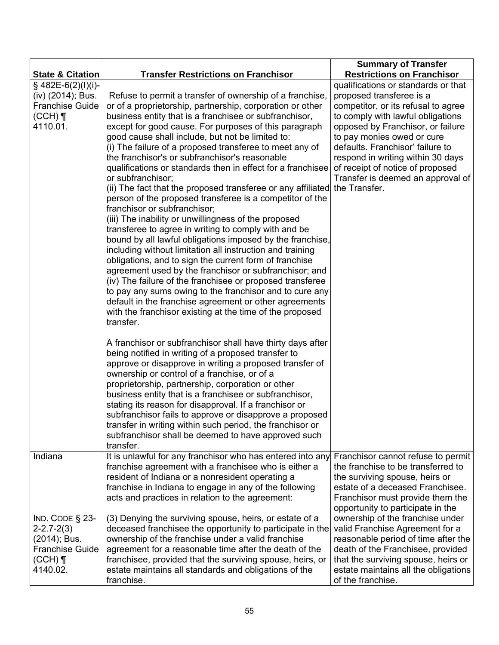|                                                                                                            |                                                                                                                                                                                                                                                                                                                                                                                                                                                                                                                                                                                                                                                                                                                                                                                                                                                                                                                                                                                                                                                                                                                                                                                                                                                                                    | <b>Summary of Transfer</b>                                                                                                                                                                                                                                                                                                                                                        |  |  |  |  |
|------------------------------------------------------------------------------------------------------------|------------------------------------------------------------------------------------------------------------------------------------------------------------------------------------------------------------------------------------------------------------------------------------------------------------------------------------------------------------------------------------------------------------------------------------------------------------------------------------------------------------------------------------------------------------------------------------------------------------------------------------------------------------------------------------------------------------------------------------------------------------------------------------------------------------------------------------------------------------------------------------------------------------------------------------------------------------------------------------------------------------------------------------------------------------------------------------------------------------------------------------------------------------------------------------------------------------------------------------------------------------------------------------|-----------------------------------------------------------------------------------------------------------------------------------------------------------------------------------------------------------------------------------------------------------------------------------------------------------------------------------------------------------------------------------|--|--|--|--|
| <b>State &amp; Citation</b>                                                                                | <b>Transfer Restrictions on Franchisor</b>                                                                                                                                                                                                                                                                                                                                                                                                                                                                                                                                                                                                                                                                                                                                                                                                                                                                                                                                                                                                                                                                                                                                                                                                                                         | <b>Restrictions on Franchisor</b>                                                                                                                                                                                                                                                                                                                                                 |  |  |  |  |
| § 482E-6(2)(l)(i)-<br>(iv) (2014); Bus.<br><b>Franchise Guide</b><br>$(CCH)$ ¶<br>4110.01.                 | Refuse to permit a transfer of ownership of a franchise,<br>or of a proprietorship, partnership, corporation or other<br>business entity that is a franchisee or subfranchisor,<br>except for good cause. For purposes of this paragraph<br>good cause shall include, but not be limited to:<br>(i) The failure of a proposed transferee to meet any of<br>the franchisor's or subfranchisor's reasonable<br>qualifications or standards then in effect for a franchisee<br>or subfranchisor;<br>(ii) The fact that the proposed transferee or any affiliated<br>person of the proposed transferee is a competitor of the<br>franchisor or subfranchisor;<br>(iii) The inability or unwillingness of the proposed<br>transferee to agree in writing to comply with and be<br>bound by all lawful obligations imposed by the franchise,<br>including without limitation all instruction and training<br>obligations, and to sign the current form of franchise<br>agreement used by the franchisor or subfranchisor; and<br>(iv) The failure of the franchisee or proposed transferee<br>to pay any sums owing to the franchisor and to cure any<br>default in the franchise agreement or other agreements<br>with the franchisor existing at the time of the proposed<br>transfer. | qualifications or standards or that<br>proposed transferee is a<br>competitor, or its refusal to agree<br>to comply with lawful obligations<br>opposed by Franchisor, or failure<br>to pay monies owed or cure<br>defaults. Franchisor' failure to<br>respond in writing within 30 days<br>of receipt of notice of proposed<br>Transfer is deemed an approval of<br>the Transfer. |  |  |  |  |
|                                                                                                            | A franchisor or subfranchisor shall have thirty days after<br>being notified in writing of a proposed transfer to<br>approve or disapprove in writing a proposed transfer of<br>ownership or control of a franchise, or of a<br>proprietorship, partnership, corporation or other<br>business entity that is a franchisee or subfranchisor,<br>stating its reason for disapproval. If a franchisor or<br>subfranchisor fails to approve or disapprove a proposed<br>transfer in writing within such period, the franchisor or<br>subfranchisor shall be deemed to have approved such<br>transfer.                                                                                                                                                                                                                                                                                                                                                                                                                                                                                                                                                                                                                                                                                  |                                                                                                                                                                                                                                                                                                                                                                                   |  |  |  |  |
| Indiana                                                                                                    | It is unlawful for any franchisor who has entered into any<br>franchise agreement with a franchisee who is either a<br>resident of Indiana or a nonresident operating a<br>franchise in Indiana to engage in any of the following<br>acts and practices in relation to the agreement:                                                                                                                                                                                                                                                                                                                                                                                                                                                                                                                                                                                                                                                                                                                                                                                                                                                                                                                                                                                              | Franchisor cannot refuse to permit<br>the franchise to be transferred to<br>the surviving spouse, heirs or<br>estate of a deceased Franchisee.<br>Franchisor must provide them the<br>opportunity to participate in the                                                                                                                                                           |  |  |  |  |
| $IND. CODE$ $§$ 23-<br>$2 - 2.7 - 2(3)$<br>(2014); Bus.<br><b>Franchise Guide</b><br>$(CCH)$ ¶<br>4140.02. | (3) Denying the surviving spouse, heirs, or estate of a<br>deceased franchisee the opportunity to participate in the<br>ownership of the franchise under a valid franchise<br>agreement for a reasonable time after the death of the<br>franchisee, provided that the surviving spouse, heirs, or<br>estate maintains all standards and obligations of the<br>franchise.                                                                                                                                                                                                                                                                                                                                                                                                                                                                                                                                                                                                                                                                                                                                                                                                                                                                                                           | ownership of the franchise under<br>valid Franchise Agreement for a<br>reasonable period of time after the<br>death of the Franchisee, provided<br>that the surviving spouse, heirs or<br>estate maintains all the obligations<br>of the franchise.                                                                                                                               |  |  |  |  |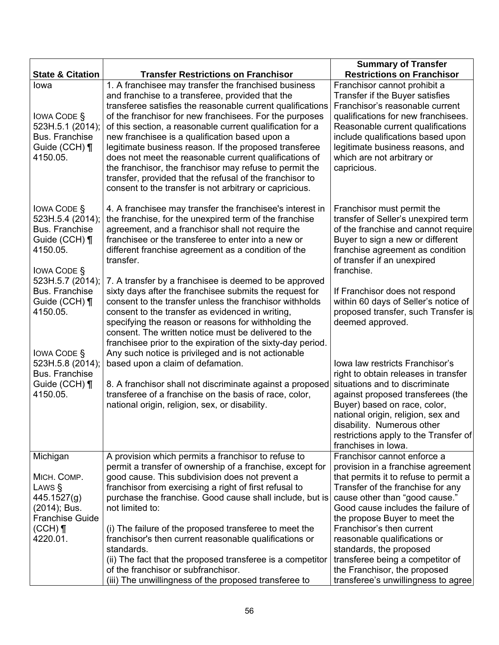|                                                                                                                                        |                                                                                                                                                                                                                                                                                                                                                                                                                                                                                                                                                                                                                                                        | <b>Summary of Transfer</b>                                                                                                                                                                                                                                                                           |  |  |  |
|----------------------------------------------------------------------------------------------------------------------------------------|--------------------------------------------------------------------------------------------------------------------------------------------------------------------------------------------------------------------------------------------------------------------------------------------------------------------------------------------------------------------------------------------------------------------------------------------------------------------------------------------------------------------------------------------------------------------------------------------------------------------------------------------------------|------------------------------------------------------------------------------------------------------------------------------------------------------------------------------------------------------------------------------------------------------------------------------------------------------|--|--|--|
| <b>State &amp; Citation</b>                                                                                                            | <b>Transfer Restrictions on Franchisor</b>                                                                                                                                                                                                                                                                                                                                                                                                                                                                                                                                                                                                             | <b>Restrictions on Franchisor</b>                                                                                                                                                                                                                                                                    |  |  |  |
| lowa<br><b>IOWA CODE S</b><br>523H.5.1 (2014);<br><b>Bus. Franchise</b><br>Guide (CCH) ¶<br>4150.05.                                   | 1. A franchisee may transfer the franchised business<br>and franchise to a transferee, provided that the<br>transferee satisfies the reasonable current qualifications<br>of the franchisor for new franchisees. For the purposes<br>of this section, a reasonable current qualification for a<br>new franchisee is a qualification based upon a<br>legitimate business reason. If the proposed transferee<br>does not meet the reasonable current qualifications of<br>the franchisor, the franchisor may refuse to permit the<br>transfer, provided that the refusal of the franchisor to<br>consent to the transfer is not arbitrary or capricious. | Franchisor cannot prohibit a<br>Transfer if the Buyer satisfies<br>Franchisor's reasonable current<br>qualifications for new franchisees.<br>Reasonable current qualifications<br>include qualifications based upon<br>legitimate business reasons, and<br>which are not arbitrary or<br>capricious. |  |  |  |
| <b>IOWA CODE §</b><br>523H.5.4 (2014);<br><b>Bus. Franchise</b><br>Guide (CCH) ¶<br>4150.05.<br><b>IOWA CODE §</b><br>523H.5.7 (2014); | 4. A franchisee may transfer the franchisee's interest in<br>the franchise, for the unexpired term of the franchise<br>agreement, and a franchisor shall not require the<br>franchisee or the transferee to enter into a new or<br>different franchise agreement as a condition of the<br>transfer.<br>7. A transfer by a franchisee is deemed to be approved                                                                                                                                                                                                                                                                                          | Franchisor must permit the<br>transfer of Seller's unexpired term<br>of the franchise and cannot require<br>Buyer to sign a new or different<br>franchise agreement as condition<br>of transfer if an unexpired<br>franchise.                                                                        |  |  |  |
| <b>Bus. Franchise</b><br>Guide (CCH) ¶<br>4150.05.<br><b>IOWA CODE §</b><br>523H.5.8 (2014);                                           | sixty days after the franchisee submits the request for<br>consent to the transfer unless the franchisor withholds<br>consent to the transfer as evidenced in writing,<br>specifying the reason or reasons for withholding the<br>consent. The written notice must be delivered to the<br>franchisee prior to the expiration of the sixty-day period.<br>Any such notice is privileged and is not actionable<br>based upon a claim of defamation.                                                                                                                                                                                                      | If Franchisor does not respond<br>within 60 days of Seller's notice of<br>proposed transfer, such Transfer is<br>deemed approved.<br>Iowa law restricts Franchisor's                                                                                                                                 |  |  |  |
| Bus. Franchise<br>Guide (CCH) ¶<br>4150.05.                                                                                            | 8. A franchisor shall not discriminate against a proposed<br>transferee of a franchise on the basis of race, color,<br>national origin, religion, sex, or disability.                                                                                                                                                                                                                                                                                                                                                                                                                                                                                  | right to obtain releases in transfer<br>situations and to discriminate<br>against proposed transferees (the<br>Buyer) based on race, color,<br>national origin, religion, sex and<br>disability. Numerous other<br>restrictions apply to the Transfer of<br>franchises in Iowa.                      |  |  |  |
| Michigan<br>MICH. COMP.<br>LAWS §<br>445.1527(g)<br>(2014); Bus.<br><b>Franchise Guide</b>                                             | A provision which permits a franchisor to refuse to<br>permit a transfer of ownership of a franchise, except for<br>good cause. This subdivision does not prevent a<br>franchisor from exercising a right of first refusal to<br>purchase the franchise. Good cause shall include, but is<br>not limited to:                                                                                                                                                                                                                                                                                                                                           | Franchisor cannot enforce a<br>provision in a franchise agreement<br>that permits it to refuse to permit a<br>Transfer of the franchise for any<br>cause other than "good cause."<br>Good cause includes the failure of<br>the propose Buyer to meet the                                             |  |  |  |
| $(CCH)$ ¶<br>4220.01.                                                                                                                  | (i) The failure of the proposed transferee to meet the<br>franchisor's then current reasonable qualifications or<br>standards.<br>(ii) The fact that the proposed transferee is a competitor<br>of the franchisor or subfranchisor.<br>(iii) The unwillingness of the proposed transferee to                                                                                                                                                                                                                                                                                                                                                           | Franchisor's then current<br>reasonable qualifications or<br>standards, the proposed<br>transferee being a competitor of<br>the Franchisor, the proposed<br>transferee's unwillingness to agree                                                                                                      |  |  |  |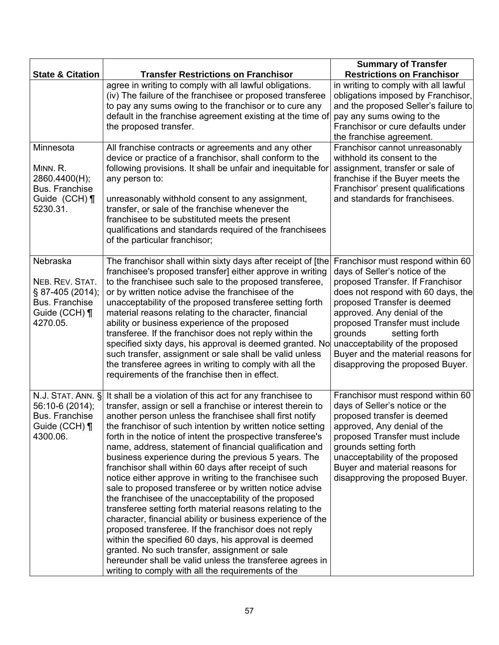|                                                                                                |                                                                                                                                                                                                                                                                                                                                                                                                                                                                                                                                                                                                                                                                                                                                                                                                                                                                                                                                                                                                                                                                                           | <b>Summary of Transfer</b>                                                                                                                                                                                                                                                                                                                                                             |  |  |  |
|------------------------------------------------------------------------------------------------|-------------------------------------------------------------------------------------------------------------------------------------------------------------------------------------------------------------------------------------------------------------------------------------------------------------------------------------------------------------------------------------------------------------------------------------------------------------------------------------------------------------------------------------------------------------------------------------------------------------------------------------------------------------------------------------------------------------------------------------------------------------------------------------------------------------------------------------------------------------------------------------------------------------------------------------------------------------------------------------------------------------------------------------------------------------------------------------------|----------------------------------------------------------------------------------------------------------------------------------------------------------------------------------------------------------------------------------------------------------------------------------------------------------------------------------------------------------------------------------------|--|--|--|
| <b>State &amp; Citation</b>                                                                    | <b>Transfer Restrictions on Franchisor</b>                                                                                                                                                                                                                                                                                                                                                                                                                                                                                                                                                                                                                                                                                                                                                                                                                                                                                                                                                                                                                                                | <b>Restrictions on Franchisor</b>                                                                                                                                                                                                                                                                                                                                                      |  |  |  |
|                                                                                                | agree in writing to comply with all lawful obligations.<br>(iv) The failure of the franchisee or proposed transferee<br>to pay any sums owing to the franchisor or to cure any<br>default in the franchise agreement existing at the time of<br>the proposed transfer.                                                                                                                                                                                                                                                                                                                                                                                                                                                                                                                                                                                                                                                                                                                                                                                                                    | in writing to comply with all lawful<br>obligations imposed by Franchisor,<br>and the proposed Seller's failure to<br>pay any sums owing to the<br>Franchisor or cure defaults under<br>the franchise agreement.                                                                                                                                                                       |  |  |  |
| Minnesota<br>MINN. R.<br>2860.4400(H);<br>Bus. Franchise<br>Guide (CCH) ¶<br>5230.31.          | All franchise contracts or agreements and any other<br>device or practice of a franchisor, shall conform to the<br>following provisions. It shall be unfair and inequitable for<br>any person to:<br>unreasonably withhold consent to any assignment,<br>transfer, or sale of the franchise whenever the<br>franchisee to be substituted meets the present<br>qualifications and standards required of the franchisees<br>of the particular franchisor;                                                                                                                                                                                                                                                                                                                                                                                                                                                                                                                                                                                                                                   | Franchisor cannot unreasonably<br>withhold its consent to the<br>assignment, transfer or sale of<br>franchise if the Buyer meets the<br>Franchisor' present qualifications<br>and standards for franchisees.                                                                                                                                                                           |  |  |  |
| Nebraska<br>NEB. REV. STAT.<br>§ 87-405 (2014);<br>Bus. Franchise<br>Guide (CCH) ¶<br>4270.05. | The franchisor shall within sixty days after receipt of [the<br>franchisee's proposed transfer] either approve in writing<br>to the franchisee such sale to the proposed transferee,<br>or by written notice advise the franchisee of the<br>unacceptability of the proposed transferee setting forth<br>material reasons relating to the character, financial<br>ability or business experience of the proposed<br>transferee. If the franchisor does not reply within the<br>specified sixty days, his approval is deemed granted. No<br>such transfer, assignment or sale shall be valid unless<br>the transferee agrees in writing to comply with all the<br>requirements of the franchise then in effect.                                                                                                                                                                                                                                                                                                                                                                            | Franchisor must respond within 60<br>days of Seller's notice of the<br>proposed Transfer. If Franchisor<br>does not respond with 60 days, the<br>proposed Transfer is deemed<br>approved. Any denial of the<br>proposed Transfer must include<br>grounds<br>setting forth<br>unacceptability of the proposed<br>Buyer and the material reasons for<br>disapproving the proposed Buyer. |  |  |  |
| N.J. STAT. ANN. §<br>56:10-6 (2014);<br><b>Bus. Franchise</b><br>Guide (CCH) ¶<br>4300.06.     | It shall be a violation of this act for any franchisee to<br>transfer, assign or sell a franchise or interest therein to<br>another person unless the franchisee shall first notify<br>the franchisor of such intention by written notice setting<br>forth in the notice of intent the prospective transferee's<br>name, address, statement of financial qualification and<br>business experience during the previous 5 years. The<br>franchisor shall within 60 days after receipt of such<br>notice either approve in writing to the franchisee such<br>sale to proposed transferee or by written notice advise<br>the franchisee of the unacceptability of the proposed<br>transferee setting forth material reasons relating to the<br>character, financial ability or business experience of the<br>proposed transferee. If the franchisor does not reply<br>within the specified 60 days, his approval is deemed<br>granted. No such transfer, assignment or sale<br>hereunder shall be valid unless the transferee agrees in<br>writing to comply with all the requirements of the | Franchisor must respond within 60<br>days of Seller's notice or the<br>proposed transfer is deemed<br>approved, Any denial of the<br>proposed Transfer must include<br>grounds setting forth<br>unacceptability of the proposed<br>Buyer and material reasons for<br>disapproving the proposed Buyer.                                                                                  |  |  |  |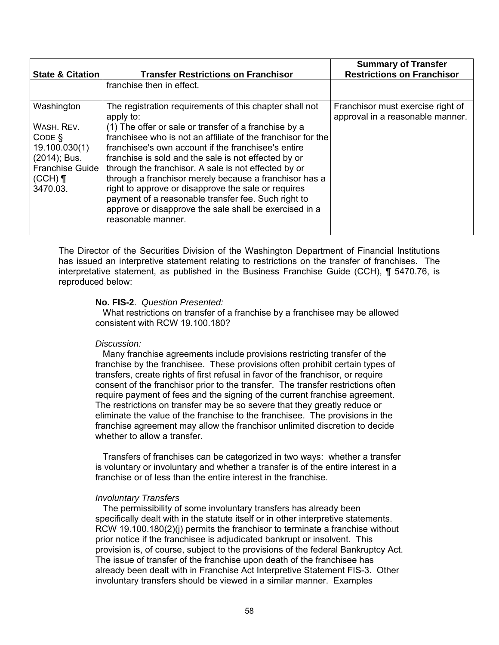| <b>State &amp; Citation</b>                                                                                          | <b>Transfer Restrictions on Franchisor</b>                                                                                                                                                                                                                                                                                                                                                                                                                                                                                                                                                                                   | <b>Summary of Transfer</b><br><b>Restrictions on Franchisor</b>       |
|----------------------------------------------------------------------------------------------------------------------|------------------------------------------------------------------------------------------------------------------------------------------------------------------------------------------------------------------------------------------------------------------------------------------------------------------------------------------------------------------------------------------------------------------------------------------------------------------------------------------------------------------------------------------------------------------------------------------------------------------------------|-----------------------------------------------------------------------|
|                                                                                                                      | franchise then in effect.                                                                                                                                                                                                                                                                                                                                                                                                                                                                                                                                                                                                    |                                                                       |
| Washington<br>WASH, REV.<br>CODE<br>19.100.030(1)<br>(2014); Bus.<br><b>Franchise Guide</b><br>$(CCH)$ ¶<br>3470.03. | The registration requirements of this chapter shall not<br>apply to:<br>(1) The offer or sale or transfer of a franchise by a<br>franchisee who is not an affiliate of the franchisor for the<br>franchisee's own account if the franchisee's entire<br>franchise is sold and the sale is not effected by or<br>through the franchisor. A sale is not effected by or<br>through a franchisor merely because a franchisor has a<br>right to approve or disapprove the sale or requires<br>payment of a reasonable transfer fee. Such right to<br>approve or disapprove the sale shall be exercised in a<br>reasonable manner. | Franchisor must exercise right of<br>approval in a reasonable manner. |

The Director of the Securities Division of the Washington Department of Financial Institutions has issued an interpretive statement relating to restrictions on the transfer of franchises. The interpretative statement, as published in the Business Franchise Guide (CCH), ¶ 5470.76, is reproduced below:

### **No. FIS-2**. *Question Presented:*

 What restrictions on transfer of a franchise by a franchisee may be allowed consistent with RCW 19.100.180?

### *Discussion:*

 Many franchise agreements include provisions restricting transfer of the franchise by the franchisee. These provisions often prohibit certain types of transfers, create rights of first refusal in favor of the franchisor, or require consent of the franchisor prior to the transfer. The transfer restrictions often require payment of fees and the signing of the current franchise agreement. The restrictions on transfer may be so severe that they greatly reduce or eliminate the value of the franchise to the franchisee. The provisions in the franchise agreement may allow the franchisor unlimited discretion to decide whether to allow a transfer.

 Transfers of franchises can be categorized in two ways: whether a transfer is voluntary or involuntary and whether a transfer is of the entire interest in a franchise or of less than the entire interest in the franchise.

### *Involuntary Transfers*

 The permissibility of some involuntary transfers has already been specifically dealt with in the statute itself or in other interpretive statements. RCW 19.100.180(2)(j) permits the franchisor to terminate a franchise without prior notice if the franchisee is adjudicated bankrupt or insolvent. This provision is, of course, subject to the provisions of the federal Bankruptcy Act. The issue of transfer of the franchise upon death of the franchisee has already been dealt with in Franchise Act Interpretive Statement FIS-3. Other involuntary transfers should be viewed in a similar manner. Examples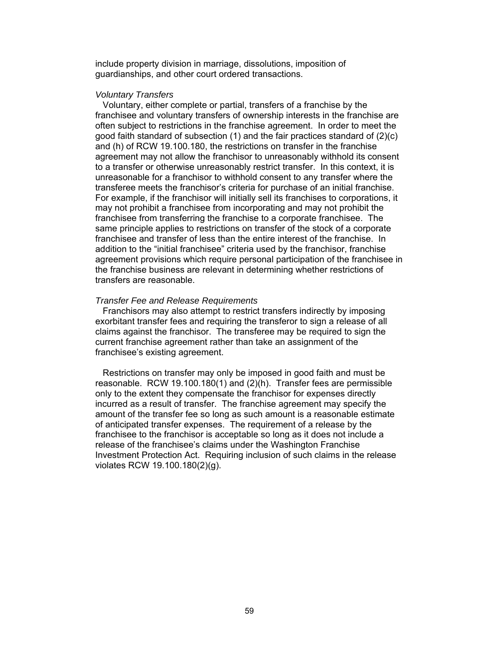include property division in marriage, dissolutions, imposition of guardianships, and other court ordered transactions.

#### *Voluntary Transfers*

 Voluntary, either complete or partial, transfers of a franchise by the franchisee and voluntary transfers of ownership interests in the franchise are often subject to restrictions in the franchise agreement. In order to meet the good faith standard of subsection (1) and the fair practices standard of (2)(c) and (h) of RCW 19.100.180, the restrictions on transfer in the franchise agreement may not allow the franchisor to unreasonably withhold its consent to a transfer or otherwise unreasonably restrict transfer. In this context, it is unreasonable for a franchisor to withhold consent to any transfer where the transferee meets the franchisor's criteria for purchase of an initial franchise. For example, if the franchisor will initially sell its franchises to corporations, it may not prohibit a franchisee from incorporating and may not prohibit the franchisee from transferring the franchise to a corporate franchisee. The same principle applies to restrictions on transfer of the stock of a corporate franchisee and transfer of less than the entire interest of the franchise. In addition to the "initial franchisee" criteria used by the franchisor, franchise agreement provisions which require personal participation of the franchisee in the franchise business are relevant in determining whether restrictions of transfers are reasonable.

#### *Transfer Fee and Release Requirements*

 Franchisors may also attempt to restrict transfers indirectly by imposing exorbitant transfer fees and requiring the transferor to sign a release of all claims against the franchisor. The transferee may be required to sign the current franchise agreement rather than take an assignment of the franchisee's existing agreement.

 Restrictions on transfer may only be imposed in good faith and must be reasonable. RCW 19.100.180(1) and (2)(h). Transfer fees are permissible only to the extent they compensate the franchisor for expenses directly incurred as a result of transfer. The franchise agreement may specify the amount of the transfer fee so long as such amount is a reasonable estimate of anticipated transfer expenses. The requirement of a release by the franchisee to the franchisor is acceptable so long as it does not include a release of the franchisee's claims under the Washington Franchise Investment Protection Act. Requiring inclusion of such claims in the release violates RCW 19.100.180(2)(g).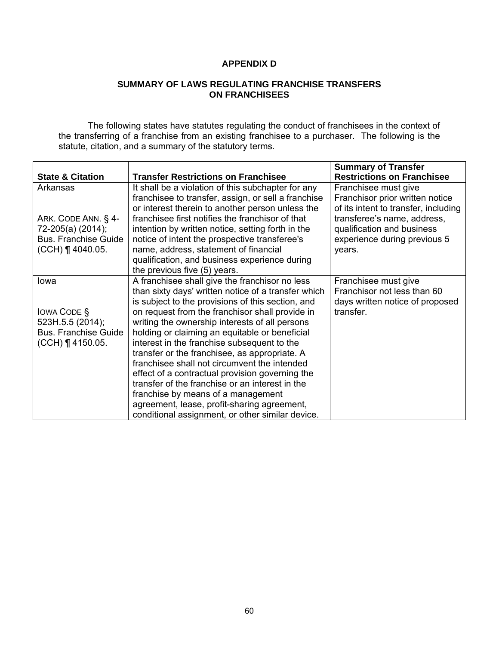# **APPENDIX D**

## **SUMMARY OF LAWS REGULATING FRANCHISE TRANSFERS ON FRANCHISEES**

The following states have statutes regulating the conduct of franchisees in the context of the transferring of a franchise from an existing franchisee to a purchaser. The following is the statute, citation, and a summary of the statutory terms.

|                             |                                                     | <b>Summary of Transfer</b>           |
|-----------------------------|-----------------------------------------------------|--------------------------------------|
| <b>State &amp; Citation</b> | <b>Transfer Restrictions on Franchisee</b>          | <b>Restrictions on Franchisee</b>    |
| Arkansas                    | It shall be a violation of this subchapter for any  | Franchisee must give                 |
|                             | franchisee to transfer, assign, or sell a franchise | Franchisor prior written notice      |
|                             | or interest therein to another person unless the    | of its intent to transfer, including |
| ARK. CODE ANN. § 4-         | franchisee first notifies the franchisor of that    | transferee's name, address,          |
| 72-205(a) (2014);           | intention by written notice, setting forth in the   | qualification and business           |
| <b>Bus. Franchise Guide</b> | notice of intent the prospective transferee's       | experience during previous 5         |
| $(CCH)$ ¶ 4040.05.          | name, address, statement of financial               | years.                               |
|                             | qualification, and business experience during       |                                      |
|                             | the previous five (5) years.                        |                                      |
| lowa                        | A franchisee shall give the franchisor no less      | Franchisee must give                 |
|                             | than sixty days' written notice of a transfer which | Franchisor not less than 60          |
|                             | is subject to the provisions of this section, and   | days written notice of proposed      |
| <b>IOWA CODE S</b>          | on request from the franchisor shall provide in     | transfer.                            |
| 523H.5.5 (2014);            | writing the ownership interests of all persons      |                                      |
| <b>Bus. Franchise Guide</b> | holding or claiming an equitable or beneficial      |                                      |
| $(CCH)$ ¶ 4150.05.          | interest in the franchise subsequent to the         |                                      |
|                             | transfer or the franchisee, as appropriate. A       |                                      |
|                             | franchisee shall not circumvent the intended        |                                      |
|                             | effect of a contractual provision governing the     |                                      |
|                             | transfer of the franchise or an interest in the     |                                      |
|                             | franchise by means of a management                  |                                      |
|                             | agreement, lease, profit-sharing agreement,         |                                      |
|                             | conditional assignment, or other similar device.    |                                      |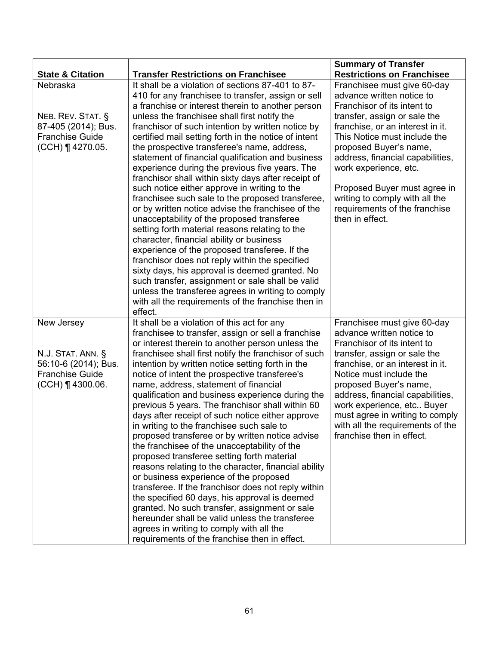|                             |                                                                                                                                                                                                                                                                                                                                                | <b>Summary of Transfer</b>        |
|-----------------------------|------------------------------------------------------------------------------------------------------------------------------------------------------------------------------------------------------------------------------------------------------------------------------------------------------------------------------------------------|-----------------------------------|
| <b>State &amp; Citation</b> | <b>Transfer Restrictions on Franchisee</b>                                                                                                                                                                                                                                                                                                     | <b>Restrictions on Franchisee</b> |
| Nebraska                    | It shall be a violation of sections 87-401 to 87-                                                                                                                                                                                                                                                                                              | Franchisee must give 60-day       |
|                             | 410 for any franchisee to transfer, assign or sell                                                                                                                                                                                                                                                                                             | advance written notice to         |
|                             | a franchise or interest therein to another person                                                                                                                                                                                                                                                                                              | Franchisor of its intent to       |
| NEB. REV. STAT. §           | unless the franchisee shall first notify the                                                                                                                                                                                                                                                                                                   | transfer, assign or sale the      |
| 87-405 (2014); Bus.         | franchisor of such intention by written notice by                                                                                                                                                                                                                                                                                              | franchise, or an interest in it.  |
| <b>Franchise Guide</b>      | certified mail setting forth in the notice of intent                                                                                                                                                                                                                                                                                           | This Notice must include the      |
| (CCH) ¶ 4270.05.            | the prospective transferee's name, address,                                                                                                                                                                                                                                                                                                    | proposed Buyer's name,            |
|                             | statement of financial qualification and business                                                                                                                                                                                                                                                                                              | address, financial capabilities,  |
|                             | experience during the previous five years. The                                                                                                                                                                                                                                                                                                 | work experience, etc.             |
|                             | franchisor shall within sixty days after receipt of                                                                                                                                                                                                                                                                                            |                                   |
|                             | such notice either approve in writing to the                                                                                                                                                                                                                                                                                                   | Proposed Buyer must agree in      |
|                             | franchisee such sale to the proposed transferee,                                                                                                                                                                                                                                                                                               | writing to comply with all the    |
|                             | or by written notice advise the franchisee of the                                                                                                                                                                                                                                                                                              | requirements of the franchise     |
|                             | unacceptability of the proposed transferee                                                                                                                                                                                                                                                                                                     | then in effect.                   |
|                             | setting forth material reasons relating to the                                                                                                                                                                                                                                                                                                 |                                   |
|                             | character, financial ability or business                                                                                                                                                                                                                                                                                                       |                                   |
|                             | experience of the proposed transferee. If the                                                                                                                                                                                                                                                                                                  |                                   |
|                             | franchisor does not reply within the specified                                                                                                                                                                                                                                                                                                 |                                   |
|                             | sixty days, his approval is deemed granted. No<br>such transfer, assignment or sale shall be valid                                                                                                                                                                                                                                             |                                   |
|                             | unless the transferee agrees in writing to comply                                                                                                                                                                                                                                                                                              |                                   |
|                             | with all the requirements of the franchise then in                                                                                                                                                                                                                                                                                             |                                   |
|                             | effect.                                                                                                                                                                                                                                                                                                                                        |                                   |
| New Jersey                  | It shall be a violation of this act for any                                                                                                                                                                                                                                                                                                    | Franchisee must give 60-day       |
|                             | franchisee to transfer, assign or sell a franchise                                                                                                                                                                                                                                                                                             | advance written notice to         |
|                             | or interest therein to another person unless the                                                                                                                                                                                                                                                                                               | Franchisor of its intent to       |
| N.J. STAT. ANN. §           | franchisee shall first notify the franchisor of such                                                                                                                                                                                                                                                                                           | transfer, assign or sale the      |
| 56:10-6 (2014); Bus.        | intention by written notice setting forth in the                                                                                                                                                                                                                                                                                               | franchise, or an interest in it.  |
| <b>Franchise Guide</b>      | notice of intent the prospective transferee's                                                                                                                                                                                                                                                                                                  | Notice must include the           |
| $(CCH)$   4300.06.          | name, address, statement of financial                                                                                                                                                                                                                                                                                                          | proposed Buyer's name,            |
|                             | qualification and business experience during the                                                                                                                                                                                                                                                                                               | address, financial capabilities,  |
|                             | previous 5 years. The franchisor shall within 60                                                                                                                                                                                                                                                                                               | work experience, etc Buyer        |
|                             | days after receipt of such notice either approve                                                                                                                                                                                                                                                                                               | must agree in writing to comply   |
|                             | in writing to the franchisee such sale to                                                                                                                                                                                                                                                                                                      | with all the requirements of the  |
|                             | proposed transferee or by written notice advise                                                                                                                                                                                                                                                                                                | franchise then in effect.         |
|                             | the franchisee of the unacceptability of the                                                                                                                                                                                                                                                                                                   |                                   |
|                             | proposed transferee setting forth material                                                                                                                                                                                                                                                                                                     |                                   |
|                             | reasons relating to the character, financial ability                                                                                                                                                                                                                                                                                           |                                   |
|                             |                                                                                                                                                                                                                                                                                                                                                |                                   |
|                             |                                                                                                                                                                                                                                                                                                                                                |                                   |
|                             |                                                                                                                                                                                                                                                                                                                                                |                                   |
|                             |                                                                                                                                                                                                                                                                                                                                                |                                   |
|                             |                                                                                                                                                                                                                                                                                                                                                |                                   |
|                             |                                                                                                                                                                                                                                                                                                                                                |                                   |
|                             | or business experience of the proposed<br>transferee. If the franchisor does not reply within<br>the specified 60 days, his approval is deemed<br>granted. No such transfer, assignment or sale<br>hereunder shall be valid unless the transferee<br>agrees in writing to comply with all the<br>requirements of the franchise then in effect. |                                   |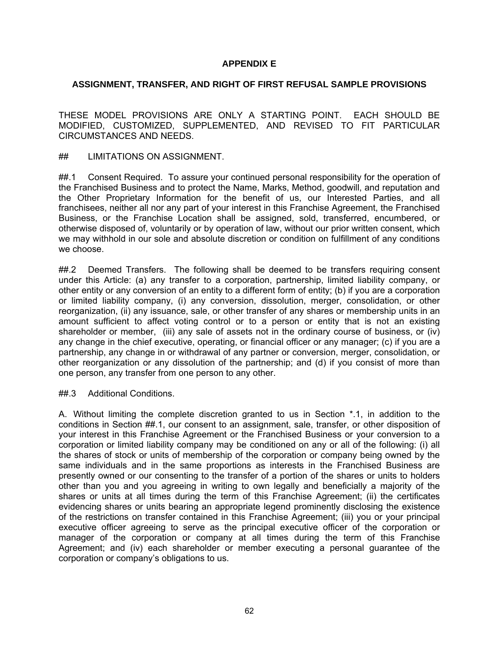# **APPENDIX E**

## **ASSIGNMENT, TRANSFER, AND RIGHT OF FIRST REFUSAL SAMPLE PROVISIONS**

THESE MODEL PROVISIONS ARE ONLY A STARTING POINT. EACH SHOULD BE MODIFIED, CUSTOMIZED, SUPPLEMENTED, AND REVISED TO FIT PARTICULAR CIRCUMSTANCES AND NEEDS.

## LIMITATIONS ON ASSIGNMENT.

##.1 Consent Required. To assure your continued personal responsibility for the operation of the Franchised Business and to protect the Name, Marks, Method, goodwill, and reputation and the Other Proprietary Information for the benefit of us, our Interested Parties, and all franchisees, neither all nor any part of your interest in this Franchise Agreement, the Franchised Business, or the Franchise Location shall be assigned, sold, transferred, encumbered, or otherwise disposed of, voluntarily or by operation of law, without our prior written consent, which we may withhold in our sole and absolute discretion or condition on fulfillment of any conditions we choose.

##.2 Deemed Transfers. The following shall be deemed to be transfers requiring consent under this Article: (a) any transfer to a corporation, partnership, limited liability company, or other entity or any conversion of an entity to a different form of entity; (b) if you are a corporation or limited liability company, (i) any conversion, dissolution, merger, consolidation, or other reorganization, (ii) any issuance, sale, or other transfer of any shares or membership units in an amount sufficient to affect voting control or to a person or entity that is not an existing shareholder or member, (iii) any sale of assets not in the ordinary course of business, or (iv) any change in the chief executive, operating, or financial officer or any manager; (c) if you are a partnership, any change in or withdrawal of any partner or conversion, merger, consolidation, or other reorganization or any dissolution of the partnership; and (d) if you consist of more than one person, any transfer from one person to any other.

##.3 Additional Conditions.

A. Without limiting the complete discretion granted to us in Section \*.1, in addition to the conditions in Section ##.1, our consent to an assignment, sale, transfer, or other disposition of your interest in this Franchise Agreement or the Franchised Business or your conversion to a corporation or limited liability company may be conditioned on any or all of the following: (i) all the shares of stock or units of membership of the corporation or company being owned by the same individuals and in the same proportions as interests in the Franchised Business are presently owned or our consenting to the transfer of a portion of the shares or units to holders other than you and you agreeing in writing to own legally and beneficially a majority of the shares or units at all times during the term of this Franchise Agreement; (ii) the certificates evidencing shares or units bearing an appropriate legend prominently disclosing the existence of the restrictions on transfer contained in this Franchise Agreement; (iii) you or your principal executive officer agreeing to serve as the principal executive officer of the corporation or manager of the corporation or company at all times during the term of this Franchise Agreement; and (iv) each shareholder or member executing a personal guarantee of the corporation or company's obligations to us.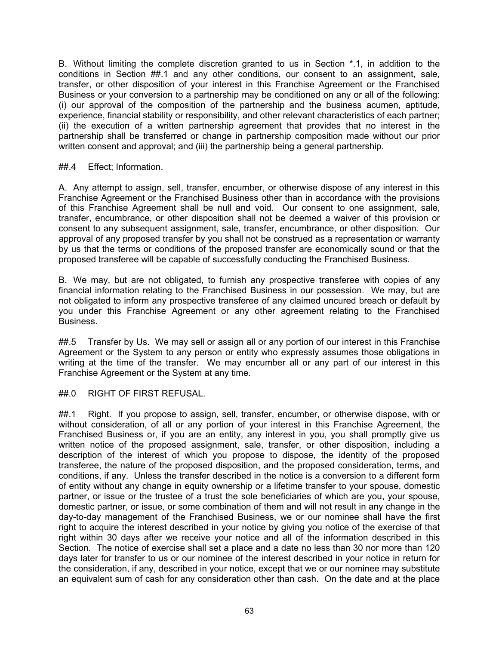B. Without limiting the complete discretion granted to us in Section \*.1, in addition to the conditions in Section ##.1 and any other conditions, our consent to an assignment, sale, transfer, or other disposition of your interest in this Franchise Agreement or the Franchised Business or your conversion to a partnership may be conditioned on any or all of the following: (i) our approval of the composition of the partnership and the business acumen, aptitude, experience, financial stability or responsibility, and other relevant characteristics of each partner; (ii) the execution of a written partnership agreement that provides that no interest in the partnership shall be transferred or change in partnership composition made without our prior written consent and approval; and (iii) the partnership being a general partnership.

## ##.4 Effect; Information.

A. Any attempt to assign, sell, transfer, encumber, or otherwise dispose of any interest in this Franchise Agreement or the Franchised Business other than in accordance with the provisions of this Franchise Agreement shall be null and void. Our consent to one assignment, sale, transfer, encumbrance, or other disposition shall not be deemed a waiver of this provision or consent to any subsequent assignment, sale, transfer, encumbrance, or other disposition. Our approval of any proposed transfer by you shall not be construed as a representation or warranty by us that the terms or conditions of the proposed transfer are economically sound or that the proposed transferee will be capable of successfully conducting the Franchised Business.

B. We may, but are not obligated, to furnish any prospective transferee with copies of any financial information relating to the Franchised Business in our possession. We may, but are not obligated to inform any prospective transferee of any claimed uncured breach or default by you under this Franchise Agreement or any other agreement relating to the Franchised Business.

##.5 Transfer by Us. We may sell or assign all or any portion of our interest in this Franchise Agreement or the System to any person or entity who expressly assumes those obligations in writing at the time of the transfer. We may encumber all or any part of our interest in this Franchise Agreement or the System at any time.

### ##.0 RIGHT OF FIRST REFUSAL.

##.1 Right. If you propose to assign, sell, transfer, encumber, or otherwise dispose, with or without consideration, of all or any portion of your interest in this Franchise Agreement, the Franchised Business or, if you are an entity, any interest in you, you shall promptly give us written notice of the proposed assignment, sale, transfer, or other disposition, including a description of the interest of which you propose to dispose, the identity of the proposed transferee, the nature of the proposed disposition, and the proposed consideration, terms, and conditions, if any. Unless the transfer described in the notice is a conversion to a different form of entity without any change in equity ownership or a lifetime transfer to your spouse, domestic partner, or issue or the trustee of a trust the sole beneficiaries of which are you, your spouse, domestic partner, or issue, or some combination of them and will not result in any change in the day-to-day management of the Franchised Business, we or our nominee shall have the first right to acquire the interest described in your notice by giving you notice of the exercise of that right within 30 days after we receive your notice and all of the information described in this Section. The notice of exercise shall set a place and a date no less than 30 nor more than 120 days later for transfer to us or our nominee of the interest described in your notice in return for the consideration, if any, described in your notice, except that we or our nominee may substitute an equivalent sum of cash for any consideration other than cash. On the date and at the place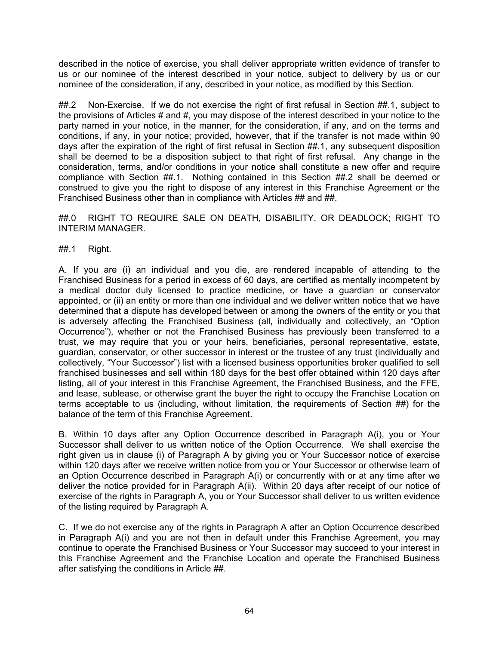described in the notice of exercise, you shall deliver appropriate written evidence of transfer to us or our nominee of the interest described in your notice, subject to delivery by us or our nominee of the consideration, if any, described in your notice, as modified by this Section.

##.2 Non-Exercise. If we do not exercise the right of first refusal in Section ##.1, subiect to the provisions of Articles # and #, you may dispose of the interest described in your notice to the party named in your notice, in the manner, for the consideration, if any, and on the terms and conditions, if any, in your notice; provided, however, that if the transfer is not made within 90 days after the expiration of the right of first refusal in Section ##.1, any subsequent disposition shall be deemed to be a disposition subject to that right of first refusal. Any change in the consideration, terms, and/or conditions in your notice shall constitute a new offer and require compliance with Section ##.1. Nothing contained in this Section ##.2 shall be deemed or construed to give you the right to dispose of any interest in this Franchise Agreement or the Franchised Business other than in compliance with Articles ## and ##.

##.0 RIGHT TO REQUIRE SALE ON DEATH, DISABILITY, OR DEADLOCK; RIGHT TO INTERIM MANAGER.

##.1 Right.

A. If you are (i) an individual and you die, are rendered incapable of attending to the Franchised Business for a period in excess of 60 days, are certified as mentally incompetent by a medical doctor duly licensed to practice medicine, or have a guardian or conservator appointed, or (ii) an entity or more than one individual and we deliver written notice that we have determined that a dispute has developed between or among the owners of the entity or you that is adversely affecting the Franchised Business (all, individually and collectively, an "Option Occurrence"), whether or not the Franchised Business has previously been transferred to a trust, we may require that you or your heirs, beneficiaries, personal representative, estate, guardian, conservator, or other successor in interest or the trustee of any trust (individually and collectively, "Your Successor") list with a licensed business opportunities broker qualified to sell franchised businesses and sell within 180 days for the best offer obtained within 120 days after listing, all of your interest in this Franchise Agreement, the Franchised Business, and the FFE, and lease, sublease, or otherwise grant the buyer the right to occupy the Franchise Location on terms acceptable to us (including, without limitation, the requirements of Section ##) for the balance of the term of this Franchise Agreement.

B. Within 10 days after any Option Occurrence described in Paragraph A(i), you or Your Successor shall deliver to us written notice of the Option Occurrence. We shall exercise the right given us in clause (i) of Paragraph A by giving you or Your Successor notice of exercise within 120 days after we receive written notice from you or Your Successor or otherwise learn of an Option Occurrence described in Paragraph A(i) or concurrently with or at any time after we deliver the notice provided for in Paragraph A(ii). Within 20 days after receipt of our notice of exercise of the rights in Paragraph A, you or Your Successor shall deliver to us written evidence of the listing required by Paragraph A.

C. If we do not exercise any of the rights in Paragraph A after an Option Occurrence described in Paragraph A(i) and you are not then in default under this Franchise Agreement, you may continue to operate the Franchised Business or Your Successor may succeed to your interest in this Franchise Agreement and the Franchise Location and operate the Franchised Business after satisfying the conditions in Article ##.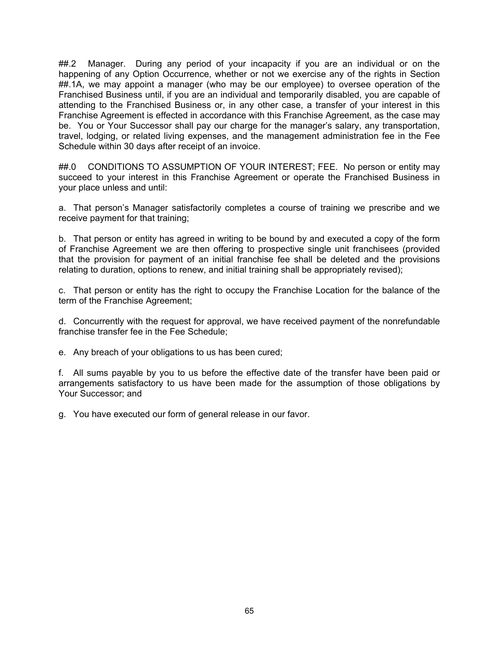##.2 Manager. During any period of your incapacity if you are an individual or on the happening of any Option Occurrence, whether or not we exercise any of the rights in Section ##.1A, we may appoint a manager (who may be our employee) to oversee operation of the Franchised Business until, if you are an individual and temporarily disabled, you are capable of attending to the Franchised Business or, in any other case, a transfer of your interest in this Franchise Agreement is effected in accordance with this Franchise Agreement, as the case may be. You or Your Successor shall pay our charge for the manager's salary, any transportation, travel, lodging, or related living expenses, and the management administration fee in the Fee Schedule within 30 days after receipt of an invoice.

##.0 CONDITIONS TO ASSUMPTION OF YOUR INTEREST; FEE. No person or entity may succeed to your interest in this Franchise Agreement or operate the Franchised Business in your place unless and until:

a. That person's Manager satisfactorily completes a course of training we prescribe and we receive payment for that training;

b. That person or entity has agreed in writing to be bound by and executed a copy of the form of Franchise Agreement we are then offering to prospective single unit franchisees (provided that the provision for payment of an initial franchise fee shall be deleted and the provisions relating to duration, options to renew, and initial training shall be appropriately revised);

c. That person or entity has the right to occupy the Franchise Location for the balance of the term of the Franchise Agreement;

d. Concurrently with the request for approval, we have received payment of the nonrefundable franchise transfer fee in the Fee Schedule;

e. Any breach of your obligations to us has been cured;

f. All sums payable by you to us before the effective date of the transfer have been paid or arrangements satisfactory to us have been made for the assumption of those obligations by Your Successor; and

g. You have executed our form of general release in our favor.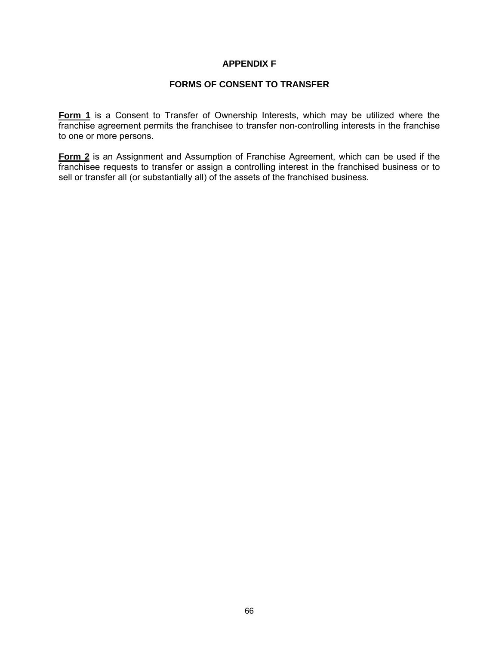## **APPENDIX F**

## **FORMS OF CONSENT TO TRANSFER**

**Form 1** is a Consent to Transfer of Ownership Interests, which may be utilized where the franchise agreement permits the franchisee to transfer non-controlling interests in the franchise to one or more persons.

**Form 2** is an Assignment and Assumption of Franchise Agreement, which can be used if the franchisee requests to transfer or assign a controlling interest in the franchised business or to sell or transfer all (or substantially all) of the assets of the franchised business.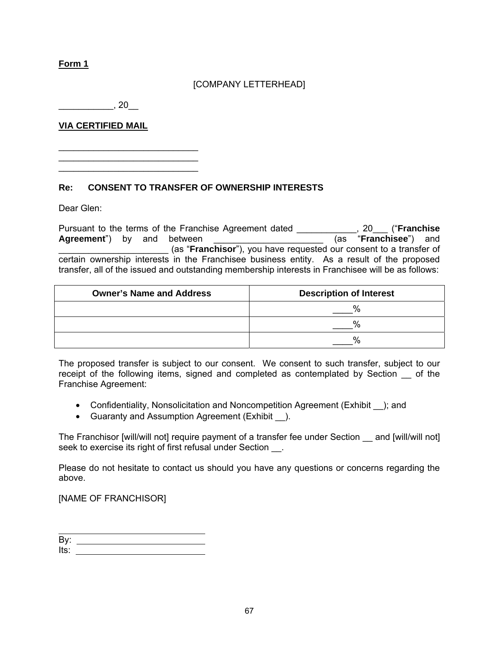**Form 1**

# [COMPANY LETTERHEAD]

 $\overline{\phantom{a}}$ , 20 $\overline{\phantom{a}}$ 

\_\_\_\_\_\_\_\_\_\_\_\_\_\_\_\_\_\_\_\_\_\_\_\_\_\_\_\_ \_\_\_\_\_\_\_\_\_\_\_\_\_\_\_\_\_\_\_\_\_\_\_\_\_\_\_\_

**VIA CERTIFIED MAIL**

\_\_\_\_\_\_\_\_\_\_\_\_\_\_\_\_\_\_\_\_\_\_\_\_\_\_\_\_

**Re: CONSENT TO TRANSFER OF OWNERSHIP INTERESTS** 

Dear Glen:

Pursuant to the terms of the Franchise Agreement dated \_\_\_\_\_\_\_\_\_\_\_, 20\_\_\_ ("**Franchise**<br>Agreement") by and between **Agreement** (as "**Franchisee**") and **Agreement**") by and between \_\_\_\_\_\_\_\_\_\_\_\_\_\_\_\_\_\_\_\_\_\_ (as "**Franchisor**"), you have requested our consent to a transfer of certain ownership interests in the Franchisee business entity. As a result of the proposed transfer, all of the issued and outstanding membership interests in Franchisee will be as follows:

| <b>Owner's Name and Address</b> | <b>Description of Interest</b> |  |  |
|---------------------------------|--------------------------------|--|--|
|                                 |                                |  |  |
|                                 |                                |  |  |
|                                 |                                |  |  |

The proposed transfer is subject to our consent. We consent to such transfer, subject to our receipt of the following items, signed and completed as contemplated by Section \_\_ of the Franchise Agreement:

- Confidentiality, Nonsolicitation and Noncompetition Agreement (Exhibit \_\_); and
- Guaranty and Assumption Agreement (Exhibit ).

The Franchisor [will/will not] require payment of a transfer fee under Section and [will/will not] seek to exercise its right of first refusal under Section \_\_\_.

Please do not hesitate to contact us should you have any questions or concerns regarding the above.

[NAME OF FRANCHISOR]

 $\overline{a}$ By: Its: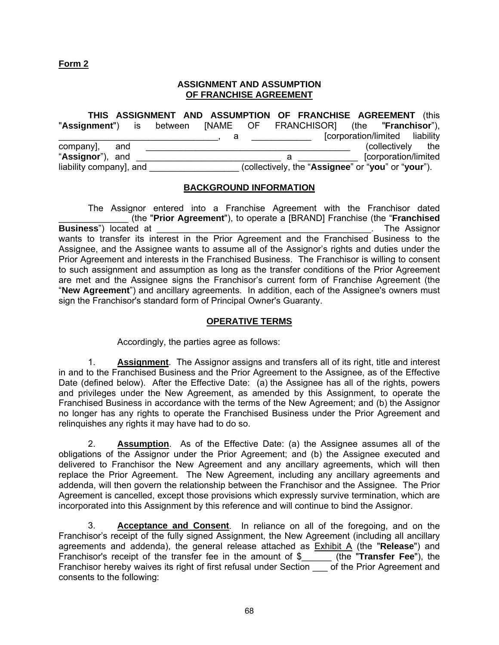## **Form 2**

## **ASSIGNMENT AND ASSUMPTION OF FRANCHISE AGREEMENT**

|                                                                   | THIS ASSIGNMENT AND ASSUMPTION OF FRANCHISE AGREEMENT (this |   |  |                                                    |  |                                |
|-------------------------------------------------------------------|-------------------------------------------------------------|---|--|----------------------------------------------------|--|--------------------------------|
| "Assignment") is between [NAME OF FRANCHISOR] (the "Franchisor"), |                                                             |   |  |                                                    |  |                                |
|                                                                   |                                                             | đ |  |                                                    |  | [corporation/limited liability |
| company], and                                                     |                                                             |   |  |                                                    |  | (collectively the              |
| "Assignor"), and                                                  |                                                             |   |  |                                                    |  | [corporation/limited]          |
| liability company], and                                           |                                                             |   |  | (collectively, the "Assignee" or "you" or "your"). |  |                                |

### **BACKGROUND INFORMATION**

 The Assignor entered into a Franchise Agreement with the Franchisor dated \_\_\_\_\_\_\_\_\_\_\_\_\_\_ (the "**Prior Agreement**"), to operate a [BRAND] Franchise (the "**Franchised Business**") located at \_\_\_\_\_\_\_\_\_\_\_\_\_\_\_\_\_\_\_\_\_\_\_\_\_\_\_\_\_\_\_\_\_\_\_\_\_\_\_\_\_\_\_. The Assignor wants to transfer its interest in the Prior Agreement and the Franchised Business to the Assignee, and the Assignee wants to assume all of the Assignor's rights and duties under the Prior Agreement and interests in the Franchised Business. The Franchisor is willing to consent to such assignment and assumption as long as the transfer conditions of the Prior Agreement are met and the Assignee signs the Franchisor's current form of Franchise Agreement (the "**New Agreement**") and ancillary agreements. In addition, each of the Assignee's owners must sign the Franchisor's standard form of Principal Owner's Guaranty.

## **OPERATIVE TERMS**

Accordingly, the parties agree as follows:

1. **Assignment**. The Assignor assigns and transfers all of its right, title and interest in and to the Franchised Business and the Prior Agreement to the Assignee, as of the Effective Date (defined below). After the Effective Date: (a) the Assignee has all of the rights, powers and privileges under the New Agreement, as amended by this Assignment, to operate the Franchised Business in accordance with the terms of the New Agreement; and (b) the Assignor no longer has any rights to operate the Franchised Business under the Prior Agreement and relinquishes any rights it may have had to do so.

2. **Assumption**. As of the Effective Date: (a) the Assignee assumes all of the obligations of the Assignor under the Prior Agreement; and (b) the Assignee executed and delivered to Franchisor the New Agreement and any ancillary agreements, which will then replace the Prior Agreement. The New Agreement, including any ancillary agreements and addenda, will then govern the relationship between the Franchisor and the Assignee. The Prior Agreement is cancelled, except those provisions which expressly survive termination, which are incorporated into this Assignment by this reference and will continue to bind the Assignor.

3. **Acceptance and Consent**. In reliance on all of the foregoing, and on the Franchisor's receipt of the fully signed Assignment, the New Agreement (including all ancillary agreements and addenda), the general release attached as Exhibit A (the "**Release**") and Franchisor's receipt of the transfer fee in the amount of \$\_\_\_\_\_\_ (the "**Transfer Fee**"), the Franchisor hereby waives its right of first refusal under Section of the Prior Agreement and consents to the following: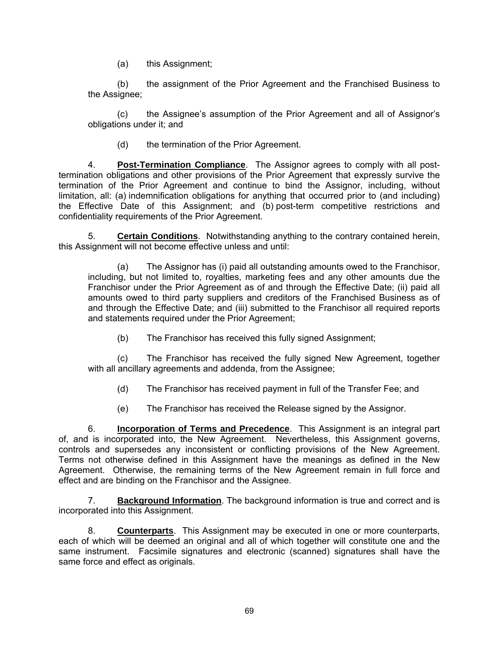(a) this Assignment;

(b) the assignment of the Prior Agreement and the Franchised Business to the Assignee;

(c) the Assignee's assumption of the Prior Agreement and all of Assignor's obligations under it; and

(d) the termination of the Prior Agreement.

4. **Post-Termination Compliance**. The Assignor agrees to comply with all posttermination obligations and other provisions of the Prior Agreement that expressly survive the termination of the Prior Agreement and continue to bind the Assignor, including, without limitation, all: (a) indemnification obligations for anything that occurred prior to (and including) the Effective Date of this Assignment; and (b) post-term competitive restrictions and confidentiality requirements of the Prior Agreement.

5. **Certain Conditions**. Notwithstanding anything to the contrary contained herein, this Assignment will not become effective unless and until:

(a) The Assignor has (i) paid all outstanding amounts owed to the Franchisor, including, but not limited to, royalties, marketing fees and any other amounts due the Franchisor under the Prior Agreement as of and through the Effective Date; (ii) paid all amounts owed to third party suppliers and creditors of the Franchised Business as of and through the Effective Date; and (iii) submitted to the Franchisor all required reports and statements required under the Prior Agreement;

(b) The Franchisor has received this fully signed Assignment;

(c) The Franchisor has received the fully signed New Agreement, together with all ancillary agreements and addenda, from the Assignee;

(d) The Franchisor has received payment in full of the Transfer Fee; and

(e) The Franchisor has received the Release signed by the Assignor.

6. **Incorporation of Terms and Precedence**. This Assignment is an integral part of, and is incorporated into, the New Agreement. Nevertheless, this Assignment governs, controls and supersedes any inconsistent or conflicting provisions of the New Agreement. Terms not otherwise defined in this Assignment have the meanings as defined in the New Agreement. Otherwise, the remaining terms of the New Agreement remain in full force and effect and are binding on the Franchisor and the Assignee.

7. **Background Information**. The background information is true and correct and is incorporated into this Assignment.

8. **Counterparts**. This Assignment may be executed in one or more counterparts, each of which will be deemed an original and all of which together will constitute one and the same instrument. Facsimile signatures and electronic (scanned) signatures shall have the same force and effect as originals.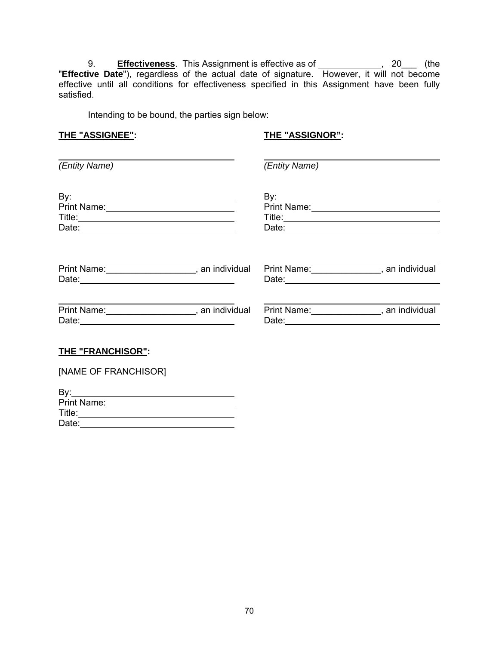9. **Effectiveness**. This Assignment is effective as of \_\_\_\_\_\_\_\_\_\_\_\_\_, 20\_\_\_ (the "**Effective Date**"), regardless of the actual date of signature. However, it will not become effective until all conditions for effectiveness specified in this Assignment have been fully satisfied.

Intending to be bound, the parties sign below:

### **THE "ASSIGNEE": THE "ASSIGNOR":**

| (Entity Name)                                     | (Entity Name)                               |
|---------------------------------------------------|---------------------------------------------|
|                                                   |                                             |
|                                                   |                                             |
|                                                   |                                             |
| Date: <u>Date:</u>                                | Date: <u>Date:</u>                          |
| Print Name: ______________________, an individual | Print Name: ________________, an individual |
|                                                   |                                             |
|                                                   | Print Name: ________________, an individual |
|                                                   |                                             |
| . <b>.</b> .                                      |                                             |

### **THE "FRANCHISOR":**

| [NAME OF FRANCHISOR] |  |
|----------------------|--|
| By:                  |  |
| <b>Print Name:</b>   |  |
| Title: Title:        |  |
| Date:                |  |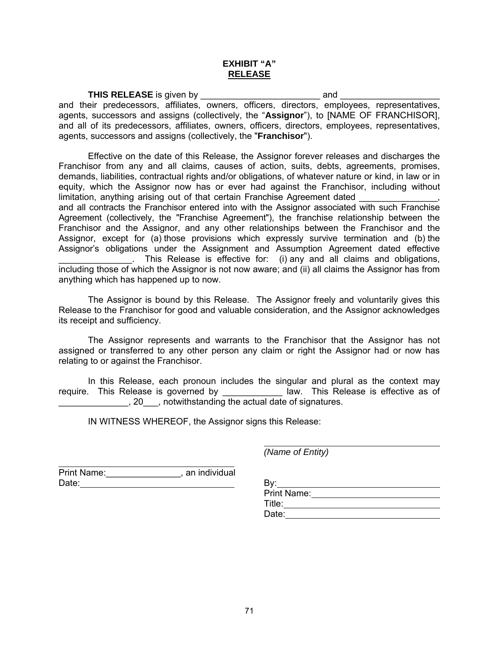### **EXHIBIT "A" RELEASE**

**THIS RELEASE** is given by \_\_\_\_\_\_\_\_\_\_\_\_\_\_\_\_\_\_\_\_\_\_\_\_ and \_\_\_\_\_\_\_\_\_\_\_\_\_\_\_\_\_\_\_\_ and their predecessors, affiliates, owners, officers, directors, employees, representatives, agents, successors and assigns (collectively, the "**Assignor**"), to [NAME OF FRANCHISOR], and all of its predecessors, affiliates, owners, officers, directors, employees, representatives, agents, successors and assigns (collectively, the "**Franchisor**").

Effective on the date of this Release, the Assignor forever releases and discharges the Franchisor from any and all claims, causes of action, suits, debts, agreements, promises, demands, liabilities, contractual rights and/or obligations, of whatever nature or kind, in law or in equity, which the Assignor now has or ever had against the Franchisor, including without limitation, anything arising out of that certain Franchise Agreement dated and all contracts the Franchisor entered into with the Assignor associated with such Franchise Agreement (collectively, the "Franchise Agreement"), the franchise relationship between the Franchisor and the Assignor, and any other relationships between the Franchisor and the Assignor, except for (a) those provisions which expressly survive termination and (b) the Assignor's obligations under the Assignment and Assumption Agreement dated effective \_\_\_\_\_\_\_\_\_\_\_\_\_\_\_. This Release is effective for: (i) any and all claims and obligations, including those of which the Assignor is not now aware; and (ii) all claims the Assignor has from anything which has happened up to now.

The Assignor is bound by this Release. The Assignor freely and voluntarily gives this Release to the Franchisor for good and valuable consideration, and the Assignor acknowledges its receipt and sufficiency.

The Assignor represents and warrants to the Franchisor that the Assignor has not assigned or transferred to any other person any claim or right the Assignor had or now has relating to or against the Franchisor.

In this Release, each pronoun includes the singular and plural as the context may require. This Release is governed by \_\_\_\_\_\_\_\_\_\_\_\_\_ law. This Release is effective as of . 20 . notwithstanding the actual date of signatures.

IN WITNESS WHEREOF, the Assignor signs this Release:

*(Name of Entity)* 

| Print Name: | an individual |      |
|-------------|---------------|------|
| Date:       |               |      |
|             |               | Prin |

| Print Name: |  |
|-------------|--|
| Title:      |  |
| Date:       |  |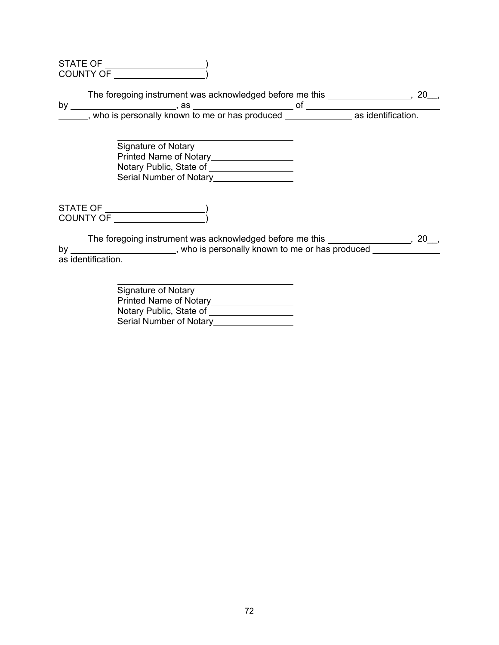| STATE OF         |  |
|------------------|--|
| <b>COUNTY OF</b> |  |

The foregoing instrument was acknowledged before me this **comparently**, 20<sub>\_\_</sub>, 20\_\_,

by , as of , who is personally known to me or has produced **contract as identification**.

 Signature of Notary Printed Name of Notary Notary Public, State of Serial Number of Notary

STATE OF ) COUNTY OF )

The foregoing instrument was acknowledged before me this \_\_\_\_\_\_\_\_\_\_\_\_\_\_\_\_\_, 20\_\_, by , who is personally known to me or has produced as identification.

| Signature of Notary           |
|-------------------------------|
| <b>Printed Name of Notary</b> |
| Notary Public, State of       |
| Serial Number of Notary       |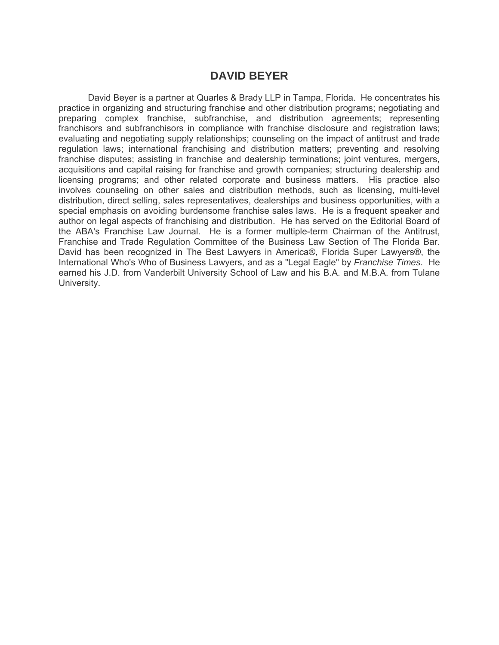# **DAVID BEYER**

David Beyer is a partner at Quarles & Brady LLP in Tampa, Florida. He concentrates his practice in organizing and structuring franchise and other distribution programs; negotiating and preparing complex franchise, subfranchise, and distribution agreements; representing franchisors and subfranchisors in compliance with franchise disclosure and registration laws; evaluating and negotiating supply relationships; counseling on the impact of antitrust and trade regulation laws; international franchising and distribution matters; preventing and resolving franchise disputes; assisting in franchise and dealership terminations; joint ventures, mergers, acquisitions and capital raising for franchise and growth companies; structuring dealership and licensing programs; and other related corporate and business matters. His practice also involves counseling on other sales and distribution methods, such as licensing, multi-level distribution, direct selling, sales representatives, dealerships and business opportunities, with a special emphasis on avoiding burdensome franchise sales laws. He is a frequent speaker and author on legal aspects of franchising and distribution. He has served on the Editorial Board of the ABA's Franchise Law Journal. He is a former multiple-term Chairman of the Antitrust, Franchise and Trade Regulation Committee of the Business Law Section of The Florida Bar. David has been recognized in The Best Lawyers in America®, Florida Super Lawyers®, the International Who's Who of Business Lawyers, and as a "Legal Eagle" by *Franchise Times*. He earned his J.D. from Vanderbilt University School of Law and his B.A. and M.B.A. from Tulane University.